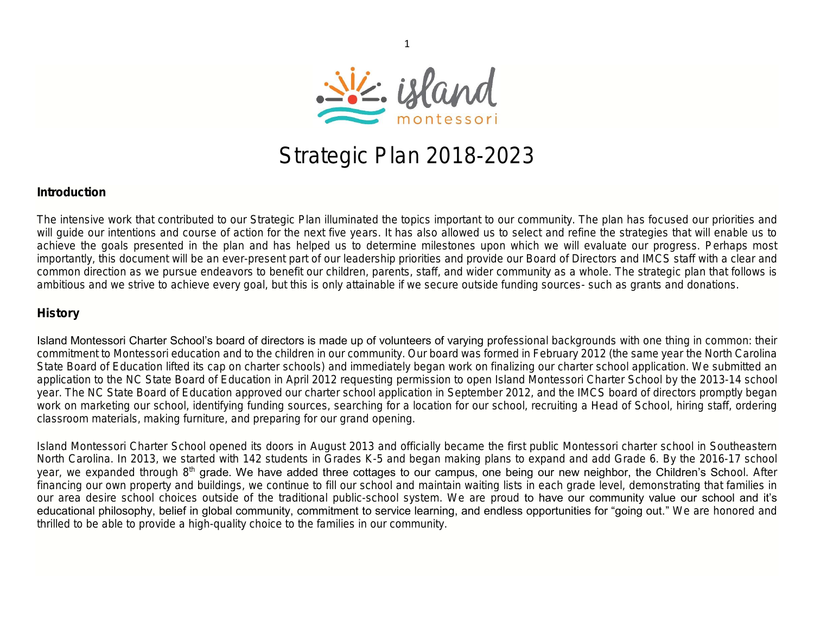

1

# Strategic Plan 2018-2023

### Introduction

The intensive work that contributed to our Strategic Plan illuminated the topics important to our community. The plan has focused our priorities and will guide our intentions and course of action for the next five years. It has also allowed us to select and refine the strategies that will enable us to achieve the goals presented in the plan and has helped us to determine milestones upon which we will evaluate our progress. Perhaps most importantly, this document will be an ever-present part of our leadership priorities and provide our Board of Directors and IMCS staff with a clear and common direction as we pursue endeavors to benefit our children, parents, staff, and wider community as a whole. The strategic plan that follows is ambitious and we strive to achieve every goal, but this is only attainable if we secure outside funding sources- such as grants and donations.

### History

Island Montessori Charter School's board of directors is made up of volunteers of varying professional backgrounds with one thing in common: their commitment to Montessori education and to the children in our community. Our board was formed in February 2012 (the same year the North Carolina State Board of Education lifted its cap on charter schools) and immediately began work on finalizing our charter school application. We submitted an application to the NC State Board of Education in April 2012 requesting permission to open Island Montessori Charter School by the 2013-14 school year. The NC State Board of Education approved our charter school application in September 2012, and the IMCS board of directors promptly began work on marketing our school, identifying funding sources, searching for a location for our school, recruiting a Head of School, hiring staff, ordering classroom materials, making furniture, and preparing for our grand opening.

Island Montessori Charter School opened its doors in August 2013 and officially became the first public Montessori charter school in Southeastern North Carolina. In 2013, we started with 142 students in Grades K-5 and began making plans to expand and add Grade 6. By the 2016-17 school year, we expanded through 8<sup>th</sup> grade. We have added three cottages to our campus, one being our new neighbor, the Children's School. After financing our own property and buildings, we continue to fill our school and maintain waiting lists in each grade level, demonstrating that families in our area desire school choices outside of the traditional public-school system. We are proud to have our community value our school and it's educational philosophy, belief in global community, commitment to service learning, and endless opportunities for "going out." We are honored and thrilled to be able to provide a high-quality choice to the families in our community.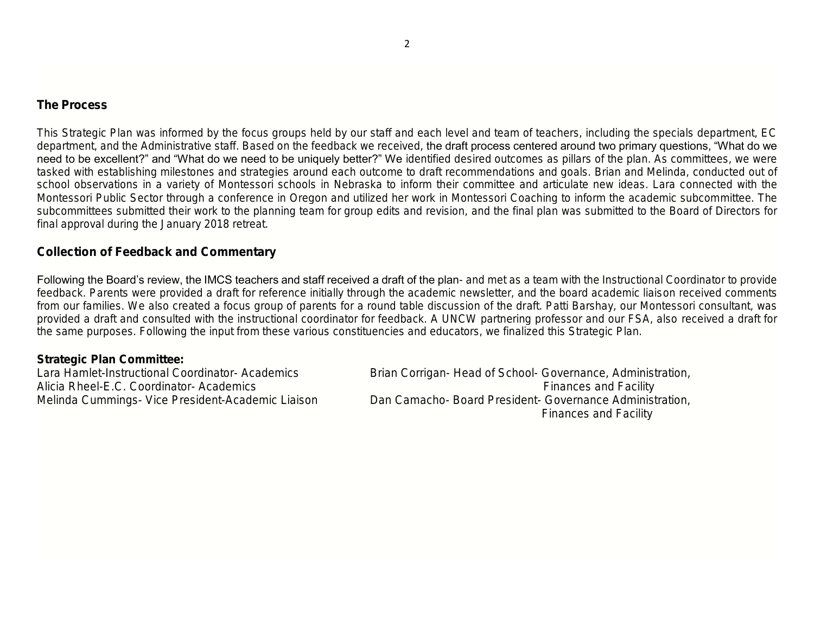### The Process

This Strategic Plan was informed by the focus groups held by our staff and each level and team of teachers, including the specials department, EC department, and the Administrative staff. Based on the feedback we received, the draft process centered around two primary questions, "What do we need to be excellent?" and "What do we need to be uniquely better?" We identified desired outcomes as pillars of the plan. As committees, we were tasked with establishing milestones and strategies around each outcome to draft recommendations and goals. Brian and Melinda, conducted out of school observations in a variety of Montessori schools in Nebraska to inform their committee and articulate new ideas. Lara connected with the Montessori Public Sector through a conference in Oregon and utilized her work in Montessori Coaching to inform the academic subcommittee. The subcommittees submitted their work to the planning team for group edits and revision, and the final plan was submitted to the Board of Directors for final approval during the January 2018 retreat.

### Collection of Feedback and Commentary

Following the Board's review, the IMCS teachers and staff received a draft of the plan- and met as a team with the Instructional Coordinator to provide feedback. Parents were provided a draft for reference initially through the academic newsletter, and the board academic liaison received comments from our families. We also created a focus group of parents for a round table discussion of the draft. Patti Barshay, our Montessori consultant, was provided a draft and consulted with the instructional coordinator for feedback. A UNCW partnering professor and our FSA, also received a draft for the same purposes. Following the input from these various constituencies and educators, we finalized this Strategic Plan.

Strategic Plan Committee:

Lara Hamlet-Instructional Coordinator- Academics Brian Corrigan- Head of School- Governance, Administration, Alicia Rheel-E.C. Coordinator- Academics **Finances** and Facility **Finances** and Facility Melinda Cummings- Vice President-Academic Liaison Dan Camacho- Board President- Governance Administration, Finances and Facility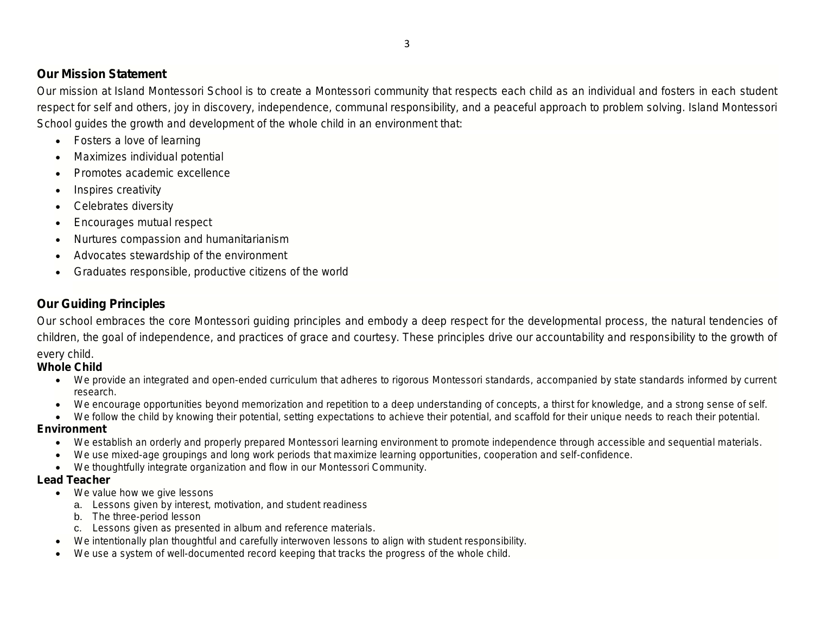# Our Mission Statement

Our mission at Island Montessori School is to create a Montessori community that respects each child as an individual and fosters in each student respect for self and others, joy in discovery, independence, communal responsibility, and a peaceful approach to problem solving. Island Montessori School guides the growth and development of the whole child in an environment that:

- Fosters a love of learning
- Maximizes individual potential
- Promotes academic excellence
- Inspires creativity
- Celebrates diversity
- Encourages mutual respect
- Nurtures compassion and humanitarianism
- Advocates stewardship of the environment
- Graduates responsible, productive citizens of the world

# Our Guiding Principles

Our school embraces the core Montessori guiding principles and embody a deep respect for the developmental process, the natural tendencies of children, the goal of independence, and practices of grace and courtesy. These principles drive our accountability and responsibility to the growth of every child.

Whole Child

- We provide an integrated and open-ended curriculum that adheres to rigorous Montessori standards, accompanied by state standards informed by current research.
- We encourage opportunities beyond memorization and repetition to a deep understanding of concepts, a thirst for knowledge, and a strong sense of self.
- We follow the child by knowing their potential, setting expectations to achieve their potential, and scaffold for their unique needs to reach their potential. Environment
	- We establish an orderly and properly prepared Montessori learning environment to promote independence through accessible and sequential materials.
	- We use mixed-age groupings and long work periods that maximize learning opportunities, cooperation and self-confidence.
	- We thoughtfully integrate organization and flow in our Montessori Community.
- Lead Teacher
	- We value how we give lessons
		- a. Lessons given by interest, motivation, and student readiness
		- **b.** The three-period lesson
		- c. Lessons given as presented in album and reference materials.
	- We intentionally plan thoughtful and carefully interwoven lessons to align with student responsibility.
	- We use a system of well-documented record keeping that tracks the progress of the whole child.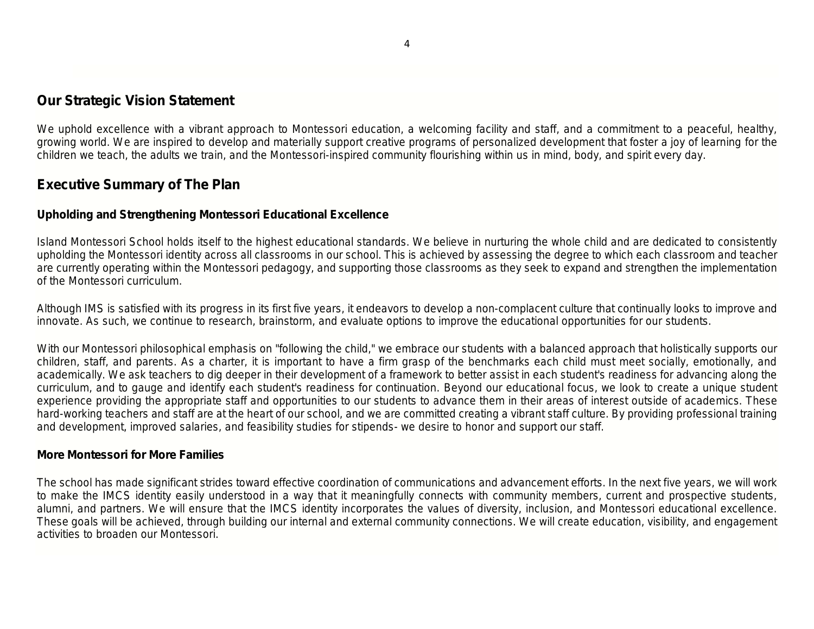# Our Strategic Vision Statement

We uphold excellence with a vibrant approach to Montessori education, a welcoming facility and staff, and a commitment to a peaceful, healthy, growing world. We are inspired to develop and materially support creative programs of personalized development that foster a joy of learning for the children we teach, the adults we train, and the Montessori-inspired community flourishing within us in mind, body, and spirit every day.

# Executive Summary of The Plan

# Upholding and Strengthening Montessori Educational Excellence

Island Montessori School holds itself to the highest educational standards. We believe in nurturing the whole child and are dedicated to consistently upholding the Montessori identity across all classrooms in our school. This is achieved by assessing the degree to which each classroom and teacher are currently operating within the Montessori pedagogy, and supporting those classrooms as they seek to expand and strengthen the implementation of the Montessori curriculum.

Although IMS is satisfied with its progress in its first five years, it endeavors to develop a non-complacent culture that continually looks to improve and innovate. As such, we continue to research, brainstorm, and evaluate options to improve the educational opportunities for our students.

With our Montessori philosophical emphasis on "following the child," we embrace our students with a balanced approach that holistically supports our children, staff, and parents. As a charter, it is important to have a firm grasp of the benchmarks each child must meet socially, emotionally, and academically. We ask teachers to dig deeper in their development of a framework to better assist in each student's readiness for advancing along the curriculum, and to gauge and identify each student's readiness for continuation. Beyond our educational focus, we look to create a unique student experience providing the appropriate staff and opportunities to our students to advance them in their areas of interest outside of academics. These hard-working teachers and staff are at the heart of our school, and we are committed creating a vibrant staff culture. By providing professional training and development, improved salaries, and feasibility studies for stipends- we desire to honor and support our staff.

### More Montessori for More Families

The school has made significant strides toward effective coordination of communications and advancement efforts. In the next five years, we will work to make the IMCS identity easily understood in a way that it meaningfully connects with community members, current and prospective students, alumni, and partners. We will ensure that the IMCS identity incorporates the values of diversity, inclusion, and Montessori educational excellence. These goals will be achieved, through building our internal and external community connections. We will create education, visibility, and engagement activities to broaden our Montessori.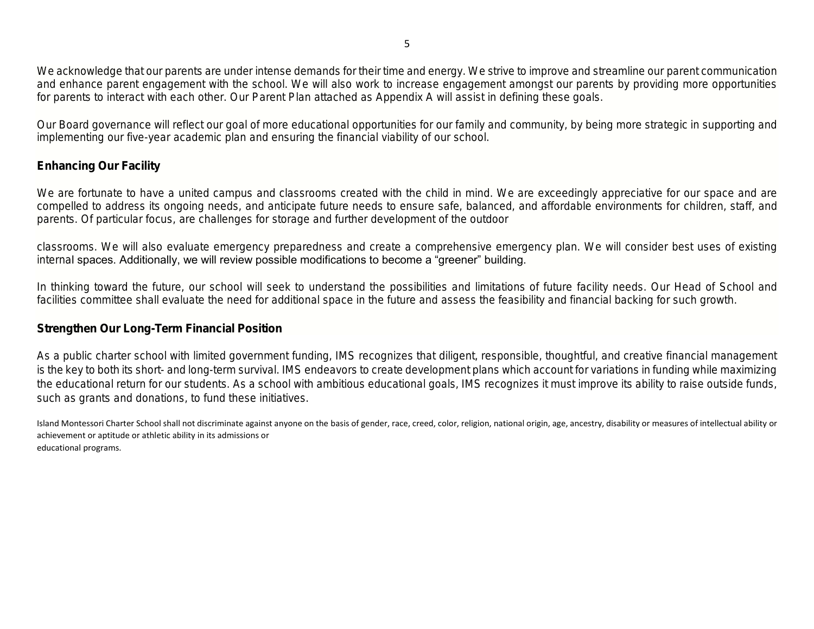We acknowledge that our parents are under intense demands for their time and energy. We strive to improve and streamline our parent communication and enhance parent engagement with the school. We will also work to increase engagement amongst our parents by providing more opportunities for parents to interact with each other. Our Parent Plan attached as Appendix A will assist in defining these goals.

Our Board governance will reflect our goal of more educational opportunities for our family and community, by being more strategic in supporting and implementing our five-year academic plan and ensuring the financial viability of our school.

# Enhancing Our Facility

We are fortunate to have a united campus and classrooms created with the child in mind. We are exceedingly appreciative for our space and are compelled to address its ongoing needs, and anticipate future needs to ensure safe, balanced, and affordable environments for children, staff, and parents. Of particular focus, are challenges for storage and further development of the outdoor

classrooms. We will also evaluate emergency preparedness and create a comprehensive emergency plan. We will consider best uses of existing internal spaces. Additionally, we will review possible modifications to become a "greener" building.

In thinking toward the future, our school will seek to understand the possibilities and limitations of future facility needs. Our Head of School and facilities committee shall evaluate the need for additional space in the future and assess the feasibility and financial backing for such growth.

### Strengthen Our Long-Term Financial Position

As a public charter school with limited government funding, IMS recognizes that diligent, responsible, thoughtful, and creative financial management is the key to both its short- and long-term survival. IMS endeavors to create development plans which account for variations in funding while maximizing the educational return for our students. As a school with ambitious educational goals, IMS recognizes it must improve its ability to raise outside funds, such as grants and donations, to fund these initiatives.

Island Montessori Charter School shall not discriminate against anyone on the basis of gender, race, creed, color, religion, national origin, age, ancestry, disability or measures of intellectual ability or achievement or aptitude or athletic ability in its admissions or educational programs.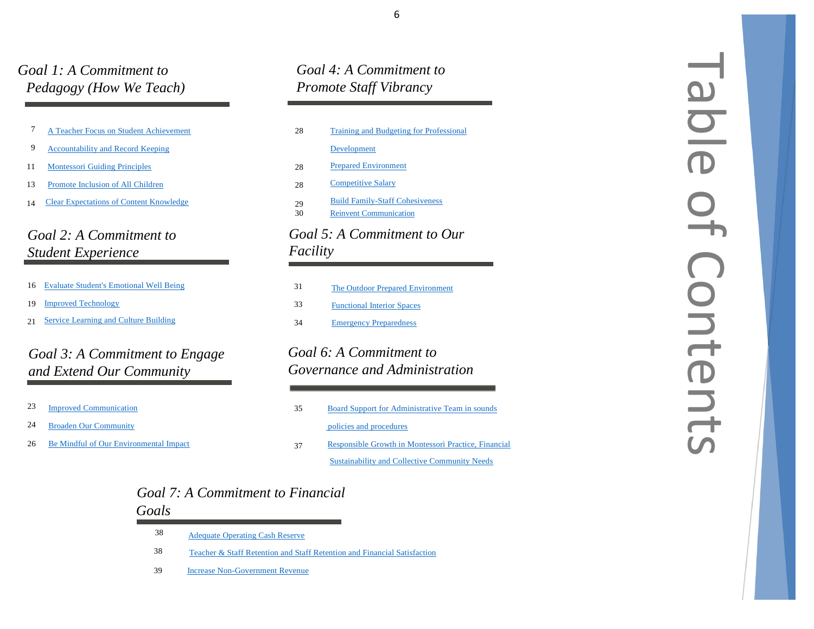# *Goal 1: A Commitment to Pedagogy (How We Teach)*

|  |  | A Teacher Focus on Student Achievement |
|--|--|----------------------------------------|
|  |  |                                        |

 $\mathbf{Q}$ 9 [Accountability](#page-8-0) and Record Keeping

1 **[Montessori](#page-10-0) Guiding Principles** 

- 13 3 [Promote](#page-12-0) Inclusion of All Children
- 1 4 Clear [Expectations](#page-13-0) of Content Knowledge

# *Goal 2: A Commitment to Student Experience*

- 16 Evaluate Student's [Emotional](#page-15-0) Well Being
- 19 Improved [Technology](#page-18-0)
- 21 [Service](#page-20-0) Learning and Culture Building

# *Goal 3: A Commitment to Engage and Extend Our Community*

- 23 **Improved [Communication](#page-22-0)**
- 24 **Broaden Our [Community](#page-23-0)**
- 26 6 Be Mindful of Our [Environmental](#page-25-0) Impact

# *Goal 4: A Commitment to Promote Staff Vibrancy*

| 28       | Training and Budgeting for Professional                                 |
|----------|-------------------------------------------------------------------------|
|          | Development                                                             |
| 28       | <b>Prepared Environment</b>                                             |
| 28       | <b>Competitive Salary</b>                                               |
| 29<br>30 | <b>Build Family-Staff Cohesiveness</b><br><b>Reinvent Communication</b> |
|          | Goal 5: A Commitment to Our                                             |
| Facility |                                                                         |

### 3 The Outdoor Prepared [Environment](#page-30-0) 33 3 [Functional](#page-32-0) Interior Spaces 34 **Emergency [Preparedness](#page-33-0)**

# *Goal 6: A Commitment to Governance and Administration*

- 35 5 Board Support for [Administrative](#page-34-0) Team in sounds  [policies](#page-34-0) and procedures
- 37 [Responsible](#page-36-0) Growth in Montessori Practice, Financial [Sustainability](#page-36-0) and Collective Community Needs

# <span id="page-5-0"></span>Table of Contents aldis<br>9  $\frac{1}{2}$ Contents

# *Goal 7: A Commitment to Financial Goals*

- 3 8 [Adequate](#page-37-0) Operating Cash Reserve
- 3 8 Teacher & Staff Retention and Staff Retention [and Financial](#page-37-1) Satisfaction
- 39 Increase Non [-Government](#page-38-0) Revenue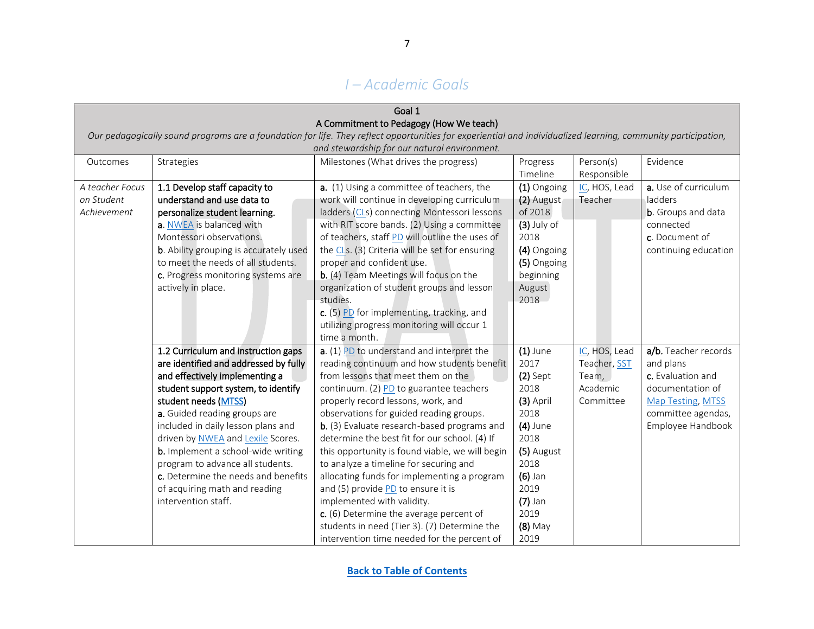# *I – Academic Goals*

<span id="page-6-0"></span>

| Goal 1          |                                                |                                                                                                                                                               |               |               |                            |  |  |
|-----------------|------------------------------------------------|---------------------------------------------------------------------------------------------------------------------------------------------------------------|---------------|---------------|----------------------------|--|--|
|                 |                                                | A Commitment to Pedagogy (How We teach)                                                                                                                       |               |               |                            |  |  |
|                 |                                                | Our pedagogically sound programs are a foundation for life. They reflect opportunities for experiential and individualized learning, community participation, |               |               |                            |  |  |
|                 |                                                | and stewardship for our natural environment.                                                                                                                  |               |               |                            |  |  |
| Outcomes        | Strategies                                     | Milestones (What drives the progress)                                                                                                                         | Progress      | Person(s)     | Evidence                   |  |  |
|                 | Responsible<br>Timeline                        |                                                                                                                                                               |               |               |                            |  |  |
| A teacher Focus | 1.1 Develop staff capacity to                  | a. (1) Using a committee of teachers, the                                                                                                                     | (1) Ongoing   | IC, HOS, Lead | a. Use of curriculum       |  |  |
| on Student      | understand and use data to                     | work will continue in developing curriculum                                                                                                                   | (2) August    | Teacher       | ladders                    |  |  |
| Achievement     | personalize student learning.                  | ladders (CLs) connecting Montessori lessons                                                                                                                   | of 2018       |               | <b>b</b> . Groups and data |  |  |
|                 | a. NWEA is balanced with                       | with RIT score bands. (2) Using a committee                                                                                                                   | $(3)$ July of |               | connected                  |  |  |
|                 | Montessori observations.                       | of teachers, staff PD will outline the uses of                                                                                                                | 2018          |               | c. Document of             |  |  |
|                 | <b>b</b> . Ability grouping is accurately used | the CLs. (3) Criteria will be set for ensuring                                                                                                                | (4) Ongoing   |               | continuing education       |  |  |
|                 | to meet the needs of all students.             | proper and confident use.                                                                                                                                     | (5) Ongoing   |               |                            |  |  |
|                 | c. Progress monitoring systems are             | b. (4) Team Meetings will focus on the                                                                                                                        | beginning     |               |                            |  |  |
|                 | actively in place.                             | organization of student groups and lesson                                                                                                                     | August        |               |                            |  |  |
|                 |                                                | studies.                                                                                                                                                      | 2018          |               |                            |  |  |
|                 |                                                | c. (5) PD for implementing, tracking, and                                                                                                                     |               |               |                            |  |  |
|                 |                                                | utilizing progress monitoring will occur 1                                                                                                                    |               |               |                            |  |  |
|                 |                                                | time a month.                                                                                                                                                 |               |               |                            |  |  |
|                 | 1.2 Curriculum and instruction gaps            | a. (1) PD to understand and interpret the                                                                                                                     | $(1)$ June    | IC, HOS, Lead | a/b. Teacher records       |  |  |
|                 | are identified and addressed by fully          | reading continuum and how students benefit                                                                                                                    | 2017          | Teacher, SST  | and plans                  |  |  |
|                 | and effectively implementing a                 | from lessons that meet them on the                                                                                                                            | $(2)$ Sept    | Team,         | c. Evaluation and          |  |  |
|                 | student support system, to identify            | continuum. (2) PD to guarantee teachers                                                                                                                       | 2018          | Academic      | documentation of           |  |  |
|                 | student needs (MTSS)                           | properly record lessons, work, and                                                                                                                            | $(3)$ April   | Committee     | Map Testing, MTSS          |  |  |
|                 | a. Guided reading groups are                   | observations for guided reading groups.                                                                                                                       | 2018          |               | committee agendas,         |  |  |
|                 | included in daily lesson plans and             | b. (3) Evaluate research-based programs and                                                                                                                   | $(4)$ June    |               | Employee Handbook          |  |  |
|                 | driven by NWEA and Lexile Scores.              | determine the best fit for our school. (4) If                                                                                                                 | 2018          |               |                            |  |  |
|                 | <b>b.</b> Implement a school-wide writing      | this opportunity is found viable, we will begin                                                                                                               | (5) August    |               |                            |  |  |
|                 | program to advance all students.               | to analyze a timeline for securing and                                                                                                                        | 2018          |               |                            |  |  |
|                 | c. Determine the needs and benefits            | allocating funds for implementing a program                                                                                                                   | $(6)$ Jan     |               |                            |  |  |
|                 | of acquiring math and reading                  | and (5) provide PD to ensure it is                                                                                                                            | 2019          |               |                            |  |  |
|                 | intervention staff.                            | implemented with validity.                                                                                                                                    | $(7)$ Jan     |               |                            |  |  |
|                 |                                                | c. (6) Determine the average percent of                                                                                                                       | 2019          |               |                            |  |  |
|                 |                                                | students in need (Tier 3). (7) Determine the                                                                                                                  | $(8)$ May     |               |                            |  |  |
|                 |                                                | intervention time needed for the percent of                                                                                                                   | 2019          |               |                            |  |  |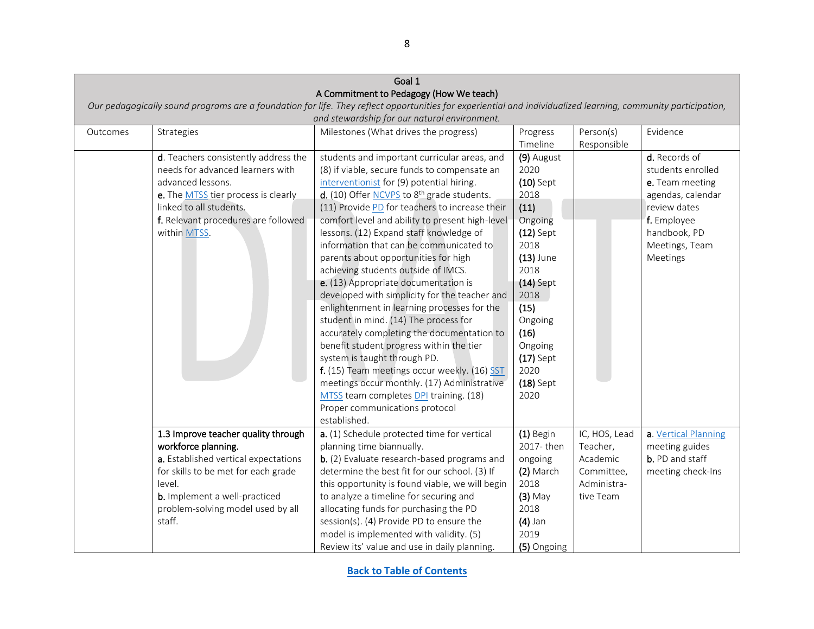|          | Goal 1                                                                                   |                                                                                                                                                               |             |               |                      |  |  |
|----------|------------------------------------------------------------------------------------------|---------------------------------------------------------------------------------------------------------------------------------------------------------------|-------------|---------------|----------------------|--|--|
|          |                                                                                          | A Commitment to Pedagogy (How We teach)                                                                                                                       |             |               |                      |  |  |
|          |                                                                                          | Our pedagogically sound programs are a foundation for life. They reflect opportunities for experiential and individualized learning, community participation, |             |               |                      |  |  |
|          |                                                                                          | and stewardship for our natural environment.                                                                                                                  |             |               |                      |  |  |
| Outcomes | Milestones (What drives the progress)<br>Evidence<br>Strategies<br>Person(s)<br>Progress |                                                                                                                                                               |             |               |                      |  |  |
|          |                                                                                          |                                                                                                                                                               | Timeline    | Responsible   |                      |  |  |
|          | d. Teachers consistently address the                                                     | students and important curricular areas, and                                                                                                                  | (9) August  |               | d. Records of        |  |  |
|          | needs for advanced learners with                                                         | (8) if viable, secure funds to compensate an                                                                                                                  | 2020        |               | students enrolled    |  |  |
|          | advanced lessons.                                                                        | interventionist for (9) potential hiring.                                                                                                                     | $(10)$ Sept |               | e. Team meeting      |  |  |
|          | e. The MTSS tier process is clearly                                                      | d. (10) Offer NCVPS to 8 <sup>th</sup> grade students.                                                                                                        | 2018        |               | agendas, calendar    |  |  |
|          | linked to all students.                                                                  | (11) Provide PD for teachers to increase their                                                                                                                | (11)        |               | review dates         |  |  |
|          | f. Relevant procedures are followed                                                      | comfort level and ability to present high-level                                                                                                               | Ongoing     |               | f. Employee          |  |  |
|          | within MTSS.                                                                             | lessons. (12) Expand staff knowledge of                                                                                                                       | $(12)$ Sept |               | handbook, PD         |  |  |
|          |                                                                                          | information that can be communicated to                                                                                                                       | 2018        |               | Meetings, Team       |  |  |
|          |                                                                                          | parents about opportunities for high                                                                                                                          | $(13)$ June |               | Meetings             |  |  |
|          |                                                                                          | achieving students outside of IMCS.                                                                                                                           | 2018        |               |                      |  |  |
|          |                                                                                          | e. (13) Appropriate documentation is                                                                                                                          | $(14)$ Sept |               |                      |  |  |
|          |                                                                                          | developed with simplicity for the teacher and                                                                                                                 | 2018        |               |                      |  |  |
|          |                                                                                          | enlightenment in learning processes for the                                                                                                                   | (15)        |               |                      |  |  |
|          |                                                                                          | student in mind. (14) The process for                                                                                                                         | Ongoing     |               |                      |  |  |
|          |                                                                                          | accurately completing the documentation to                                                                                                                    | (16)        |               |                      |  |  |
|          |                                                                                          | benefit student progress within the tier                                                                                                                      | Ongoing     |               |                      |  |  |
|          |                                                                                          | system is taught through PD.                                                                                                                                  | $(17)$ Sept |               |                      |  |  |
|          |                                                                                          | f. (15) Team meetings occur weekly. (16) SST                                                                                                                  | 2020        |               |                      |  |  |
|          |                                                                                          | meetings occur monthly. (17) Administrative                                                                                                                   | $(18)$ Sept |               |                      |  |  |
|          |                                                                                          | MTSS team completes DPI training. (18)                                                                                                                        | 2020        |               |                      |  |  |
|          |                                                                                          | Proper communications protocol                                                                                                                                |             |               |                      |  |  |
|          |                                                                                          | established.                                                                                                                                                  |             |               |                      |  |  |
|          | 1.3 Improve teacher quality through                                                      | a. (1) Schedule protected time for vertical                                                                                                                   | (1) Begin   | IC, HOS, Lead | a. Vertical Planning |  |  |
|          | workforce planning.                                                                      | planning time biannually.                                                                                                                                     | 2017-then   | Teacher,      | meeting guides       |  |  |
|          | a. Established vertical expectations                                                     | b. (2) Evaluate research-based programs and                                                                                                                   | ongoing     | Academic      | b. PD and staff      |  |  |
|          | for skills to be met for each grade                                                      | determine the best fit for our school. (3) If                                                                                                                 | (2) March   | Committee,    | meeting check-Ins    |  |  |
|          | level.                                                                                   | this opportunity is found viable, we will begin                                                                                                               | 2018        | Administra-   |                      |  |  |
|          | b. Implement a well-practiced                                                            | to analyze a timeline for securing and                                                                                                                        | $(3)$ May   | tive Team     |                      |  |  |
|          | problem-solving model used by all                                                        | allocating funds for purchasing the PD                                                                                                                        | 2018        |               |                      |  |  |
|          | staff.                                                                                   | session(s). (4) Provide PD to ensure the                                                                                                                      | $(4)$ Jan   |               |                      |  |  |
|          |                                                                                          | model is implemented with validity. (5)                                                                                                                       | 2019        |               |                      |  |  |
|          |                                                                                          | Review its' value and use in daily planning.                                                                                                                  | (5) Ongoing |               |                      |  |  |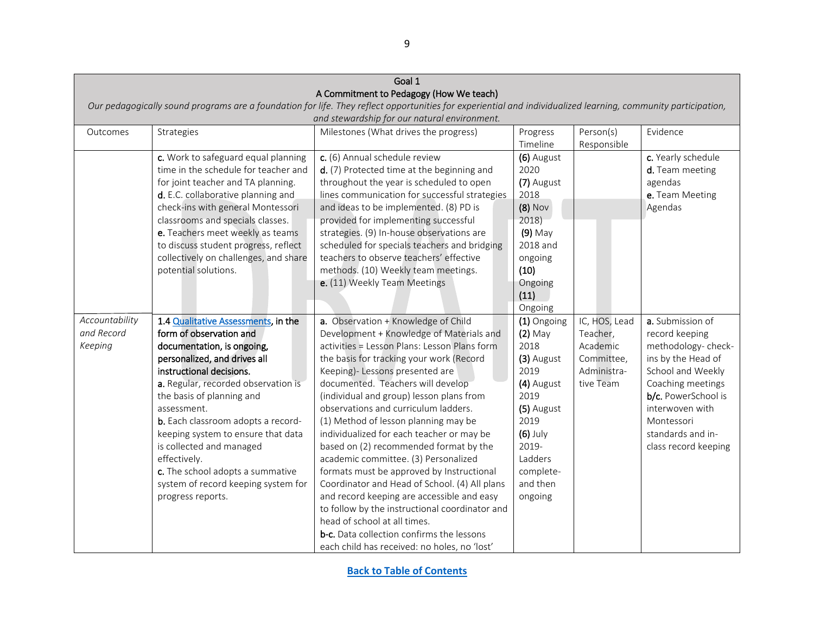<span id="page-8-0"></span>

|                | Goal 1                                                                                   |                                                                                                                                                               |             |               |                      |  |  |
|----------------|------------------------------------------------------------------------------------------|---------------------------------------------------------------------------------------------------------------------------------------------------------------|-------------|---------------|----------------------|--|--|
|                |                                                                                          | A Commitment to Pedagogy (How We teach)                                                                                                                       |             |               |                      |  |  |
|                |                                                                                          | Our pedagogically sound programs are a foundation for life. They reflect opportunities for experiential and individualized learning, community participation, |             |               |                      |  |  |
|                |                                                                                          | and stewardship for our natural environment.                                                                                                                  |             |               |                      |  |  |
| Outcomes       | Evidence<br>Milestones (What drives the progress)<br>Person(s)<br>Strategies<br>Progress |                                                                                                                                                               |             |               |                      |  |  |
|                |                                                                                          |                                                                                                                                                               | Timeline    | Responsible   |                      |  |  |
|                | c. Work to safeguard equal planning                                                      | c. (6) Annual schedule review                                                                                                                                 | (6) August  |               | c. Yearly schedule   |  |  |
|                | time in the schedule for teacher and                                                     | d. (7) Protected time at the beginning and                                                                                                                    | 2020        |               | d. Team meeting      |  |  |
|                | for joint teacher and TA planning.                                                       | throughout the year is scheduled to open                                                                                                                      | (7) August  |               | agendas              |  |  |
|                | d. E.C. collaborative planning and                                                       | lines communication for successful strategies                                                                                                                 | 2018        |               | e. Team Meeting      |  |  |
|                | check-ins with general Montessori                                                        | and ideas to be implemented. (8) PD is                                                                                                                        | $(8)$ Nov   |               | Agendas              |  |  |
|                | classrooms and specials classes.                                                         | provided for implementing successful                                                                                                                          | 2018)       |               |                      |  |  |
|                | e. Teachers meet weekly as teams                                                         | strategies. (9) In-house observations are                                                                                                                     | $(9)$ May   |               |                      |  |  |
|                | to discuss student progress, reflect                                                     | scheduled for specials teachers and bridging                                                                                                                  | 2018 and    |               |                      |  |  |
|                | collectively on challenges, and share                                                    | teachers to observe teachers' effective                                                                                                                       | ongoing     |               |                      |  |  |
|                | potential solutions.                                                                     | methods. (10) Weekly team meetings.                                                                                                                           | (10)        |               |                      |  |  |
|                |                                                                                          | e. (11) Weekly Team Meetings                                                                                                                                  | Ongoing     |               |                      |  |  |
|                |                                                                                          |                                                                                                                                                               | (11)        |               |                      |  |  |
|                |                                                                                          |                                                                                                                                                               | Ongoing     |               |                      |  |  |
| Accountability | 1.4 Qualitative Assessments, in the                                                      | a. Observation + Knowledge of Child                                                                                                                           | (1) Ongoing | IC, HOS, Lead | a. Submission of     |  |  |
| and Record     | form of observation and                                                                  | Development + Knowledge of Materials and                                                                                                                      | $(2)$ May   | Teacher,      | record keeping       |  |  |
| Keeping        | documentation, is ongoing,                                                               | activities = Lesson Plans: Lesson Plans form                                                                                                                  | 2018        | Academic      | methodology-check-   |  |  |
|                | personalized, and drives all                                                             | the basis for tracking your work (Record                                                                                                                      | (3) August  | Committee,    | ins by the Head of   |  |  |
|                | instructional decisions.                                                                 | Keeping)- Lessons presented are                                                                                                                               | 2019        | Administra-   | School and Weekly    |  |  |
|                | a. Regular, recorded observation is                                                      | documented. Teachers will develop                                                                                                                             | (4) August  | tive Team     | Coaching meetings    |  |  |
|                | the basis of planning and                                                                | (individual and group) lesson plans from                                                                                                                      | 2019        |               | b/c. PowerSchool is  |  |  |
|                | assessment.                                                                              | observations and curriculum ladders.                                                                                                                          | (5) August  |               | interwoven with      |  |  |
|                | b. Each classroom adopts a record-                                                       | (1) Method of lesson planning may be                                                                                                                          | 2019        |               | Montessori           |  |  |
|                | keeping system to ensure that data                                                       | individualized for each teacher or may be                                                                                                                     | $(6)$ July  |               | standards and in-    |  |  |
|                | is collected and managed                                                                 | based on (2) recommended format by the                                                                                                                        | 2019-       |               | class record keeping |  |  |
|                | effectively.                                                                             | academic committee. (3) Personalized                                                                                                                          | Ladders     |               |                      |  |  |
|                | c. The school adopts a summative                                                         | formats must be approved by Instructional                                                                                                                     | complete-   |               |                      |  |  |
|                | system of record keeping system for                                                      | Coordinator and Head of School. (4) All plans                                                                                                                 | and then    |               |                      |  |  |
|                | progress reports.                                                                        | and record keeping are accessible and easy                                                                                                                    | ongoing     |               |                      |  |  |
|                |                                                                                          | to follow by the instructional coordinator and                                                                                                                |             |               |                      |  |  |
|                |                                                                                          | head of school at all times.                                                                                                                                  |             |               |                      |  |  |
|                |                                                                                          | b-c. Data collection confirms the lessons                                                                                                                     |             |               |                      |  |  |
|                |                                                                                          | each child has received: no holes, no 'lost'                                                                                                                  |             |               |                      |  |  |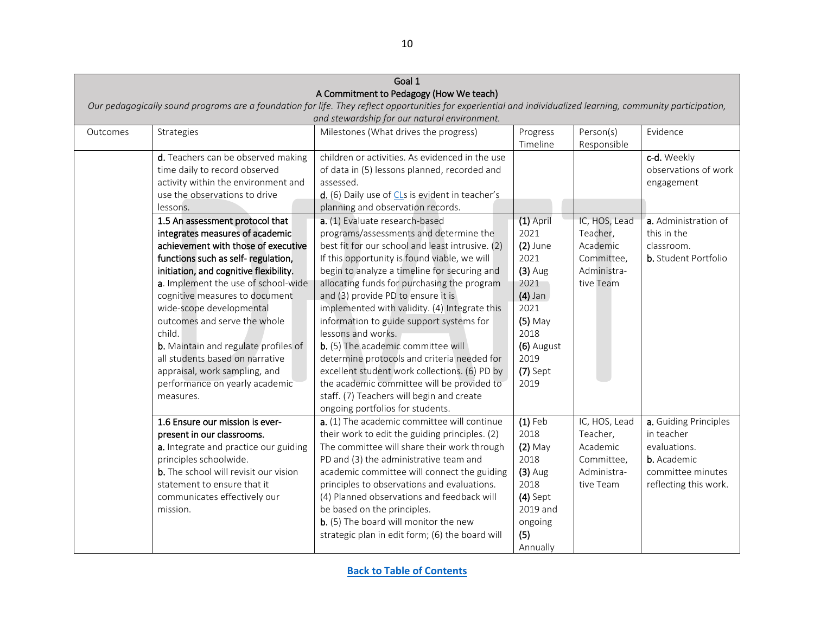|          | Goal 1                                                                                   |                                                                                                                                                               |             |               |                             |  |  |
|----------|------------------------------------------------------------------------------------------|---------------------------------------------------------------------------------------------------------------------------------------------------------------|-------------|---------------|-----------------------------|--|--|
|          |                                                                                          | A Commitment to Pedagogy (How We teach)                                                                                                                       |             |               |                             |  |  |
|          |                                                                                          | Our pedagogically sound programs are a foundation for life. They reflect opportunities for experiential and individualized learning, community participation, |             |               |                             |  |  |
|          |                                                                                          | and stewardship for our natural environment.                                                                                                                  |             |               |                             |  |  |
| Outcomes | Person(s)<br>Evidence<br>Strategies<br>Milestones (What drives the progress)<br>Progress |                                                                                                                                                               |             |               |                             |  |  |
|          |                                                                                          |                                                                                                                                                               | Timeline    | Responsible   |                             |  |  |
|          | d. Teachers can be observed making                                                       | children or activities. As evidenced in the use                                                                                                               |             |               | c-d. Weekly                 |  |  |
|          | time daily to record observed                                                            | of data in (5) lessons planned, recorded and                                                                                                                  |             |               | observations of work        |  |  |
|          | activity within the environment and                                                      | assessed.                                                                                                                                                     |             |               | engagement                  |  |  |
|          | use the observations to drive                                                            | d. (6) Daily use of CLs is evident in teacher's                                                                                                               |             |               |                             |  |  |
|          | lessons.                                                                                 | planning and observation records.                                                                                                                             |             |               |                             |  |  |
|          | 1.5 An assessment protocol that                                                          | a. (1) Evaluate research-based                                                                                                                                | $(1)$ April | IC, HOS, Lead | a. Administration of        |  |  |
|          | integrates measures of academic                                                          | programs/assessments and determine the                                                                                                                        | 2021        | Teacher,      | this in the                 |  |  |
|          | achievement with those of executive                                                      | best fit for our school and least intrusive. (2)                                                                                                              | $(2)$ June  | Academic      | classroom.                  |  |  |
|          | functions such as self-regulation,                                                       | If this opportunity is found viable, we will                                                                                                                  | 2021        | Committee,    | <b>b.</b> Student Portfolio |  |  |
|          | initiation, and cognitive flexibility.                                                   | begin to analyze a timeline for securing and                                                                                                                  | $(3)$ Aug   | Administra-   |                             |  |  |
|          | a. Implement the use of school-wide                                                      | allocating funds for purchasing the program                                                                                                                   | 2021        | tive Team     |                             |  |  |
|          | cognitive measures to document                                                           | and (3) provide PD to ensure it is                                                                                                                            | $(4)$ Jan   |               |                             |  |  |
|          | wide-scope developmental                                                                 | implemented with validity. (4) Integrate this                                                                                                                 | 2021        |               |                             |  |  |
|          | outcomes and serve the whole                                                             | information to guide support systems for                                                                                                                      | $(5)$ May   |               |                             |  |  |
|          | child.                                                                                   | lessons and works.                                                                                                                                            | 2018        |               |                             |  |  |
|          | <b>b.</b> Maintain and regulate profiles of                                              | b. (5) The academic committee will                                                                                                                            | (6) August  |               |                             |  |  |
|          | all students based on narrative                                                          | determine protocols and criteria needed for                                                                                                                   | 2019        |               |                             |  |  |
|          | appraisal, work sampling, and                                                            | excellent student work collections. (6) PD by                                                                                                                 | $(7)$ Sept  |               |                             |  |  |
|          | performance on yearly academic                                                           | the academic committee will be provided to                                                                                                                    | 2019        |               |                             |  |  |
|          | measures.                                                                                | staff. (7) Teachers will begin and create                                                                                                                     |             |               |                             |  |  |
|          |                                                                                          | ongoing portfolios for students.                                                                                                                              |             |               |                             |  |  |
|          | 1.6 Ensure our mission is ever-                                                          | a. (1) The academic committee will continue                                                                                                                   | $(1)$ Feb   | IC, HOS, Lead | a. Guiding Principles       |  |  |
|          | present in our classrooms.                                                               | their work to edit the guiding principles. (2)                                                                                                                | 2018        | Teacher,      | in teacher                  |  |  |
|          | a. Integrate and practice our guiding                                                    | The committee will share their work through                                                                                                                   | $(2)$ May   | Academic      | evaluations.                |  |  |
|          | principles schoolwide.                                                                   | PD and (3) the administrative team and                                                                                                                        | 2018        | Committee,    | b. Academic                 |  |  |
|          | <b>b.</b> The school will revisit our vision                                             | academic committee will connect the guiding                                                                                                                   | $(3)$ Aug   | Administra-   | committee minutes           |  |  |
|          | statement to ensure that it                                                              | principles to observations and evaluations.                                                                                                                   | 2018        | tive Team     | reflecting this work.       |  |  |
|          | communicates effectively our                                                             | (4) Planned observations and feedback will                                                                                                                    | $(4)$ Sept  |               |                             |  |  |
|          | mission.                                                                                 | be based on the principles.                                                                                                                                   | 2019 and    |               |                             |  |  |
|          |                                                                                          | b. (5) The board will monitor the new                                                                                                                         | ongoing     |               |                             |  |  |
|          |                                                                                          | strategic plan in edit form; (6) the board will                                                                                                               | (5)         |               |                             |  |  |
|          |                                                                                          |                                                                                                                                                               | Annually    |               |                             |  |  |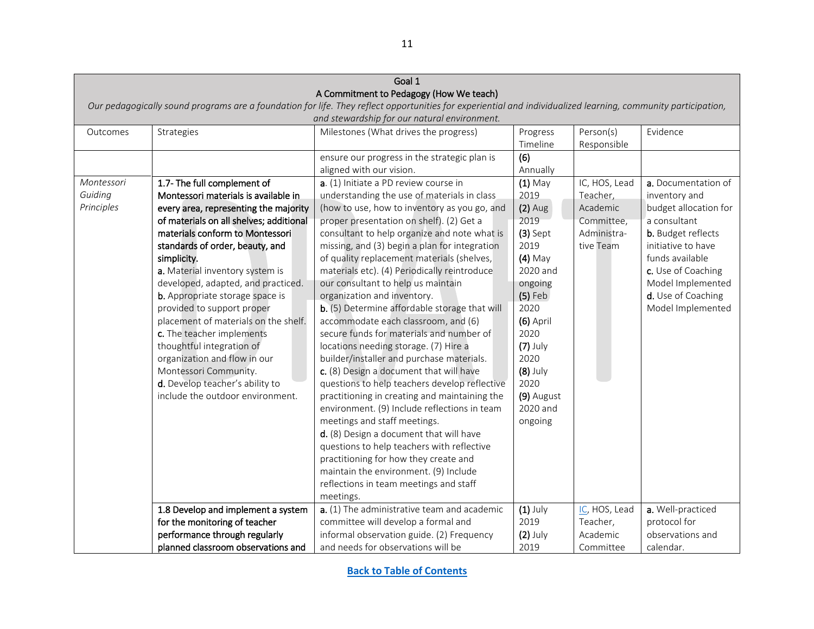<span id="page-10-0"></span>

| Goal 1                                                                                               |                                                                                                                                                               |                                               |            |               |                       |  |  |  |
|------------------------------------------------------------------------------------------------------|---------------------------------------------------------------------------------------------------------------------------------------------------------------|-----------------------------------------------|------------|---------------|-----------------------|--|--|--|
|                                                                                                      |                                                                                                                                                               | A Commitment to Pedagogy (How We teach)       |            |               |                       |  |  |  |
|                                                                                                      | Our pedagogically sound programs are a foundation for life. They reflect opportunities for experiential and individualized learning, community participation, |                                               |            |               |                       |  |  |  |
|                                                                                                      |                                                                                                                                                               | and stewardship for our natural environment.  |            |               |                       |  |  |  |
| Milestones (What drives the progress)<br>Person(s)<br>Evidence<br>Strategies<br>Outcomes<br>Progress |                                                                                                                                                               |                                               |            |               |                       |  |  |  |
|                                                                                                      |                                                                                                                                                               |                                               | Timeline   | Responsible   |                       |  |  |  |
|                                                                                                      |                                                                                                                                                               | ensure our progress in the strategic plan is  | (6)        |               |                       |  |  |  |
|                                                                                                      |                                                                                                                                                               | aligned with our vision.                      | Annually   |               |                       |  |  |  |
| Montessori                                                                                           | 1.7- The full complement of                                                                                                                                   | a. (1) Initiate a PD review course in         | $(1)$ May  | IC, HOS, Lead | a. Documentation of   |  |  |  |
| Guiding                                                                                              | Montessori materials is available in                                                                                                                          | understanding the use of materials in class   | 2019       | Teacher,      | inventory and         |  |  |  |
| Principles                                                                                           | every area, representing the majority                                                                                                                         | (how to use, how to inventory as you go, and  | $(2)$ Aug  | Academic      | budget allocation for |  |  |  |
|                                                                                                      | of materials on all shelves; additional                                                                                                                       | proper presentation on shelf). (2) Get a      | 2019       | Committee,    | a consultant          |  |  |  |
|                                                                                                      | materials conform to Montessori                                                                                                                               | consultant to help organize and note what is  | $(3)$ Sept | Administra-   | b. Budget reflects    |  |  |  |
|                                                                                                      | standards of order, beauty, and                                                                                                                               | missing, and (3) begin a plan for integration | 2019       | tive Team     | initiative to have    |  |  |  |
|                                                                                                      | simplicity.                                                                                                                                                   | of quality replacement materials (shelves,    | $(4)$ May  |               | funds available       |  |  |  |
|                                                                                                      | a. Material inventory system is                                                                                                                               | materials etc). (4) Periodically reintroduce  | 2020 and   |               | c. Use of Coaching    |  |  |  |
|                                                                                                      | developed, adapted, and practiced.                                                                                                                            | our consultant to help us maintain            | ongoing    |               | Model Implemented     |  |  |  |
|                                                                                                      | <b>b.</b> Appropriate storage space is                                                                                                                        | organization and inventory.                   | $(5)$ Feb  |               | d. Use of Coaching    |  |  |  |
|                                                                                                      | provided to support proper                                                                                                                                    | b. (5) Determine affordable storage that will | 2020       |               | Model Implemented     |  |  |  |
|                                                                                                      | placement of materials on the shelf.                                                                                                                          | accommodate each classroom, and (6)           | (6) April  |               |                       |  |  |  |
|                                                                                                      | c. The teacher implements                                                                                                                                     | secure funds for materials and number of      | 2020       |               |                       |  |  |  |
|                                                                                                      | thoughtful integration of                                                                                                                                     | locations needing storage. (7) Hire a         | $(7)$ July |               |                       |  |  |  |
|                                                                                                      | organization and flow in our                                                                                                                                  | builder/installer and purchase materials.     | 2020       |               |                       |  |  |  |
|                                                                                                      | Montessori Community.                                                                                                                                         | c. (8) Design a document that will have       | $(8)$ July |               |                       |  |  |  |
|                                                                                                      | d. Develop teacher's ability to                                                                                                                               | questions to help teachers develop reflective | 2020       |               |                       |  |  |  |
|                                                                                                      | include the outdoor environment.                                                                                                                              | practitioning in creating and maintaining the | (9) August |               |                       |  |  |  |
|                                                                                                      |                                                                                                                                                               | environment. (9) Include reflections in team  | 2020 and   |               |                       |  |  |  |
|                                                                                                      |                                                                                                                                                               | meetings and staff meetings.                  | ongoing    |               |                       |  |  |  |
|                                                                                                      |                                                                                                                                                               | d. (8) Design a document that will have       |            |               |                       |  |  |  |
|                                                                                                      |                                                                                                                                                               | questions to help teachers with reflective    |            |               |                       |  |  |  |
|                                                                                                      |                                                                                                                                                               | practitioning for how they create and         |            |               |                       |  |  |  |
|                                                                                                      |                                                                                                                                                               | maintain the environment. (9) Include         |            |               |                       |  |  |  |
|                                                                                                      |                                                                                                                                                               | reflections in team meetings and staff        |            |               |                       |  |  |  |
|                                                                                                      |                                                                                                                                                               | meetings.                                     |            |               |                       |  |  |  |
|                                                                                                      | 1.8 Develop and implement a system                                                                                                                            | a. (1) The administrative team and academic   | $(1)$ July | IC, HOS, Lead | a. Well-practiced     |  |  |  |
|                                                                                                      | for the monitoring of teacher                                                                                                                                 | committee will develop a formal and           | 2019       | Teacher,      | protocol for          |  |  |  |
|                                                                                                      | performance through regularly                                                                                                                                 | informal observation guide. (2) Frequency     | $(2)$ July | Academic      | observations and      |  |  |  |
|                                                                                                      | planned classroom observations and                                                                                                                            | and needs for observations will be            | 2019       | Committee     | calendar.             |  |  |  |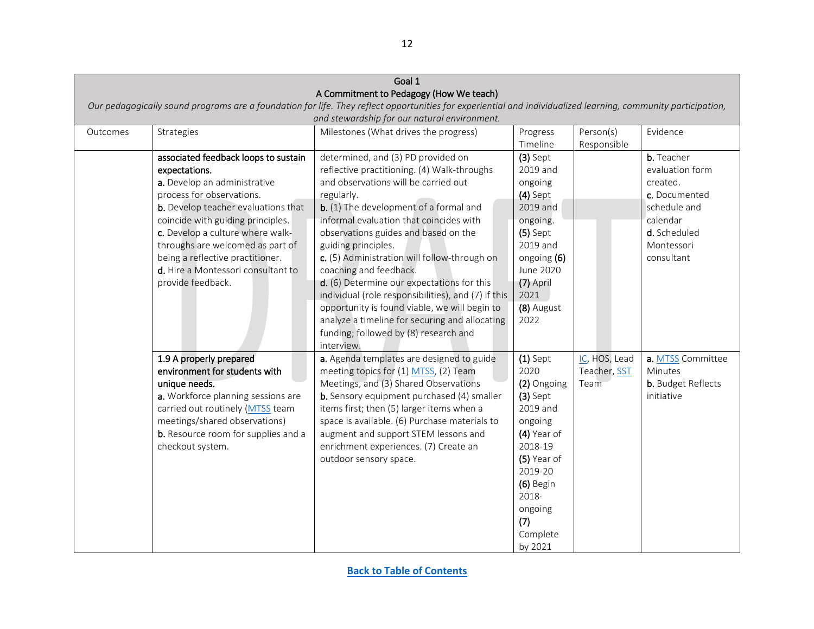| Goal 1                                                                                               |                                            |                                                                                                                                                               |             |               |                    |  |
|------------------------------------------------------------------------------------------------------|--------------------------------------------|---------------------------------------------------------------------------------------------------------------------------------------------------------------|-------------|---------------|--------------------|--|
|                                                                                                      |                                            | A Commitment to Pedagogy (How We teach)                                                                                                                       |             |               |                    |  |
|                                                                                                      |                                            | Our pedagogically sound programs are a foundation for life. They reflect opportunities for experiential and individualized learning, community participation, |             |               |                    |  |
|                                                                                                      |                                            | and stewardship for our natural environment.                                                                                                                  |             |               |                    |  |
| Milestones (What drives the progress)<br>Person(s)<br>Evidence<br>Strategies<br>Progress<br>Outcomes |                                            |                                                                                                                                                               |             |               |                    |  |
|                                                                                                      |                                            |                                                                                                                                                               | Timeline    | Responsible   |                    |  |
|                                                                                                      | associated feedback loops to sustain       | determined, and (3) PD provided on                                                                                                                            | $(3)$ Sept  |               | b. Teacher         |  |
|                                                                                                      | expectations.                              | reflective practitioning. (4) Walk-throughs                                                                                                                   | 2019 and    |               | evaluation form    |  |
|                                                                                                      | a. Develop an administrative               | and observations will be carried out                                                                                                                          | ongoing     |               | created.           |  |
|                                                                                                      | process for observations.                  | regularly.                                                                                                                                                    | $(4)$ Sept  |               | c. Documented      |  |
|                                                                                                      | <b>b.</b> Develop teacher evaluations that | b. (1) The development of a formal and                                                                                                                        | 2019 and    |               | schedule and       |  |
|                                                                                                      | coincide with guiding principles.          | informal evaluation that coincides with                                                                                                                       | ongoing.    |               | calendar           |  |
|                                                                                                      | c. Develop a culture where walk-           | observations guides and based on the                                                                                                                          | $(5)$ Sept  |               | d. Scheduled       |  |
|                                                                                                      | throughs are welcomed as part of           | guiding principles.                                                                                                                                           | 2019 and    |               | Montessori         |  |
|                                                                                                      | being a reflective practitioner.           | c. (5) Administration will follow-through on                                                                                                                  | ongoing (6) |               | consultant         |  |
|                                                                                                      | d. Hire a Montessori consultant to         | coaching and feedback.                                                                                                                                        | June 2020   |               |                    |  |
|                                                                                                      | provide feedback.                          | d. (6) Determine our expectations for this                                                                                                                    | (7) April   |               |                    |  |
|                                                                                                      |                                            | individual (role responsibilities), and (7) if this                                                                                                           | 2021        |               |                    |  |
|                                                                                                      |                                            | opportunity is found viable, we will begin to                                                                                                                 | (8) August  |               |                    |  |
|                                                                                                      |                                            | analyze a timeline for securing and allocating                                                                                                                | 2022        |               |                    |  |
|                                                                                                      |                                            | funding; followed by (8) research and                                                                                                                         |             |               |                    |  |
|                                                                                                      |                                            | interview.                                                                                                                                                    |             |               |                    |  |
|                                                                                                      | 1.9 A properly prepared                    | a. Agenda templates are designed to guide                                                                                                                     | $(1)$ Sept  | IC, HOS, Lead | a. MTSS Committee  |  |
|                                                                                                      | environment for students with              | meeting topics for (1) MTSS, (2) Team                                                                                                                         | 2020        | Teacher, SST  | Minutes            |  |
|                                                                                                      | unique needs.                              | Meetings, and (3) Shared Observations                                                                                                                         | (2) Ongoing | Team          | b. Budget Reflects |  |
|                                                                                                      | a. Workforce planning sessions are         | <b>b.</b> Sensory equipment purchased (4) smaller                                                                                                             | $(3)$ Sept  |               | initiative         |  |
|                                                                                                      | carried out routinely (MTSS team           | items first; then (5) larger items when a                                                                                                                     | 2019 and    |               |                    |  |
|                                                                                                      | meetings/shared observations)              | space is available. (6) Purchase materials to                                                                                                                 | ongoing     |               |                    |  |
|                                                                                                      | <b>b.</b> Resource room for supplies and a | augment and support STEM lessons and                                                                                                                          | (4) Year of |               |                    |  |
|                                                                                                      | checkout system.                           | enrichment experiences. (7) Create an                                                                                                                         | 2018-19     |               |                    |  |
|                                                                                                      |                                            | outdoor sensory space.                                                                                                                                        | (5) Year of |               |                    |  |
|                                                                                                      |                                            |                                                                                                                                                               | 2019-20     |               |                    |  |
|                                                                                                      |                                            |                                                                                                                                                               | (6) Begin   |               |                    |  |
|                                                                                                      |                                            |                                                                                                                                                               | 2018-       |               |                    |  |
|                                                                                                      |                                            |                                                                                                                                                               | ongoing     |               |                    |  |
|                                                                                                      |                                            |                                                                                                                                                               | (7)         |               |                    |  |
|                                                                                                      |                                            |                                                                                                                                                               | Complete    |               |                    |  |
|                                                                                                      |                                            |                                                                                                                                                               | by 2021     |               |                    |  |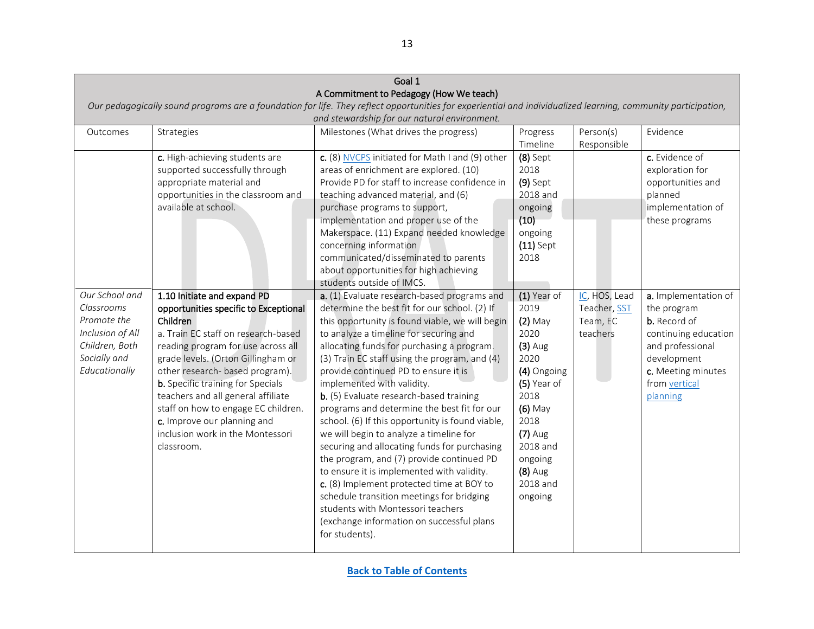<span id="page-12-0"></span>

|                                                                                                      | Goal 1                                   |                                                                                                                                                               |             |               |                      |  |  |
|------------------------------------------------------------------------------------------------------|------------------------------------------|---------------------------------------------------------------------------------------------------------------------------------------------------------------|-------------|---------------|----------------------|--|--|
|                                                                                                      |                                          | A Commitment to Pedagogy (How We teach)                                                                                                                       |             |               |                      |  |  |
|                                                                                                      |                                          | Our pedagogically sound programs are a foundation for life. They reflect opportunities for experiential and individualized learning, community participation, |             |               |                      |  |  |
|                                                                                                      |                                          | and stewardship for our natural environment.                                                                                                                  |             |               |                      |  |  |
| Strategies<br>Milestones (What drives the progress)<br>Person(s)<br>Evidence<br>Outcomes<br>Progress |                                          |                                                                                                                                                               |             |               |                      |  |  |
|                                                                                                      |                                          |                                                                                                                                                               | Timeline    | Responsible   |                      |  |  |
|                                                                                                      | c. High-achieving students are           | c. (8) NVCPS initiated for Math I and (9) other                                                                                                               | $(8)$ Sept  |               | c. Evidence of       |  |  |
|                                                                                                      | supported successfully through           | areas of enrichment are explored. (10)                                                                                                                        | 2018        |               | exploration for      |  |  |
|                                                                                                      | appropriate material and                 | Provide PD for staff to increase confidence in                                                                                                                | $(9)$ Sept  |               | opportunities and    |  |  |
|                                                                                                      | opportunities in the classroom and       | teaching advanced material, and (6)                                                                                                                           | 2018 and    |               | planned              |  |  |
|                                                                                                      | available at school.                     | purchase programs to support,                                                                                                                                 | ongoing     |               | implementation of    |  |  |
|                                                                                                      |                                          | implementation and proper use of the                                                                                                                          | (10)        |               | these programs       |  |  |
|                                                                                                      |                                          | Makerspace. (11) Expand needed knowledge                                                                                                                      | ongoing     |               |                      |  |  |
|                                                                                                      |                                          | concerning information                                                                                                                                        | $(11)$ Sept |               |                      |  |  |
|                                                                                                      |                                          | communicated/disseminated to parents                                                                                                                          | 2018        |               |                      |  |  |
|                                                                                                      |                                          | about opportunities for high achieving                                                                                                                        |             |               |                      |  |  |
|                                                                                                      |                                          | students outside of IMCS.                                                                                                                                     |             |               |                      |  |  |
| Our School and                                                                                       | 1.10 Initiate and expand PD              | a. (1) Evaluate research-based programs and                                                                                                                   | (1) Year of | IC, HOS, Lead | a. Implementation of |  |  |
| Classrooms                                                                                           | opportunities specific to Exceptional    | determine the best fit for our school. (2) If                                                                                                                 | 2019        | Teacher, SST  | the program          |  |  |
| Promote the                                                                                          | Children                                 | this opportunity is found viable, we will begin                                                                                                               | $(2)$ May   | Team, EC      | b. Record of         |  |  |
| Inclusion of All                                                                                     | a. Train EC staff on research-based      | to analyze a timeline for securing and                                                                                                                        | 2020        | teachers      | continuing education |  |  |
| Children, Both                                                                                       | reading program for use across all       | allocating funds for purchasing a program.                                                                                                                    | $(3)$ Aug   |               | and professional     |  |  |
| Socially and                                                                                         | grade levels. (Orton Gillingham or       | (3) Train EC staff using the program, and (4)                                                                                                                 | 2020        |               | development          |  |  |
| Educationally                                                                                        | other research- based program).          | provide continued PD to ensure it is                                                                                                                          | (4) Ongoing |               | c. Meeting minutes   |  |  |
|                                                                                                      | <b>b.</b> Specific training for Specials | implemented with validity.                                                                                                                                    | (5) Year of |               | from vertical        |  |  |
|                                                                                                      | teachers and all general affiliate       | b. (5) Evaluate research-based training                                                                                                                       | 2018        |               | planning             |  |  |
|                                                                                                      | staff on how to engage EC children.      | programs and determine the best fit for our                                                                                                                   | $(6)$ May   |               |                      |  |  |
|                                                                                                      | c. Improve our planning and              | school. (6) If this opportunity is found viable,                                                                                                              | 2018        |               |                      |  |  |
|                                                                                                      | inclusion work in the Montessori         | we will begin to analyze a timeline for                                                                                                                       | $(7)$ Aug   |               |                      |  |  |
|                                                                                                      | classroom.                               | securing and allocating funds for purchasing                                                                                                                  | 2018 and    |               |                      |  |  |
|                                                                                                      |                                          | the program, and (7) provide continued PD                                                                                                                     | ongoing     |               |                      |  |  |
|                                                                                                      |                                          | to ensure it is implemented with validity.                                                                                                                    | $(8)$ Aug   |               |                      |  |  |
|                                                                                                      |                                          | c. (8) Implement protected time at BOY to                                                                                                                     | 2018 and    |               |                      |  |  |
|                                                                                                      |                                          | schedule transition meetings for bridging                                                                                                                     | ongoing     |               |                      |  |  |
|                                                                                                      |                                          | students with Montessori teachers                                                                                                                             |             |               |                      |  |  |
|                                                                                                      |                                          | (exchange information on successful plans                                                                                                                     |             |               |                      |  |  |
|                                                                                                      |                                          | for students).                                                                                                                                                |             |               |                      |  |  |
|                                                                                                      |                                          |                                                                                                                                                               |             |               |                      |  |  |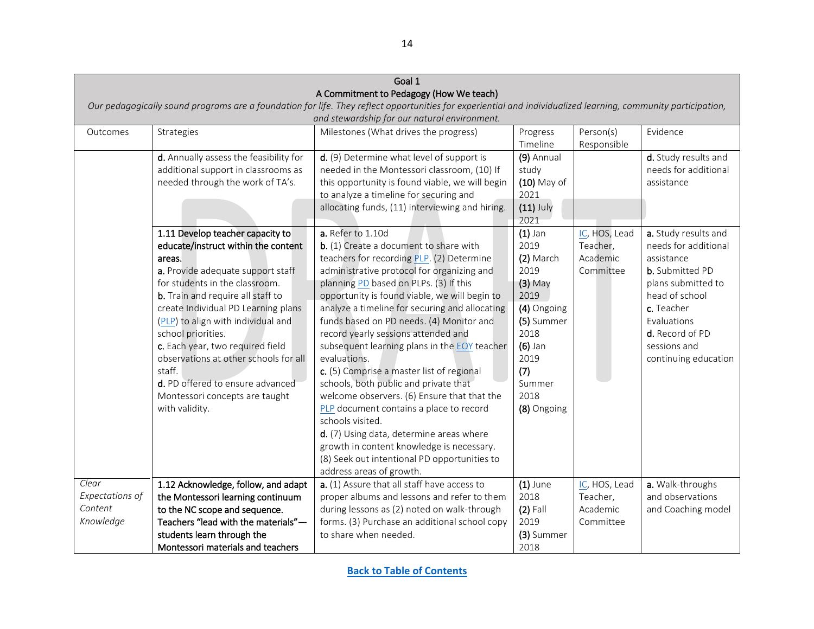<span id="page-13-0"></span>

|                                                                                                                                                               |                                          | Goal 1                                          |               |               |                        |  |  |
|---------------------------------------------------------------------------------------------------------------------------------------------------------------|------------------------------------------|-------------------------------------------------|---------------|---------------|------------------------|--|--|
|                                                                                                                                                               |                                          | A Commitment to Pedagogy (How We teach)         |               |               |                        |  |  |
| Our pedagogically sound programs are a foundation for life. They reflect opportunities for experiential and individualized learning, community participation, |                                          |                                                 |               |               |                        |  |  |
|                                                                                                                                                               |                                          | and stewardship for our natural environment.    |               |               |                        |  |  |
| Outcomes                                                                                                                                                      | Strategies                               | Milestones (What drives the progress)           | Progress      | Person(s)     | Evidence               |  |  |
|                                                                                                                                                               |                                          |                                                 | Timeline      | Responsible   |                        |  |  |
|                                                                                                                                                               | d. Annually assess the feasibility for   | d. (9) Determine what level of support is       | (9) Annual    |               | d. Study results and   |  |  |
|                                                                                                                                                               | additional support in classrooms as      | needed in the Montessori classroom, (10) If     | study         |               | needs for additional   |  |  |
|                                                                                                                                                               | needed through the work of TA's.         | this opportunity is found viable, we will begin | $(10)$ May of |               | assistance             |  |  |
|                                                                                                                                                               |                                          | to analyze a timeline for securing and          | 2021          |               |                        |  |  |
|                                                                                                                                                               |                                          | allocating funds, (11) interviewing and hiring. | $(11)$ July   |               |                        |  |  |
|                                                                                                                                                               |                                          |                                                 | 2021          |               |                        |  |  |
|                                                                                                                                                               | 1.11 Develop teacher capacity to         | a. Refer to 1.10d                               | $(1)$ Jan     | IC, HOS, Lead | a. Study results and   |  |  |
|                                                                                                                                                               | educate/instruct within the content      | b. (1) Create a document to share with          | 2019          | Teacher,      | needs for additional   |  |  |
|                                                                                                                                                               | areas.                                   | teachers for recording PLP. (2) Determine       | (2) March     | Academic      | assistance             |  |  |
|                                                                                                                                                               | a. Provide adequate support staff        | administrative protocol for organizing and      | 2019          | Committee     | <b>b.</b> Submitted PD |  |  |
|                                                                                                                                                               | for students in the classroom.           | planning PD based on PLPs. (3) If this          | $(3)$ May     |               | plans submitted to     |  |  |
|                                                                                                                                                               | <b>b.</b> Train and require all staff to | opportunity is found viable, we will begin to   | 2019          |               | head of school         |  |  |
|                                                                                                                                                               | create Individual PD Learning plans      | analyze a timeline for securing and allocating  | (4) Ongoing   |               | c. Teacher             |  |  |
|                                                                                                                                                               | (PLP) to align with individual and       | funds based on PD needs. (4) Monitor and        | (5) Summer    |               | Evaluations            |  |  |
|                                                                                                                                                               | school priorities.                       | record yearly sessions attended and             | 2018          |               | d. Record of PD        |  |  |
|                                                                                                                                                               | c. Each year, two required field         | subsequent learning plans in the EOY teacher    | $(6)$ Jan     |               | sessions and           |  |  |
|                                                                                                                                                               | observations at other schools for all    | evaluations.                                    | 2019          |               | continuing education   |  |  |
|                                                                                                                                                               | staff.                                   | c. (5) Comprise a master list of regional       | (7)           |               |                        |  |  |
|                                                                                                                                                               | d. PD offered to ensure advanced         | schools, both public and private that           | Summer        |               |                        |  |  |
|                                                                                                                                                               | Montessori concepts are taught           | welcome observers. (6) Ensure that that the     | 2018          |               |                        |  |  |
|                                                                                                                                                               | with validity.                           | PLP document contains a place to record         | (8) Ongoing   |               |                        |  |  |
|                                                                                                                                                               |                                          | schools visited.                                |               |               |                        |  |  |
|                                                                                                                                                               |                                          | d. (7) Using data, determine areas where        |               |               |                        |  |  |
|                                                                                                                                                               |                                          | growth in content knowledge is necessary.       |               |               |                        |  |  |
|                                                                                                                                                               |                                          | (8) Seek out intentional PD opportunities to    |               |               |                        |  |  |
|                                                                                                                                                               |                                          | address areas of growth.                        |               |               |                        |  |  |
| Clear                                                                                                                                                         | 1.12 Acknowledge, follow, and adapt      | a. (1) Assure that all staff have access to     | $(1)$ June    | IC, HOS, Lead | a. Walk-throughs       |  |  |
| Expectations of                                                                                                                                               | the Montessori learning continuum        | proper albums and lessons and refer to them     | 2018          | Teacher,      | and observations       |  |  |
| Content                                                                                                                                                       | to the NC scope and sequence.            | during lessons as (2) noted on walk-through     | $(2)$ Fall    | Academic      | and Coaching model     |  |  |
| Knowledge                                                                                                                                                     | Teachers "lead with the materials"-      | forms. (3) Purchase an additional school copy   | 2019          | Committee     |                        |  |  |
|                                                                                                                                                               | students learn through the               | to share when needed                            | (3) Summer    |               |                        |  |  |
|                                                                                                                                                               | Montessori materials and teachers        |                                                 | 2018          |               |                        |  |  |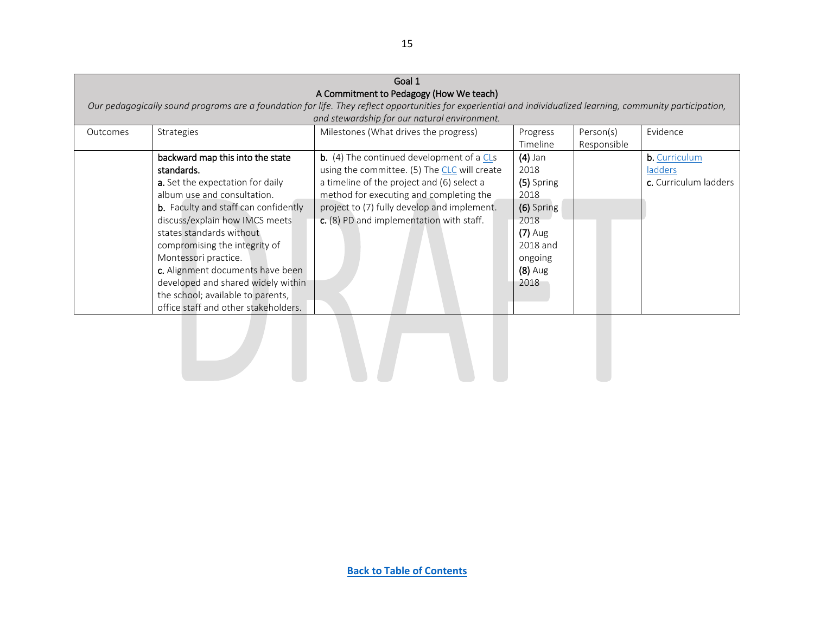|          | Goal 1                                      |                                                                                                                                                               |            |             |                       |  |  |
|----------|---------------------------------------------|---------------------------------------------------------------------------------------------------------------------------------------------------------------|------------|-------------|-----------------------|--|--|
|          |                                             | A Commitment to Pedagogy (How We teach)                                                                                                                       |            |             |                       |  |  |
|          |                                             | Our pedagogically sound programs are a foundation for life. They reflect opportunities for experiential and individualized learning, community participation, |            |             |                       |  |  |
|          |                                             | and stewardship for our natural environment.                                                                                                                  |            |             |                       |  |  |
| Outcomes | Strategies                                  | Milestones (What drives the progress)                                                                                                                         | Progress   | Person(s)   | Evidence              |  |  |
|          |                                             |                                                                                                                                                               | Timeline   | Responsible |                       |  |  |
|          | backward map this into the state            | <b>b.</b> (4) The continued development of a CLs                                                                                                              | $(4)$ Jan  |             | b. Curriculum         |  |  |
|          | standards.                                  | using the committee. (5) The CLC will create                                                                                                                  | 2018       |             | ladders               |  |  |
|          | a. Set the expectation for daily            | a timeline of the project and (6) select a                                                                                                                    | (5) Spring |             | c. Curriculum ladders |  |  |
|          | album use and consultation.                 | method for executing and completing the                                                                                                                       | 2018       |             |                       |  |  |
|          | <b>b.</b> Faculty and staff can confidently | project to (7) fully develop and implement.                                                                                                                   | (6) Spring |             |                       |  |  |
|          | discuss/explain how IMCS meets              | c. (8) PD and implementation with staff.                                                                                                                      | 2018       |             |                       |  |  |
|          | states standards without                    |                                                                                                                                                               | $(7)$ Aug  |             |                       |  |  |
|          | compromising the integrity of               |                                                                                                                                                               | 2018 and   |             |                       |  |  |
|          | Montessori practice.                        |                                                                                                                                                               | ongoing    |             |                       |  |  |
|          | c. Alignment documents have been            |                                                                                                                                                               | $(8)$ Aug  |             |                       |  |  |
|          | developed and shared widely within          |                                                                                                                                                               | 2018       |             |                       |  |  |
|          | the school; available to parents,           |                                                                                                                                                               |            |             |                       |  |  |
|          | office staff and other stakeholders.        |                                                                                                                                                               |            |             |                       |  |  |
|          |                                             |                                                                                                                                                               |            |             |                       |  |  |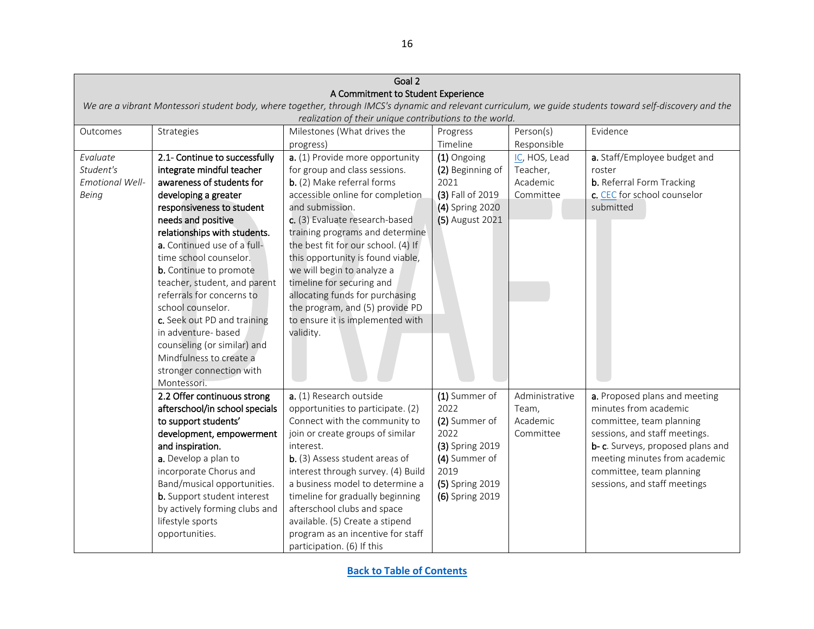<span id="page-15-0"></span>

| Goal 2                 |                                    |                                                         |                  |                |                                                                                                                                                           |
|------------------------|------------------------------------|---------------------------------------------------------|------------------|----------------|-----------------------------------------------------------------------------------------------------------------------------------------------------------|
|                        |                                    | A Commitment to Student Experience                      |                  |                |                                                                                                                                                           |
|                        |                                    |                                                         |                  |                | We are a vibrant Montessori student body, where together, through IMCS's dynamic and relevant curriculum, we guide students toward self-discovery and the |
|                        |                                    | realization of their unique contributions to the world. |                  |                |                                                                                                                                                           |
| Outcomes               | Strategies                         | Milestones (What drives the                             | Progress         | Person(s)      | Evidence                                                                                                                                                  |
|                        |                                    | progress)                                               | Timeline         | Responsible    |                                                                                                                                                           |
| Evaluate               | 2.1- Continue to successfully      | a. (1) Provide more opportunity                         | (1) Ongoing      | IC, HOS, Lead  | a. Staff/Employee budget and                                                                                                                              |
| Student's              | integrate mindful teacher          | for group and class sessions.                           | (2) Beginning of | Teacher,       | roster                                                                                                                                                    |
| <b>Emotional Well-</b> | awareness of students for          | b. (2) Make referral forms                              | 2021             | Academic       | <b>b.</b> Referral Form Tracking                                                                                                                          |
| Being                  | developing a greater               | accessible online for completion                        | (3) Fall of 2019 | Committee      | c. CEC for school counselor                                                                                                                               |
|                        | responsiveness to student          | and submission.                                         | (4) Spring 2020  |                | submitted                                                                                                                                                 |
|                        | needs and positive                 | c. (3) Evaluate research-based                          | (5) August 2021  |                |                                                                                                                                                           |
|                        | relationships with students.       | training programs and determine                         |                  |                |                                                                                                                                                           |
|                        | a. Continued use of a full-        | the best fit for our school. (4) If                     |                  |                |                                                                                                                                                           |
|                        | time school counselor.             | this opportunity is found viable,                       |                  |                |                                                                                                                                                           |
|                        | b. Continue to promote             | we will begin to analyze a                              |                  |                |                                                                                                                                                           |
|                        | teacher, student, and parent       | timeline for securing and                               |                  |                |                                                                                                                                                           |
|                        | referrals for concerns to          | allocating funds for purchasing                         |                  |                |                                                                                                                                                           |
|                        | school counselor.                  | the program, and (5) provide PD                         |                  |                |                                                                                                                                                           |
|                        | c. Seek out PD and training        | to ensure it is implemented with                        |                  |                |                                                                                                                                                           |
|                        | in adventure- based                | validity.                                               |                  |                |                                                                                                                                                           |
|                        | counseling (or similar) and        |                                                         |                  |                |                                                                                                                                                           |
|                        | Mindfulness to create a            |                                                         |                  |                |                                                                                                                                                           |
|                        | stronger connection with           |                                                         |                  |                |                                                                                                                                                           |
|                        | Montessori.                        |                                                         |                  |                |                                                                                                                                                           |
|                        | 2.2 Offer continuous strong        | a. (1) Research outside                                 | (1) Summer of    | Administrative | a. Proposed plans and meeting                                                                                                                             |
|                        | afterschool/in school specials     | opportunities to participate. (2)                       | 2022             | Team,          | minutes from academic                                                                                                                                     |
|                        | to support students'               | Connect with the community to                           | (2) Summer of    | Academic       | committee, team planning                                                                                                                                  |
|                        | development, empowerment           | join or create groups of similar                        | 2022             | Committee      | sessions, and staff meetings.                                                                                                                             |
|                        | and inspiration.                   | interest.                                               | (3) Spring 2019  |                | b- c. Surveys, proposed plans and                                                                                                                         |
|                        | a. Develop a plan to               | b. (3) Assess student areas of                          | (4) Summer of    |                | meeting minutes from academic                                                                                                                             |
|                        | incorporate Chorus and             | interest through survey. (4) Build                      | 2019             |                | committee, team planning                                                                                                                                  |
|                        | Band/musical opportunities.        | a business model to determine a                         | (5) Spring 2019  |                | sessions, and staff meetings                                                                                                                              |
|                        | <b>b.</b> Support student interest | timeline for gradually beginning                        | (6) Spring 2019  |                |                                                                                                                                                           |
|                        | by actively forming clubs and      | afterschool clubs and space                             |                  |                |                                                                                                                                                           |
|                        | lifestyle sports                   | available. (5) Create a stipend                         |                  |                |                                                                                                                                                           |
|                        | opportunities.                     | program as an incentive for staff                       |                  |                |                                                                                                                                                           |
|                        |                                    | participation. (6) If this                              |                  |                |                                                                                                                                                           |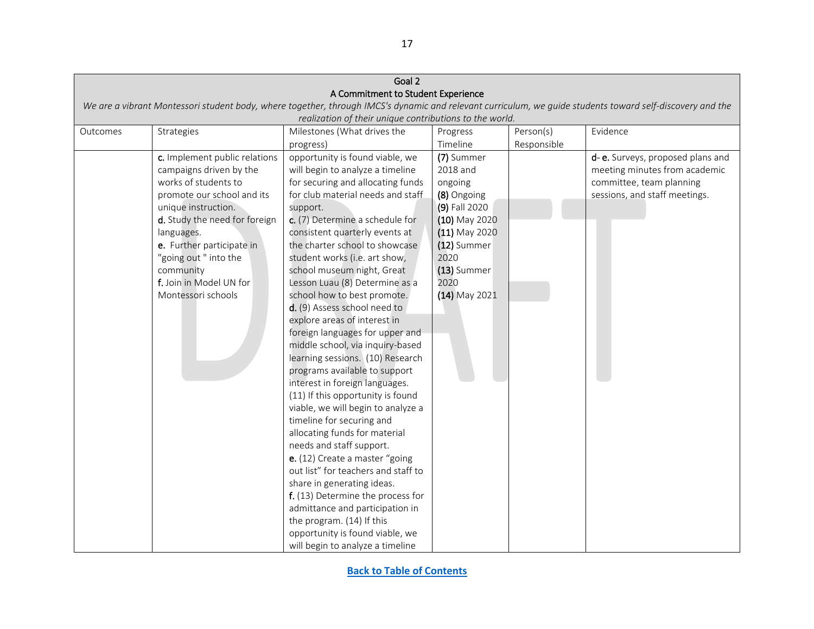|          | Goal 2                        |                                                         |                 |             |                                                                                                                                                           |  |  |
|----------|-------------------------------|---------------------------------------------------------|-----------------|-------------|-----------------------------------------------------------------------------------------------------------------------------------------------------------|--|--|
|          |                               | A Commitment to Student Experience                      |                 |             |                                                                                                                                                           |  |  |
|          |                               |                                                         |                 |             | We are a vibrant Montessori student body, where together, through IMCS's dynamic and relevant curriculum, we guide students toward self-discovery and the |  |  |
|          |                               | realization of their unique contributions to the world. |                 |             |                                                                                                                                                           |  |  |
| Outcomes | Strategies                    | Milestones (What drives the                             | Progress        | Person(s)   | Evidence                                                                                                                                                  |  |  |
|          |                               | progress)                                               | Timeline        | Responsible |                                                                                                                                                           |  |  |
|          | c. Implement public relations | opportunity is found viable, we                         | (7) Summer      |             | d- e. Surveys, proposed plans and                                                                                                                         |  |  |
|          | campaigns driven by the       | will begin to analyze a timeline                        | 2018 and        |             | meeting minutes from academic                                                                                                                             |  |  |
|          | works of students to          | for securing and allocating funds                       | ongoing         |             | committee, team planning                                                                                                                                  |  |  |
|          | promote our school and its    | for club material needs and staff                       | (8) Ongoing     |             | sessions, and staff meetings.                                                                                                                             |  |  |
|          | unique instruction.           | support.                                                | (9) Fall 2020   |             |                                                                                                                                                           |  |  |
|          | d. Study the need for foreign | c. (7) Determine a schedule for                         | (10) May 2020   |             |                                                                                                                                                           |  |  |
|          | languages.                    | consistent quarterly events at                          | $(11)$ May 2020 |             |                                                                                                                                                           |  |  |
|          | e. Further participate in     | the charter school to showcase                          | (12) Summer     |             |                                                                                                                                                           |  |  |
|          | "going out " into the         | student works (i.e. art show,                           | 2020            |             |                                                                                                                                                           |  |  |
|          | community                     | school museum night, Great                              | (13) Summer     |             |                                                                                                                                                           |  |  |
|          | f. Join in Model UN for       | Lesson Luau (8) Determine as a                          | 2020            |             |                                                                                                                                                           |  |  |
|          | Montessori schools            | school how to best promote.                             | $(14)$ May 2021 |             |                                                                                                                                                           |  |  |
|          |                               | d. (9) Assess school need to                            |                 |             |                                                                                                                                                           |  |  |
|          |                               | explore areas of interest in                            |                 |             |                                                                                                                                                           |  |  |
|          |                               | foreign languages for upper and                         |                 |             |                                                                                                                                                           |  |  |
|          |                               | middle school, via inquiry-based                        |                 |             |                                                                                                                                                           |  |  |
|          |                               | learning sessions. (10) Research                        |                 |             |                                                                                                                                                           |  |  |
|          |                               | programs available to support                           |                 |             |                                                                                                                                                           |  |  |
|          |                               | interest in foreign languages.                          |                 |             |                                                                                                                                                           |  |  |
|          |                               | (11) If this opportunity is found                       |                 |             |                                                                                                                                                           |  |  |
|          |                               | viable, we will begin to analyze a                      |                 |             |                                                                                                                                                           |  |  |
|          |                               | timeline for securing and                               |                 |             |                                                                                                                                                           |  |  |
|          |                               | allocating funds for material                           |                 |             |                                                                                                                                                           |  |  |
|          |                               | needs and staff support.                                |                 |             |                                                                                                                                                           |  |  |
|          |                               | e. (12) Create a master "going                          |                 |             |                                                                                                                                                           |  |  |
|          |                               | out list" for teachers and staff to                     |                 |             |                                                                                                                                                           |  |  |
|          |                               | share in generating ideas.                              |                 |             |                                                                                                                                                           |  |  |
|          |                               | f. (13) Determine the process for                       |                 |             |                                                                                                                                                           |  |  |
|          |                               | admittance and participation in                         |                 |             |                                                                                                                                                           |  |  |
|          |                               | the program. (14) If this                               |                 |             |                                                                                                                                                           |  |  |
|          |                               | opportunity is found viable, we                         |                 |             |                                                                                                                                                           |  |  |
|          |                               | will begin to analyze a timeline                        |                 |             |                                                                                                                                                           |  |  |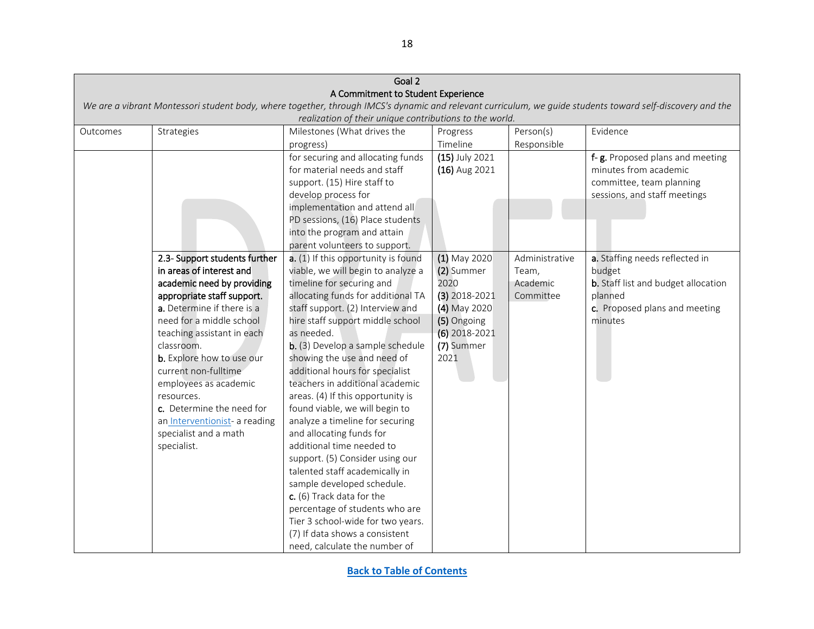|                            | Goal 2                                                   |                                                                                                                                                                                                                                                              |                                 |                |                                                                                                                                                           |  |  |  |
|----------------------------|----------------------------------------------------------|--------------------------------------------------------------------------------------------------------------------------------------------------------------------------------------------------------------------------------------------------------------|---------------------------------|----------------|-----------------------------------------------------------------------------------------------------------------------------------------------------------|--|--|--|
|                            | A Commitment to Student Experience                       |                                                                                                                                                                                                                                                              |                                 |                |                                                                                                                                                           |  |  |  |
|                            |                                                          |                                                                                                                                                                                                                                                              |                                 |                | We are a vibrant Montessori student body, where together, through IMCS's dynamic and relevant curriculum, we guide students toward self-discovery and the |  |  |  |
|                            |                                                          | realization of their unique contributions to the world.                                                                                                                                                                                                      |                                 |                |                                                                                                                                                           |  |  |  |
| Outcomes                   | Strategies                                               | Milestones (What drives the                                                                                                                                                                                                                                  | Progress                        | Person(s)      | Evidence                                                                                                                                                  |  |  |  |
|                            |                                                          | progress)                                                                                                                                                                                                                                                    | Timeline                        | Responsible    |                                                                                                                                                           |  |  |  |
|                            |                                                          | for securing and allocating funds<br>for material needs and staff<br>support. (15) Hire staff to<br>develop process for<br>implementation and attend all<br>PD sessions, (16) Place students<br>into the program and attain<br>parent volunteers to support. | (15) July 2021<br>(16) Aug 2021 |                | f-g. Proposed plans and meeting<br>minutes from academic<br>committee, team planning<br>sessions, and staff meetings                                      |  |  |  |
|                            | 2.3- Support students further                            | a. (1) If this opportunity is found                                                                                                                                                                                                                          | $(1)$ May 2020                  | Administrative | a. Staffing needs reflected in                                                                                                                            |  |  |  |
|                            | in areas of interest and                                 | viable, we will begin to analyze a                                                                                                                                                                                                                           | (2) Summer<br>2020              | Team,          | budget                                                                                                                                                    |  |  |  |
| academic need by providing |                                                          | timeline for securing and                                                                                                                                                                                                                                    |                                 | Academic       | b. Staff list and budget allocation                                                                                                                       |  |  |  |
|                            | appropriate staff support.<br>a. Determine if there is a | allocating funds for additional TA<br>staff support. (2) Interview and                                                                                                                                                                                       | $(3)$ 2018-2021<br>(4) May 2020 | Committee      | planned<br>c. Proposed plans and meeting                                                                                                                  |  |  |  |
|                            | need for a middle school                                 | hire staff support middle school                                                                                                                                                                                                                             | (5) Ongoing                     |                | minutes                                                                                                                                                   |  |  |  |
|                            | teaching assistant in each                               | as needed.                                                                                                                                                                                                                                                   | $(6)$ 2018-2021                 |                |                                                                                                                                                           |  |  |  |
|                            | classroom.                                               | b. (3) Develop a sample schedule                                                                                                                                                                                                                             | (7) Summer                      |                |                                                                                                                                                           |  |  |  |
|                            | b. Explore how to use our                                | showing the use and need of                                                                                                                                                                                                                                  | 2021                            |                |                                                                                                                                                           |  |  |  |
|                            | current non-fulltime                                     | additional hours for specialist                                                                                                                                                                                                                              |                                 |                |                                                                                                                                                           |  |  |  |
|                            | employees as academic                                    | teachers in additional academic                                                                                                                                                                                                                              |                                 |                |                                                                                                                                                           |  |  |  |
|                            | resources.                                               | areas. (4) If this opportunity is                                                                                                                                                                                                                            |                                 |                |                                                                                                                                                           |  |  |  |
|                            | c. Determine the need for                                | found viable, we will begin to                                                                                                                                                                                                                               |                                 |                |                                                                                                                                                           |  |  |  |
|                            | an Interventionist- a reading                            | analyze a timeline for securing                                                                                                                                                                                                                              |                                 |                |                                                                                                                                                           |  |  |  |
|                            | specialist and a math                                    | and allocating funds for                                                                                                                                                                                                                                     |                                 |                |                                                                                                                                                           |  |  |  |
|                            | specialist.                                              | additional time needed to                                                                                                                                                                                                                                    |                                 |                |                                                                                                                                                           |  |  |  |
|                            |                                                          | support. (5) Consider using our                                                                                                                                                                                                                              |                                 |                |                                                                                                                                                           |  |  |  |
|                            |                                                          | talented staff academically in                                                                                                                                                                                                                               |                                 |                |                                                                                                                                                           |  |  |  |
|                            |                                                          | sample developed schedule.                                                                                                                                                                                                                                   |                                 |                |                                                                                                                                                           |  |  |  |
|                            |                                                          | c. (6) Track data for the                                                                                                                                                                                                                                    |                                 |                |                                                                                                                                                           |  |  |  |
|                            |                                                          | percentage of students who are                                                                                                                                                                                                                               |                                 |                |                                                                                                                                                           |  |  |  |
|                            |                                                          | Tier 3 school-wide for two years.                                                                                                                                                                                                                            |                                 |                |                                                                                                                                                           |  |  |  |
|                            |                                                          | (7) If data shows a consistent                                                                                                                                                                                                                               |                                 |                |                                                                                                                                                           |  |  |  |
|                            |                                                          | need, calculate the number of                                                                                                                                                                                                                                |                                 |                |                                                                                                                                                           |  |  |  |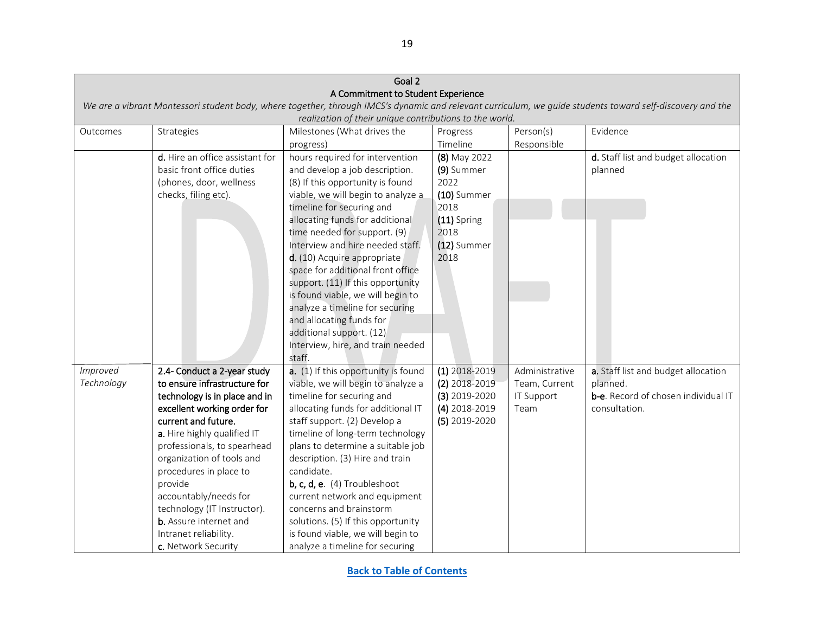<span id="page-18-0"></span>

| Goal 2     |                                                                                                                                                           |                                                         |                 |                   |                                            |  |  |  |
|------------|-----------------------------------------------------------------------------------------------------------------------------------------------------------|---------------------------------------------------------|-----------------|-------------------|--------------------------------------------|--|--|--|
|            |                                                                                                                                                           | A Commitment to Student Experience                      |                 |                   |                                            |  |  |  |
|            | We are a vibrant Montessori student body, where together, through IMCS's dynamic and relevant curriculum, we guide students toward self-discovery and the |                                                         |                 |                   |                                            |  |  |  |
|            |                                                                                                                                                           | realization of their unique contributions to the world. |                 |                   |                                            |  |  |  |
| Outcomes   | Strategies                                                                                                                                                | Milestones (What drives the                             | Progress        | Person(s)         | Evidence                                   |  |  |  |
|            |                                                                                                                                                           | progress)                                               | Timeline        | Responsible       |                                            |  |  |  |
|            | $\overline{d}$ . Hire an office assistant for                                                                                                             | hours required for intervention                         | (8) May 2022    |                   | d. Staff list and budget allocation        |  |  |  |
|            | basic front office duties                                                                                                                                 | and develop a job description.                          | (9) Summer      |                   | planned                                    |  |  |  |
|            | (phones, door, wellness                                                                                                                                   | (8) If this opportunity is found                        | 2022            |                   |                                            |  |  |  |
|            | checks, filing etc).                                                                                                                                      | viable, we will begin to analyze a                      | $(10)$ Summer   |                   |                                            |  |  |  |
|            |                                                                                                                                                           | timeline for securing and                               | 2018            |                   |                                            |  |  |  |
|            |                                                                                                                                                           | allocating funds for additional                         | $(11)$ Spring   |                   |                                            |  |  |  |
|            |                                                                                                                                                           | time needed for support. (9)                            | 2018            |                   |                                            |  |  |  |
|            |                                                                                                                                                           | Interview and hire needed staff.                        | (12) Summer     |                   |                                            |  |  |  |
|            |                                                                                                                                                           | d. (10) Acquire appropriate                             | 2018            |                   |                                            |  |  |  |
|            |                                                                                                                                                           | space for additional front office                       |                 |                   |                                            |  |  |  |
|            |                                                                                                                                                           | support. (11) If this opportunity                       |                 |                   |                                            |  |  |  |
|            |                                                                                                                                                           | is found viable, we will begin to                       |                 |                   |                                            |  |  |  |
|            |                                                                                                                                                           | analyze a timeline for securing                         |                 |                   |                                            |  |  |  |
|            |                                                                                                                                                           | and allocating funds for                                |                 |                   |                                            |  |  |  |
|            |                                                                                                                                                           | additional support. (12)                                |                 |                   |                                            |  |  |  |
|            |                                                                                                                                                           | Interview, hire, and train needed                       |                 |                   |                                            |  |  |  |
|            |                                                                                                                                                           | staff.                                                  |                 |                   |                                            |  |  |  |
| Improved   | 2.4- Conduct a 2-year study                                                                                                                               | a. (1) If this opportunity is found                     | $(1)$ 2018-2019 | Administrative    | a. Staff list and budget allocation        |  |  |  |
| Technology | to ensure infrastructure for                                                                                                                              | viable, we will begin to analyze a                      | $(2)$ 2018-2019 | Team, Current     | planned.                                   |  |  |  |
|            | technology is in place and in                                                                                                                             | timeline for securing and                               | $(3)$ 2019-2020 | <b>IT Support</b> | <b>b-e.</b> Record of chosen individual IT |  |  |  |
|            | excellent working order for                                                                                                                               | allocating funds for additional IT                      | $(4)$ 2018-2019 | Team              | consultation.                              |  |  |  |
|            | current and future.                                                                                                                                       | staff support. (2) Develop a                            | $(5)$ 2019-2020 |                   |                                            |  |  |  |
|            | a. Hire highly qualified IT                                                                                                                               | timeline of long-term technology                        |                 |                   |                                            |  |  |  |
|            | professionals, to spearhead                                                                                                                               | plans to determine a suitable job                       |                 |                   |                                            |  |  |  |
|            | organization of tools and                                                                                                                                 | description. (3) Hire and train                         |                 |                   |                                            |  |  |  |
|            | procedures in place to                                                                                                                                    | candidate.                                              |                 |                   |                                            |  |  |  |
|            | provide                                                                                                                                                   | $b, c, d, e.$ (4) Troubleshoot                          |                 |                   |                                            |  |  |  |
|            | accountably/needs for                                                                                                                                     | current network and equipment                           |                 |                   |                                            |  |  |  |
|            | technology (IT Instructor).                                                                                                                               | concerns and brainstorm                                 |                 |                   |                                            |  |  |  |
|            | <b>b.</b> Assure internet and                                                                                                                             | solutions. (5) If this opportunity                      |                 |                   |                                            |  |  |  |
|            | Intranet reliability.                                                                                                                                     | is found viable, we will begin to                       |                 |                   |                                            |  |  |  |
|            | c. Network Security                                                                                                                                       | analyze a timeline for securing                         |                 |                   |                                            |  |  |  |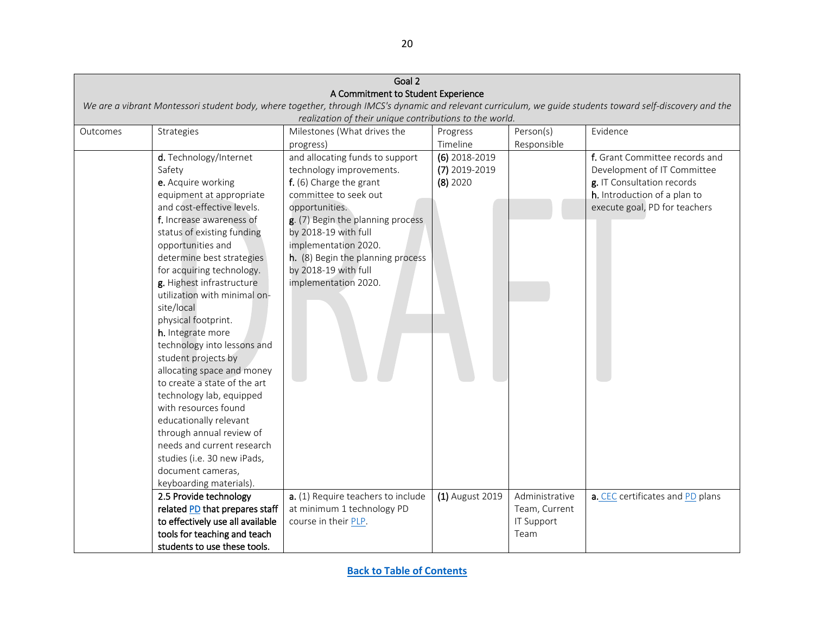| Goal 2   |                                                                                                                                                                                                                                                                                                                                                                                                                                                                                                                                                                                                                                                                             |                                                                                                                                                                                                                                                                                                             |                                                |                   |                                                                                                                                                              |  |  |  |
|----------|-----------------------------------------------------------------------------------------------------------------------------------------------------------------------------------------------------------------------------------------------------------------------------------------------------------------------------------------------------------------------------------------------------------------------------------------------------------------------------------------------------------------------------------------------------------------------------------------------------------------------------------------------------------------------------|-------------------------------------------------------------------------------------------------------------------------------------------------------------------------------------------------------------------------------------------------------------------------------------------------------------|------------------------------------------------|-------------------|--------------------------------------------------------------------------------------------------------------------------------------------------------------|--|--|--|
|          |                                                                                                                                                                                                                                                                                                                                                                                                                                                                                                                                                                                                                                                                             | A Commitment to Student Experience                                                                                                                                                                                                                                                                          |                                                |                   |                                                                                                                                                              |  |  |  |
|          | We are a vibrant Montessori student body, where together, through IMCS's dynamic and relevant curriculum, we guide students toward self-discovery and the                                                                                                                                                                                                                                                                                                                                                                                                                                                                                                                   |                                                                                                                                                                                                                                                                                                             |                                                |                   |                                                                                                                                                              |  |  |  |
|          |                                                                                                                                                                                                                                                                                                                                                                                                                                                                                                                                                                                                                                                                             | realization of their unique contributions to the world.                                                                                                                                                                                                                                                     |                                                |                   |                                                                                                                                                              |  |  |  |
| Outcomes | Strategies                                                                                                                                                                                                                                                                                                                                                                                                                                                                                                                                                                                                                                                                  | Milestones (What drives the                                                                                                                                                                                                                                                                                 | Progress                                       | Person(s)         | Evidence                                                                                                                                                     |  |  |  |
|          |                                                                                                                                                                                                                                                                                                                                                                                                                                                                                                                                                                                                                                                                             | progress)                                                                                                                                                                                                                                                                                                   | Timeline                                       | Responsible       |                                                                                                                                                              |  |  |  |
|          | d. Technology/Internet<br>Safety<br>e. Acquire working<br>equipment at appropriate<br>and cost-effective levels.<br>f. Increase awareness of<br>status of existing funding<br>opportunities and<br>determine best strategies<br>for acquiring technology.<br>g. Highest infrastructure<br>utilization with minimal on-<br>site/local<br>physical footprint.<br>h. Integrate more<br>technology into lessons and<br>student projects by<br>allocating space and money<br>to create a state of the art<br>technology lab, equipped<br>with resources found<br>educationally relevant<br>through annual review of<br>needs and current research<br>studies (i.e. 30 new iPads, | and allocating funds to support<br>technology improvements.<br>f. (6) Charge the grant<br>committee to seek out<br>opportunities.<br>g. (7) Begin the planning process<br>by 2018-19 with full<br>implementation 2020.<br>h. (8) Begin the planning process<br>by 2018-19 with full<br>implementation 2020. | $(6)$ 2018-2019<br>(7) 2019-2019<br>$(8)$ 2020 |                   | f. Grant Committee records and<br>Development of IT Committee<br>g. IT Consultation records<br>h. Introduction of a plan to<br>execute goal, PD for teachers |  |  |  |
|          | document cameras,                                                                                                                                                                                                                                                                                                                                                                                                                                                                                                                                                                                                                                                           |                                                                                                                                                                                                                                                                                                             |                                                |                   |                                                                                                                                                              |  |  |  |
|          | keyboarding materials).<br>2.5 Provide technology                                                                                                                                                                                                                                                                                                                                                                                                                                                                                                                                                                                                                           | a. (1) Require teachers to include                                                                                                                                                                                                                                                                          | (1) August 2019                                | Administrative    | a. CEC certificates and PD plans                                                                                                                             |  |  |  |
|          |                                                                                                                                                                                                                                                                                                                                                                                                                                                                                                                                                                                                                                                                             |                                                                                                                                                                                                                                                                                                             |                                                |                   |                                                                                                                                                              |  |  |  |
|          | related PD that prepares staff                                                                                                                                                                                                                                                                                                                                                                                                                                                                                                                                                                                                                                              | at minimum 1 technology PD                                                                                                                                                                                                                                                                                  |                                                | Team, Current     |                                                                                                                                                              |  |  |  |
|          | to effectively use all available                                                                                                                                                                                                                                                                                                                                                                                                                                                                                                                                                                                                                                            | course in their PLP.                                                                                                                                                                                                                                                                                        |                                                | <b>IT Support</b> |                                                                                                                                                              |  |  |  |
|          | tools for teaching and teach                                                                                                                                                                                                                                                                                                                                                                                                                                                                                                                                                                                                                                                |                                                                                                                                                                                                                                                                                                             |                                                | Team              |                                                                                                                                                              |  |  |  |
|          | students to use these tools.                                                                                                                                                                                                                                                                                                                                                                                                                                                                                                                                                                                                                                                |                                                                                                                                                                                                                                                                                                             |                                                |                   |                                                                                                                                                              |  |  |  |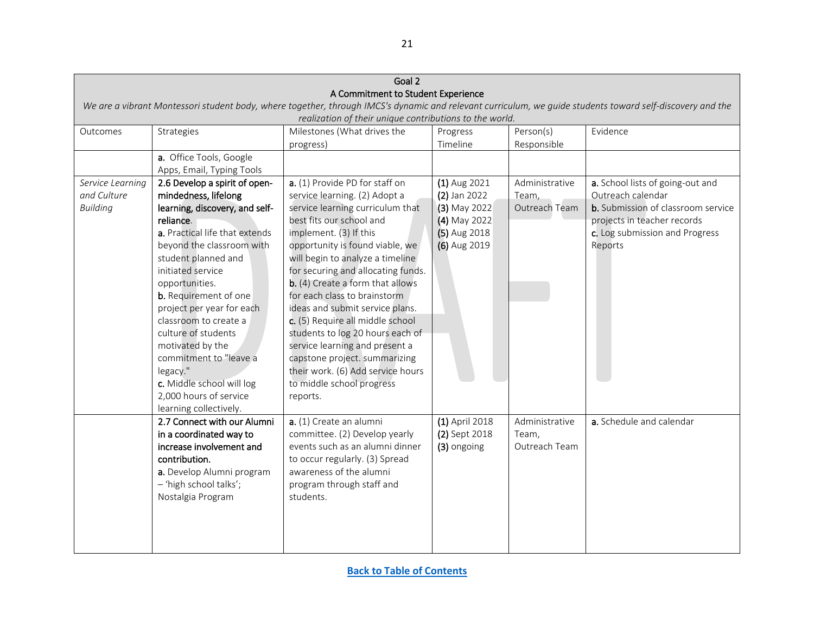<span id="page-20-0"></span>

|                                                                                                                                                           | Goal 2                         |                                                                                        |                |                |                                           |  |  |  |
|-----------------------------------------------------------------------------------------------------------------------------------------------------------|--------------------------------|----------------------------------------------------------------------------------------|----------------|----------------|-------------------------------------------|--|--|--|
| A Commitment to Student Experience                                                                                                                        |                                |                                                                                        |                |                |                                           |  |  |  |
| We are a vibrant Montessori student body, where together, through IMCS's dynamic and relevant curriculum, we guide students toward self-discovery and the |                                |                                                                                        |                |                |                                           |  |  |  |
|                                                                                                                                                           |                                | realization of their unique contributions to the world.<br>Milestones (What drives the |                | Person(s)      |                                           |  |  |  |
| Outcomes                                                                                                                                                  | Evidence                       |                                                                                        |                |                |                                           |  |  |  |
|                                                                                                                                                           |                                | progress)                                                                              | Timeline       | Responsible    |                                           |  |  |  |
|                                                                                                                                                           | a. Office Tools, Google        |                                                                                        |                |                |                                           |  |  |  |
|                                                                                                                                                           | Apps, Email, Typing Tools      |                                                                                        |                |                |                                           |  |  |  |
| Service Learning                                                                                                                                          | 2.6 Develop a spirit of open-  | a. (1) Provide PD for staff on                                                         | $(1)$ Aug 2021 | Administrative | a. School lists of going-out and          |  |  |  |
| and Culture                                                                                                                                               | mindedness, lifelong           | service learning. (2) Adopt a                                                          | $(2)$ Jan 2022 | Team,          | Outreach calendar                         |  |  |  |
| <b>Building</b>                                                                                                                                           | learning, discovery, and self- | service learning curriculum that                                                       | (3) May 2022   | Outreach Team  | <b>b.</b> Submission of classroom service |  |  |  |
|                                                                                                                                                           | reliance.                      | best fits our school and                                                               | (4) May 2022   |                | projects in teacher records               |  |  |  |
|                                                                                                                                                           | a. Practical life that extends | implement. (3) If this                                                                 | (5) Aug 2018   |                | c. Log submission and Progress            |  |  |  |
|                                                                                                                                                           | beyond the classroom with      | opportunity is found viable, we                                                        | (6) Aug 2019   |                | Reports                                   |  |  |  |
|                                                                                                                                                           | student planned and            | will begin to analyze a timeline                                                       |                |                |                                           |  |  |  |
|                                                                                                                                                           | initiated service              | for securing and allocating funds.                                                     |                |                |                                           |  |  |  |
|                                                                                                                                                           | opportunities.                 | b. (4) Create a form that allows                                                       |                |                |                                           |  |  |  |
|                                                                                                                                                           | <b>b.</b> Requirement of one   | for each class to brainstorm                                                           |                |                |                                           |  |  |  |
|                                                                                                                                                           | project per year for each      | ideas and submit service plans.                                                        |                |                |                                           |  |  |  |
|                                                                                                                                                           | classroom to create a          | c. (5) Require all middle school                                                       |                |                |                                           |  |  |  |
|                                                                                                                                                           | culture of students            | students to log 20 hours each of                                                       |                |                |                                           |  |  |  |
|                                                                                                                                                           | motivated by the               | service learning and present a                                                         |                |                |                                           |  |  |  |
|                                                                                                                                                           | commitment to "leave a         | capstone project. summarizing                                                          |                |                |                                           |  |  |  |
|                                                                                                                                                           | legacy."                       | their work. (6) Add service hours                                                      |                |                |                                           |  |  |  |
|                                                                                                                                                           | c. Middle school will log      | to middle school progress                                                              |                |                |                                           |  |  |  |
|                                                                                                                                                           | 2,000 hours of service         | reports.                                                                               |                |                |                                           |  |  |  |
|                                                                                                                                                           | learning collectively.         |                                                                                        |                |                |                                           |  |  |  |
|                                                                                                                                                           | 2.7 Connect with our Alumni    | a. (1) Create an alumni                                                                | (1) April 2018 | Administrative | a. Schedule and calendar                  |  |  |  |
|                                                                                                                                                           | in a coordinated way to        | committee. (2) Develop yearly                                                          | (2) Sept 2018  | Team,          |                                           |  |  |  |
|                                                                                                                                                           | increase involvement and       | events such as an alumni dinner                                                        | (3) ongoing    | Outreach Team  |                                           |  |  |  |
|                                                                                                                                                           | contribution.                  | to occur regularly. (3) Spread                                                         |                |                |                                           |  |  |  |
|                                                                                                                                                           | a. Develop Alumni program      | awareness of the alumni                                                                |                |                |                                           |  |  |  |
|                                                                                                                                                           | - 'high school talks';         | program through staff and                                                              |                |                |                                           |  |  |  |
|                                                                                                                                                           | Nostalgia Program              | students.                                                                              |                |                |                                           |  |  |  |
|                                                                                                                                                           |                                |                                                                                        |                |                |                                           |  |  |  |
|                                                                                                                                                           |                                |                                                                                        |                |                |                                           |  |  |  |
|                                                                                                                                                           |                                |                                                                                        |                |                |                                           |  |  |  |
|                                                                                                                                                           |                                |                                                                                        |                |                |                                           |  |  |  |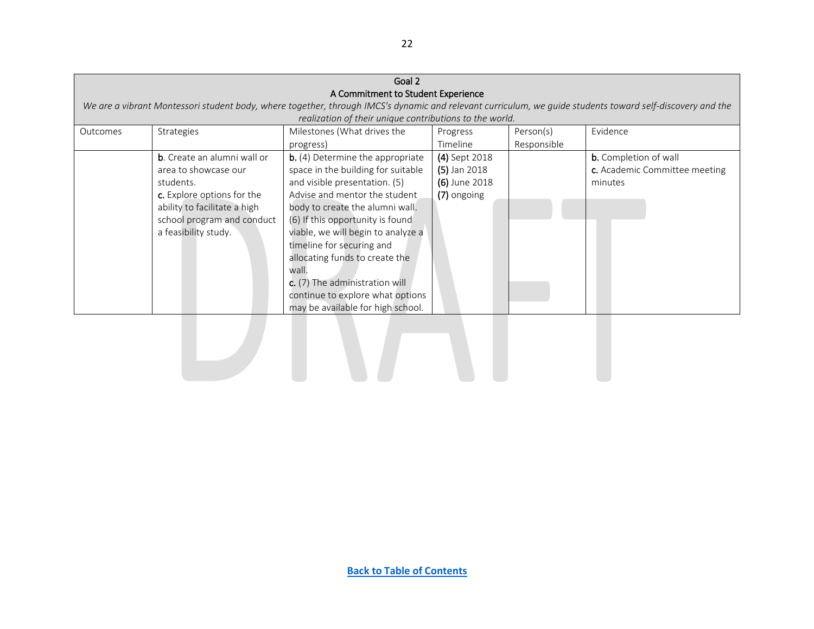| Goal 2   |                                     |                                                         |                |             |                                                                                                                                                           |  |
|----------|-------------------------------------|---------------------------------------------------------|----------------|-------------|-----------------------------------------------------------------------------------------------------------------------------------------------------------|--|
|          |                                     | A Commitment to Student Experience                      |                |             |                                                                                                                                                           |  |
|          |                                     |                                                         |                |             | We are a vibrant Montessori student body, where together, through IMCS's dynamic and relevant curriculum, we guide students toward self-discovery and the |  |
|          |                                     | realization of their unique contributions to the world. |                |             |                                                                                                                                                           |  |
| Outcomes | Strategies                          | Milestones (What drives the                             | Progress       | Person(s)   | Evidence                                                                                                                                                  |  |
|          |                                     | progress)                                               | Timeline       | Responsible |                                                                                                                                                           |  |
|          | <b>b</b> . Create an alumni wall or | <b>b.</b> (4) Determine the appropriate                 | (4) Sept 2018  |             | <b>b.</b> Completion of wall                                                                                                                              |  |
|          | area to showcase our                | space in the building for suitable                      | $(5)$ Jan 2018 |             | c. Academic Committee meeting                                                                                                                             |  |
|          | students.                           | and visible presentation. (5)                           | (6) June 2018  |             | minutes                                                                                                                                                   |  |
|          | c. Explore options for the          | Advise and mentor the student                           | (7) ongoing    |             |                                                                                                                                                           |  |
|          | ability to facilitate a high        | body to create the alumni wall.                         |                |             |                                                                                                                                                           |  |
|          | school program and conduct          | (6) If this opportunity is found                        |                |             |                                                                                                                                                           |  |
|          | a feasibility study.                | viable, we will begin to analyze a                      |                |             |                                                                                                                                                           |  |
|          |                                     | timeline for securing and                               |                |             |                                                                                                                                                           |  |
|          |                                     | allocating funds to create the                          |                |             |                                                                                                                                                           |  |
|          |                                     | wall.                                                   |                |             |                                                                                                                                                           |  |
|          |                                     | c. (7) The administration will                          |                |             |                                                                                                                                                           |  |
|          |                                     | continue to explore what options                        |                |             |                                                                                                                                                           |  |
|          |                                     | may be available for high school.                       |                |             |                                                                                                                                                           |  |
|          |                                     |                                                         |                |             |                                                                                                                                                           |  |

22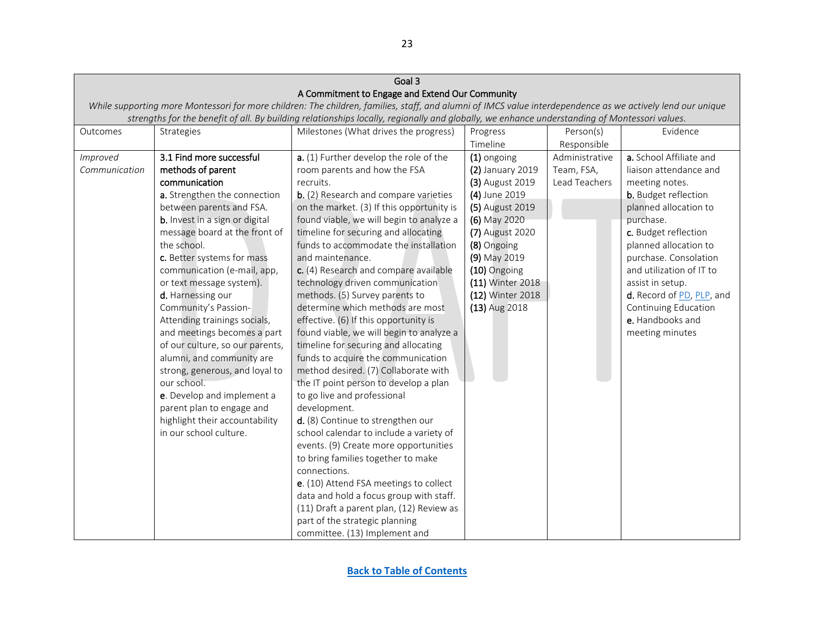<span id="page-22-0"></span>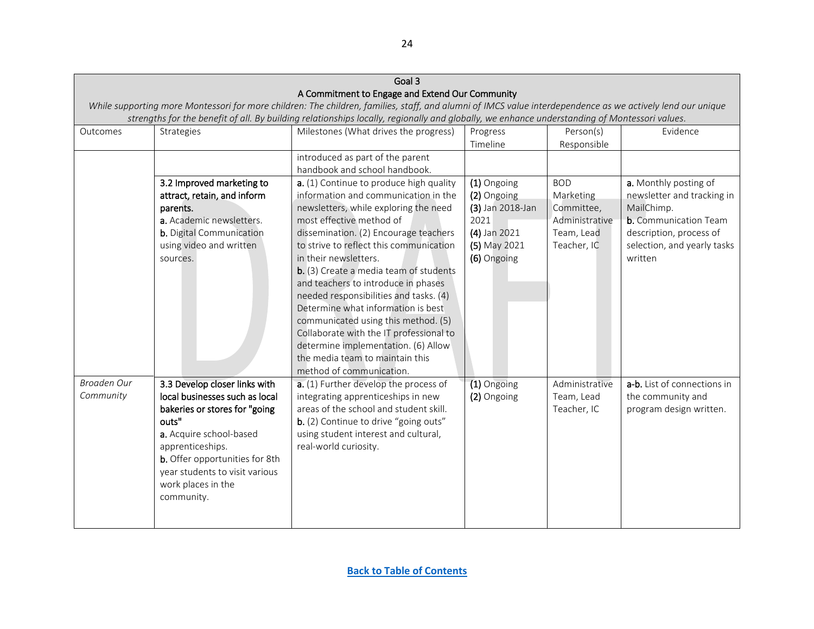<span id="page-23-0"></span>

| Goal 3      |                                 |                                                                                                                                                            |                  |                |                              |  |
|-------------|---------------------------------|------------------------------------------------------------------------------------------------------------------------------------------------------------|------------------|----------------|------------------------------|--|
|             |                                 | A Commitment to Engage and Extend Our Community                                                                                                            |                  |                |                              |  |
|             |                                 | While supporting more Montessori for more children: The children, families, staff, and alumni of IMCS value interdependence as we actively lend our unique |                  |                |                              |  |
|             |                                 | strengths for the benefit of all. By building relationships locally, regionally and globally, we enhance understanding of Montessori values.               |                  |                |                              |  |
| Outcomes    | <b>Strategies</b>               | Milestones (What drives the progress)                                                                                                                      | Progress         | Person(s)      | Evidence                     |  |
|             |                                 |                                                                                                                                                            | Timeline         | Responsible    |                              |  |
|             |                                 | introduced as part of the parent                                                                                                                           |                  |                |                              |  |
|             |                                 | handbook and school handbook.                                                                                                                              |                  |                |                              |  |
|             | 3.2 Improved marketing to       | a. (1) Continue to produce high quality                                                                                                                    | (1) Ongoing      | <b>BOD</b>     | a. Monthly posting of        |  |
|             | attract, retain, and inform     | information and communication in the                                                                                                                       | (2) Ongoing      | Marketing      | newsletter and tracking in   |  |
|             | parents.                        | newsletters, while exploring the need                                                                                                                      | (3) Jan 2018-Jan | Committee,     | MailChimp.                   |  |
|             | a. Academic newsletters.        | most effective method of                                                                                                                                   | 2021             | Administrative | <b>b.</b> Communication Team |  |
|             | <b>b.</b> Digital Communication | dissemination. (2) Encourage teachers                                                                                                                      | (4) Jan 2021     | Team, Lead     | description, process of      |  |
|             | using video and written         | to strive to reflect this communication                                                                                                                    | (5) May 2021     | Teacher, IC    | selection, and yearly tasks  |  |
|             | sources.                        | in their newsletters.                                                                                                                                      | (6) Ongoing      |                | written                      |  |
|             |                                 | b. (3) Create a media team of students                                                                                                                     |                  |                |                              |  |
|             |                                 | and teachers to introduce in phases                                                                                                                        |                  |                |                              |  |
|             |                                 | needed responsibilities and tasks. (4)                                                                                                                     |                  |                |                              |  |
|             |                                 | Determine what information is best                                                                                                                         |                  |                |                              |  |
|             |                                 | communicated using this method. (5)                                                                                                                        |                  |                |                              |  |
|             |                                 | Collaborate with the IT professional to                                                                                                                    |                  |                |                              |  |
|             |                                 | determine implementation. (6) Allow                                                                                                                        |                  |                |                              |  |
|             |                                 | the media team to maintain this                                                                                                                            |                  |                |                              |  |
|             |                                 | method of communication.                                                                                                                                   |                  |                |                              |  |
| Broaden Our | 3.3 Develop closer links with   | a. (1) Further develop the process of                                                                                                                      | (1) Ongoing      | Administrative | a-b. List of connections in  |  |
| Community   | local businesses such as local  | integrating apprenticeships in new                                                                                                                         | (2) Ongoing      | Team, Lead     | the community and            |  |
|             | bakeries or stores for "going   | areas of the school and student skill.                                                                                                                     |                  | Teacher, IC    | program design written.      |  |
|             | outs"                           | b. (2) Continue to drive "going outs"                                                                                                                      |                  |                |                              |  |
|             | a. Acquire school-based         | using student interest and cultural,                                                                                                                       |                  |                |                              |  |
|             | apprenticeships.                | real-world curiosity.                                                                                                                                      |                  |                |                              |  |
|             | b. Offer opportunities for 8th  |                                                                                                                                                            |                  |                |                              |  |
|             | year students to visit various  |                                                                                                                                                            |                  |                |                              |  |
|             | work places in the              |                                                                                                                                                            |                  |                |                              |  |
|             | community.                      |                                                                                                                                                            |                  |                |                              |  |
|             |                                 |                                                                                                                                                            |                  |                |                              |  |
|             |                                 |                                                                                                                                                            |                  |                |                              |  |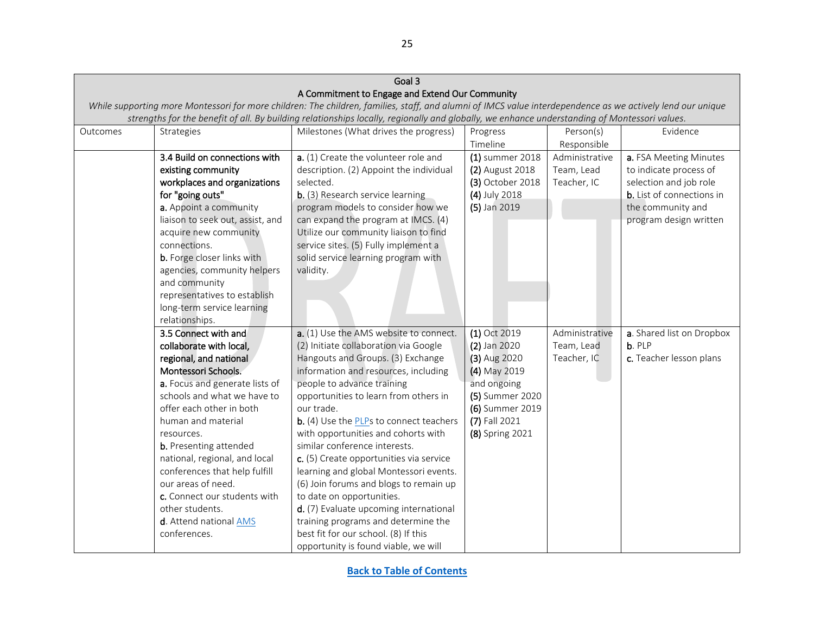| Goal 3                                                                                                                                                     |                                                                                                                                              |                                                 |                  |                |                                  |  |  |  |
|------------------------------------------------------------------------------------------------------------------------------------------------------------|----------------------------------------------------------------------------------------------------------------------------------------------|-------------------------------------------------|------------------|----------------|----------------------------------|--|--|--|
|                                                                                                                                                            |                                                                                                                                              | A Commitment to Engage and Extend Our Community |                  |                |                                  |  |  |  |
| While supporting more Montessori for more children: The children, families, staff, and alumni of IMCS value interdependence as we actively lend our unique |                                                                                                                                              |                                                 |                  |                |                                  |  |  |  |
|                                                                                                                                                            | strengths for the benefit of all. By building relationships locally, regionally and globally, we enhance understanding of Montessori values. |                                                 |                  |                |                                  |  |  |  |
| Outcomes                                                                                                                                                   | Strategies                                                                                                                                   | Milestones (What drives the progress)           | Progress         | Person(s)      | Evidence                         |  |  |  |
|                                                                                                                                                            |                                                                                                                                              |                                                 | Timeline         | Responsible    |                                  |  |  |  |
|                                                                                                                                                            | 3.4 Build on connections with                                                                                                                | a. (1) Create the volunteer role and            | (1) summer 2018  | Administrative | a. FSA Meeting Minutes           |  |  |  |
|                                                                                                                                                            | existing community                                                                                                                           | description. (2) Appoint the individual         | (2) August 2018  | Team, Lead     | to indicate process of           |  |  |  |
|                                                                                                                                                            | workplaces and organizations                                                                                                                 | selected.                                       | (3) October 2018 | Teacher, IC    | selection and job role           |  |  |  |
|                                                                                                                                                            | for "going outs"                                                                                                                             | b. (3) Research service learning                | (4) July 2018    |                | <b>b.</b> List of connections in |  |  |  |
|                                                                                                                                                            | a. Appoint a community                                                                                                                       | program models to consider how we               | (5) Jan 2019     |                | the community and                |  |  |  |
|                                                                                                                                                            | liaison to seek out, assist, and                                                                                                             | can expand the program at IMCS. (4)             |                  |                | program design written           |  |  |  |
|                                                                                                                                                            | acquire new community                                                                                                                        | Utilize our community liaison to find           |                  |                |                                  |  |  |  |
|                                                                                                                                                            | connections.                                                                                                                                 | service sites. (5) Fully implement a            |                  |                |                                  |  |  |  |
|                                                                                                                                                            | <b>b.</b> Forge closer links with                                                                                                            | solid service learning program with             |                  |                |                                  |  |  |  |
|                                                                                                                                                            | agencies, community helpers                                                                                                                  | validity.                                       |                  |                |                                  |  |  |  |
|                                                                                                                                                            | and community                                                                                                                                |                                                 |                  |                |                                  |  |  |  |
|                                                                                                                                                            | representatives to establish                                                                                                                 |                                                 |                  |                |                                  |  |  |  |
|                                                                                                                                                            | long-term service learning                                                                                                                   |                                                 |                  |                |                                  |  |  |  |
|                                                                                                                                                            | relationships.                                                                                                                               |                                                 |                  |                |                                  |  |  |  |
|                                                                                                                                                            | 3.5 Connect with and                                                                                                                         | a. (1) Use the AMS website to connect.          | (1) Oct 2019     | Administrative | a. Shared list on Dropbox        |  |  |  |
|                                                                                                                                                            | collaborate with local,                                                                                                                      | (2) Initiate collaboration via Google           | (2) Jan 2020     | Team, Lead     | b. PLP                           |  |  |  |
|                                                                                                                                                            | regional, and national                                                                                                                       | Hangouts and Groups. (3) Exchange               | (3) Aug 2020     | Teacher, IC    | c. Teacher lesson plans          |  |  |  |
|                                                                                                                                                            | Montessori Schools.                                                                                                                          | information and resources, including            | (4) May 2019     |                |                                  |  |  |  |
|                                                                                                                                                            | a. Focus and generate lists of                                                                                                               | people to advance training                      | and ongoing      |                |                                  |  |  |  |
|                                                                                                                                                            | schools and what we have to                                                                                                                  | opportunities to learn from others in           | (5) Summer 2020  |                |                                  |  |  |  |
|                                                                                                                                                            | offer each other in both                                                                                                                     | our trade.                                      | (6) Summer 2019  |                |                                  |  |  |  |
|                                                                                                                                                            | human and material                                                                                                                           | b. (4) Use the PLPs to connect teachers         | (7) Fall 2021    |                |                                  |  |  |  |
|                                                                                                                                                            | resources.                                                                                                                                   | with opportunities and cohorts with             | (8) Spring 2021  |                |                                  |  |  |  |
|                                                                                                                                                            | <b>b.</b> Presenting attended                                                                                                                | similar conference interests.                   |                  |                |                                  |  |  |  |
|                                                                                                                                                            | national, regional, and local                                                                                                                | c. (5) Create opportunities via service         |                  |                |                                  |  |  |  |
|                                                                                                                                                            | conferences that help fulfill                                                                                                                | learning and global Montessori events.          |                  |                |                                  |  |  |  |
|                                                                                                                                                            | our areas of need.                                                                                                                           | (6) Join forums and blogs to remain up          |                  |                |                                  |  |  |  |
|                                                                                                                                                            | c. Connect our students with                                                                                                                 | to date on opportunities.                       |                  |                |                                  |  |  |  |
|                                                                                                                                                            | other students.                                                                                                                              | d. (7) Evaluate upcoming international          |                  |                |                                  |  |  |  |
|                                                                                                                                                            | d. Attend national AMS                                                                                                                       | training programs and determine the             |                  |                |                                  |  |  |  |
|                                                                                                                                                            | conferences.                                                                                                                                 | best fit for our school. (8) If this            |                  |                |                                  |  |  |  |
|                                                                                                                                                            |                                                                                                                                              | opportunity is found viable, we will            |                  |                |                                  |  |  |  |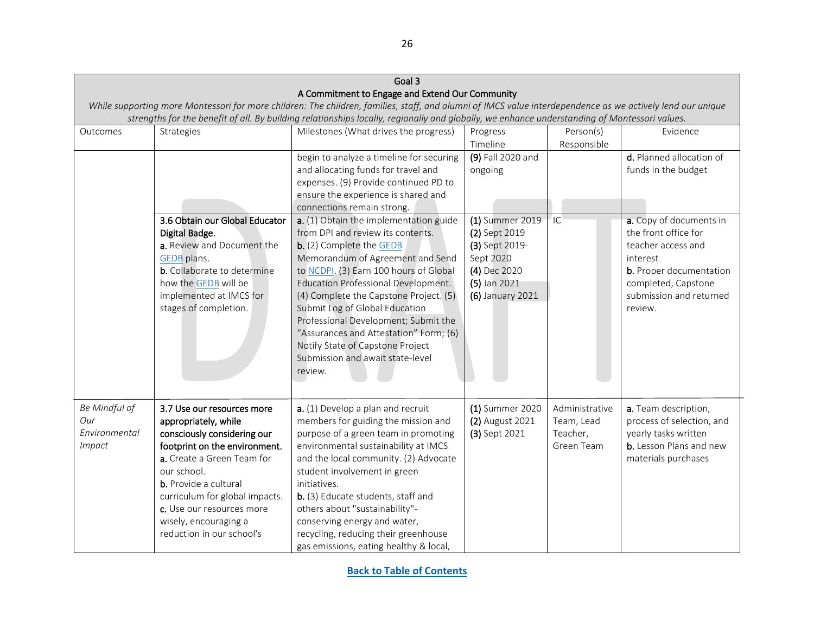<span id="page-25-0"></span>

|               |                                                                                                                                                            | Goal 3                                                                                                                                       |                   |                |                           |  |  |  |
|---------------|------------------------------------------------------------------------------------------------------------------------------------------------------------|----------------------------------------------------------------------------------------------------------------------------------------------|-------------------|----------------|---------------------------|--|--|--|
|               |                                                                                                                                                            | A Commitment to Engage and Extend Our Community                                                                                              |                   |                |                           |  |  |  |
|               | While supporting more Montessori for more children: The children, families, staff, and alumni of IMCS value interdependence as we actively lend our unique |                                                                                                                                              |                   |                |                           |  |  |  |
|               |                                                                                                                                                            | strengths for the benefit of all. By building relationships locally, regionally and globally, we enhance understanding of Montessori values. |                   |                |                           |  |  |  |
| Outcomes      | Strategies                                                                                                                                                 | Milestones (What drives the progress)                                                                                                        | Progress          | Person(s)      | Evidence                  |  |  |  |
|               |                                                                                                                                                            |                                                                                                                                              | Timeline          | Responsible    |                           |  |  |  |
|               |                                                                                                                                                            | begin to analyze a timeline for securing                                                                                                     | (9) Fall 2020 and |                | d. Planned allocation of  |  |  |  |
|               |                                                                                                                                                            | and allocating funds for travel and                                                                                                          | ongoing           |                | funds in the budget       |  |  |  |
|               |                                                                                                                                                            | expenses. (9) Provide continued PD to                                                                                                        |                   |                |                           |  |  |  |
|               |                                                                                                                                                            | ensure the experience is shared and                                                                                                          |                   |                |                           |  |  |  |
|               |                                                                                                                                                            | connections remain strong.                                                                                                                   |                   |                |                           |  |  |  |
|               | 3.6 Obtain our Global Educator                                                                                                                             | a. (1) Obtain the implementation guide                                                                                                       | (1) Summer 2019   | IC             | a. Copy of documents in   |  |  |  |
|               | Digital Badge.                                                                                                                                             | from DPI and review its contents.                                                                                                            | (2) Sept 2019     |                | the front office for      |  |  |  |
|               | a. Review and Document the                                                                                                                                 | b. (2) Complete the GEDB                                                                                                                     | (3) Sept 2019-    |                | teacher access and        |  |  |  |
|               | GEDB plans.                                                                                                                                                | Memorandum of Agreement and Send                                                                                                             | Sept 2020         |                | interest                  |  |  |  |
|               | b. Collaborate to determine                                                                                                                                | to NCDPI. (3) Earn 100 hours of Global                                                                                                       | (4) Dec 2020      |                | b. Proper documentation   |  |  |  |
|               | how the GEDB will be                                                                                                                                       | <b>Education Professional Development.</b>                                                                                                   | (5) Jan 2021      |                | completed, Capstone       |  |  |  |
|               | implemented at IMCS for                                                                                                                                    | (4) Complete the Capstone Project. (5)                                                                                                       | (6) January 2021  |                | submission and returned   |  |  |  |
|               | stages of completion.                                                                                                                                      | Submit Log of Global Education                                                                                                               |                   |                | review.                   |  |  |  |
|               |                                                                                                                                                            | Professional Development; Submit the                                                                                                         |                   |                |                           |  |  |  |
|               |                                                                                                                                                            | "Assurances and Attestation" Form; (6)                                                                                                       |                   |                |                           |  |  |  |
|               |                                                                                                                                                            | Notify State of Capstone Project                                                                                                             |                   |                |                           |  |  |  |
|               |                                                                                                                                                            | Submission and await state-level                                                                                                             |                   |                |                           |  |  |  |
|               |                                                                                                                                                            | review.                                                                                                                                      |                   |                |                           |  |  |  |
|               |                                                                                                                                                            |                                                                                                                                              |                   |                |                           |  |  |  |
|               |                                                                                                                                                            |                                                                                                                                              |                   |                |                           |  |  |  |
| Be Mindful of | 3.7 Use our resources more                                                                                                                                 | a. (1) Develop a plan and recruit                                                                                                            | (1) Summer 2020   | Administrative | a. Team description,      |  |  |  |
| Our           | appropriately, while                                                                                                                                       | members for guiding the mission and                                                                                                          | (2) August 2021   | Team, Lead     | process of selection, and |  |  |  |
| Environmental | consciously considering our                                                                                                                                | purpose of a green team in promoting                                                                                                         | (3) Sept 2021     | Teacher,       | yearly tasks written      |  |  |  |
| <b>Impact</b> | footprint on the environment.                                                                                                                              | environmental sustainability at IMCS                                                                                                         |                   | Green Team     | b. Lesson Plans and new   |  |  |  |
|               | a. Create a Green Team for                                                                                                                                 | and the local community. (2) Advocate                                                                                                        |                   |                | materials purchases       |  |  |  |
|               | our school.                                                                                                                                                | student involvement in green                                                                                                                 |                   |                |                           |  |  |  |
|               | b. Provide a cultural                                                                                                                                      | initiatives.                                                                                                                                 |                   |                |                           |  |  |  |
|               | curriculum for global impacts.                                                                                                                             | b. (3) Educate students, staff and                                                                                                           |                   |                |                           |  |  |  |
|               | c. Use our resources more                                                                                                                                  | others about "sustainability"-                                                                                                               |                   |                |                           |  |  |  |
|               | wisely, encouraging a                                                                                                                                      | conserving energy and water,                                                                                                                 |                   |                |                           |  |  |  |
|               | reduction in our school's                                                                                                                                  | recycling, reducing their greenhouse                                                                                                         |                   |                |                           |  |  |  |
|               |                                                                                                                                                            | gas emissions, eating healthy & local,                                                                                                       |                   |                |                           |  |  |  |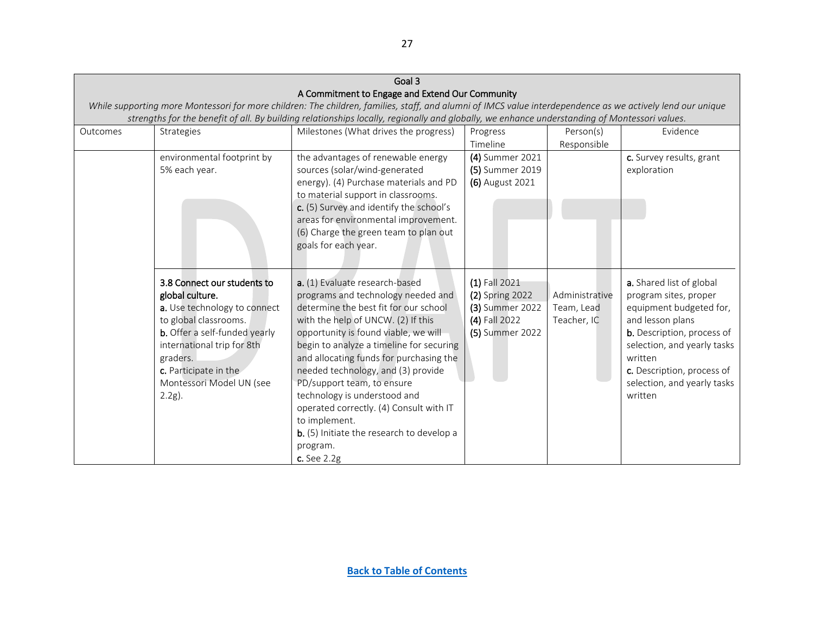| Goal 3   |                               |                                                                                                                                                            |                 |                |                             |  |
|----------|-------------------------------|------------------------------------------------------------------------------------------------------------------------------------------------------------|-----------------|----------------|-----------------------------|--|
|          |                               | A Commitment to Engage and Extend Our Community                                                                                                            |                 |                |                             |  |
|          |                               | While supporting more Montessori for more children: The children, families, staff, and alumni of IMCS value interdependence as we actively lend our unique |                 |                |                             |  |
|          |                               | strengths for the benefit of all. By building relationships locally, regionally and globally, we enhance understanding of Montessori values.               |                 |                |                             |  |
| Outcomes | Strategies                    | Milestones (What drives the progress)                                                                                                                      | Progress        | Person(s)      | Evidence                    |  |
|          |                               |                                                                                                                                                            | Timeline        | Responsible    |                             |  |
|          | environmental footprint by    | the advantages of renewable energy                                                                                                                         | (4) Summer 2021 |                | c. Survey results, grant    |  |
|          | 5% each year.                 | sources (solar/wind-generated                                                                                                                              | (5) Summer 2019 |                | exploration                 |  |
|          |                               | energy). (4) Purchase materials and PD                                                                                                                     | (6) August 2021 |                |                             |  |
|          |                               | to material support in classrooms.                                                                                                                         |                 |                |                             |  |
|          |                               | c. (5) Survey and identify the school's                                                                                                                    |                 |                |                             |  |
|          |                               | areas for environmental improvement.                                                                                                                       |                 |                |                             |  |
|          |                               | (6) Charge the green team to plan out                                                                                                                      |                 |                |                             |  |
|          |                               | goals for each year.                                                                                                                                       |                 |                |                             |  |
|          |                               |                                                                                                                                                            |                 |                |                             |  |
|          | 3.8 Connect our students to   | a. (1) Evaluate research-based                                                                                                                             | (1) Fall 2021   |                | a. Shared list of global    |  |
|          | global culture.               | programs and technology needed and                                                                                                                         | (2) Spring 2022 | Administrative | program sites, proper       |  |
|          | a. Use technology to connect  | determine the best fit for our school                                                                                                                      | (3) Summer 2022 | Team, Lead     | equipment budgeted for,     |  |
|          | to global classrooms.         | with the help of UNCW. (2) If this                                                                                                                         | (4) Fall 2022   | Teacher, IC    | and lesson plans            |  |
|          | b. Offer a self-funded yearly | opportunity is found viable, we will                                                                                                                       | (5) Summer 2022 |                | b. Description, process of  |  |
|          | international trip for 8th    | begin to analyze a timeline for securing                                                                                                                   |                 |                | selection, and yearly tasks |  |
|          | graders.                      | and allocating funds for purchasing the                                                                                                                    |                 |                | written                     |  |
|          | c. Participate in the         | needed technology, and (3) provide                                                                                                                         |                 |                | c. Description, process of  |  |
|          | Montessori Model UN (see      | PD/support team, to ensure                                                                                                                                 |                 |                | selection, and yearly tasks |  |
|          | $2.2g$ ).                     | technology is understood and                                                                                                                               |                 |                | written                     |  |
|          |                               | operated correctly. (4) Consult with IT                                                                                                                    |                 |                |                             |  |
|          |                               | to implement.                                                                                                                                              |                 |                |                             |  |
|          |                               | b. (5) Initiate the research to develop a                                                                                                                  |                 |                |                             |  |
|          |                               | program.                                                                                                                                                   |                 |                |                             |  |
|          |                               | c. See 2.2g                                                                                                                                                |                 |                |                             |  |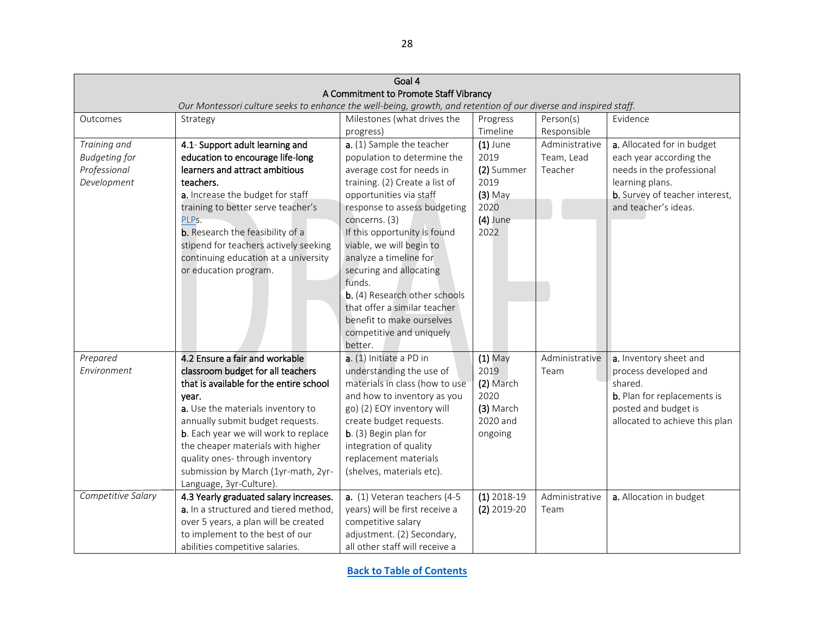<span id="page-27-2"></span><span id="page-27-1"></span><span id="page-27-0"></span>

|                                        |                                                                                                                  | Goal 4                                                     |                   |                |                                    |  |  |
|----------------------------------------|------------------------------------------------------------------------------------------------------------------|------------------------------------------------------------|-------------------|----------------|------------------------------------|--|--|
| A Commitment to Promote Staff Vibrancy |                                                                                                                  |                                                            |                   |                |                                    |  |  |
|                                        | Our Montessori culture seeks to enhance the well-being, growth, and retention of our diverse and inspired staff. |                                                            |                   |                |                                    |  |  |
| Outcomes                               | Strategy                                                                                                         | Milestones (what drives the                                | Progress          | Person(s)      | Evidence                           |  |  |
|                                        |                                                                                                                  | progress)                                                  | Timeline          | Responsible    |                                    |  |  |
| Training and                           | 4.1- Support adult learning and                                                                                  | a. (1) Sample the teacher                                  | $(1)$ June        | Administrative | a. Allocated for in budget         |  |  |
| <b>Budgeting for</b>                   | education to encourage life-long                                                                                 | population to determine the                                | 2019              | Team, Lead     | each year according the            |  |  |
| Professional                           | learners and attract ambitious                                                                                   | average cost for needs in                                  | (2) Summer        | Teacher        | needs in the professional          |  |  |
| Development                            | teachers.                                                                                                        | training. (2) Create a list of                             | 2019              |                | learning plans.                    |  |  |
|                                        | a. Increase the budget for staff                                                                                 | opportunities via staff                                    | $(3)$ May         |                | b. Survey of teacher interest,     |  |  |
|                                        | training to better serve teacher's                                                                               | response to assess budgeting                               | 2020              |                | and teacher's ideas.               |  |  |
|                                        | PLPs.                                                                                                            | concerns. (3)                                              | $(4)$ June        |                |                                    |  |  |
|                                        | <b>b.</b> Research the feasibility of a                                                                          | If this opportunity is found                               | 2022              |                |                                    |  |  |
|                                        | stipend for teachers actively seeking                                                                            | viable, we will begin to                                   |                   |                |                                    |  |  |
|                                        | continuing education at a university                                                                             | analyze a timeline for                                     |                   |                |                                    |  |  |
|                                        | or education program.                                                                                            | securing and allocating                                    |                   |                |                                    |  |  |
|                                        |                                                                                                                  | funds.                                                     |                   |                |                                    |  |  |
|                                        |                                                                                                                  | b. (4) Research other schools                              |                   |                |                                    |  |  |
|                                        |                                                                                                                  | that offer a similar teacher                               |                   |                |                                    |  |  |
|                                        |                                                                                                                  | benefit to make ourselves                                  |                   |                |                                    |  |  |
|                                        |                                                                                                                  | competitive and uniquely                                   |                   |                |                                    |  |  |
|                                        | 4.2 Ensure a fair and workable                                                                                   | better.<br>a. (1) Initiate a PD in                         |                   |                |                                    |  |  |
| Prepared<br>Environment                |                                                                                                                  |                                                            | $(1)$ May<br>2019 | Administrative | a. Inventory sheet and             |  |  |
|                                        | classroom budget for all teachers<br>that is available for the entire school                                     | understanding the use of<br>materials in class (how to use |                   | Team           | process developed and<br>shared.   |  |  |
|                                        |                                                                                                                  |                                                            | (2) March<br>2020 |                | <b>b.</b> Plan for replacements is |  |  |
|                                        | year.<br>a. Use the materials inventory to                                                                       | and how to inventory as you<br>go) (2) EOY inventory will  | (3) March         |                | posted and budget is               |  |  |
|                                        | annually submit budget requests.                                                                                 | create budget requests.                                    | 2020 and          |                | allocated to achieve this plan     |  |  |
|                                        | b. Each year we will work to replace                                                                             | b. (3) Begin plan for                                      | ongoing           |                |                                    |  |  |
|                                        | the cheaper materials with higher                                                                                | integration of quality                                     |                   |                |                                    |  |  |
|                                        | quality ones-through inventory                                                                                   | replacement materials                                      |                   |                |                                    |  |  |
|                                        | submission by March (1yr-math, 2yr-                                                                              | (shelves, materials etc).                                  |                   |                |                                    |  |  |
|                                        | Language, 3yr-Culture).                                                                                          |                                                            |                   |                |                                    |  |  |
| Competitive Salary                     | 4.3 Yearly graduated salary increases.                                                                           | a. (1) Veteran teachers (4-5                               | $(1)$ 2018-19     | Administrative | a. Allocation in budget            |  |  |
|                                        | a. In a structured and tiered method,                                                                            | years) will be first receive a                             | $(2)$ 2019-20     | Team           |                                    |  |  |
|                                        | over 5 years, a plan will be created                                                                             | competitive salary                                         |                   |                |                                    |  |  |
|                                        | to implement to the best of our                                                                                  | adjustment. (2) Secondary,                                 |                   |                |                                    |  |  |
|                                        | abilities competitive salaries.                                                                                  | all other staff will receive a                             |                   |                |                                    |  |  |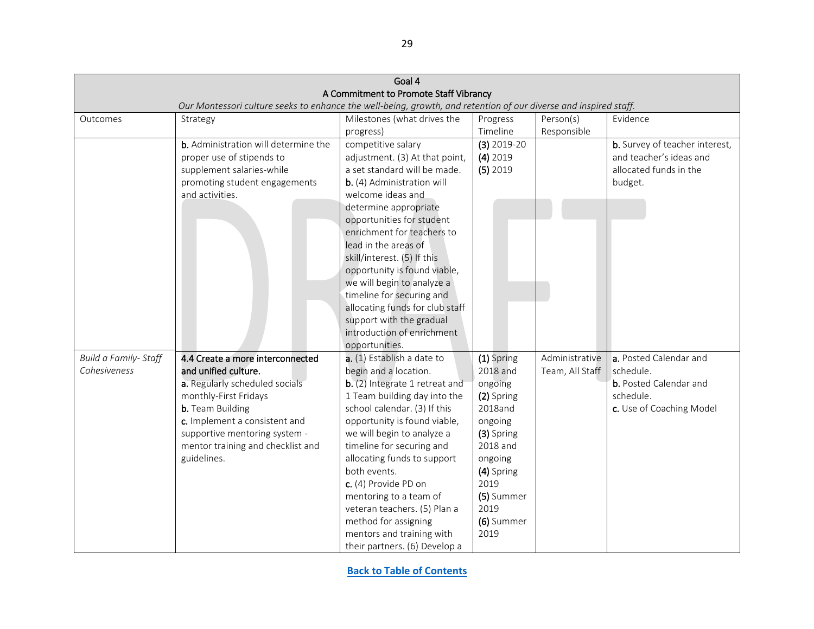<span id="page-28-0"></span>

|                      |                                                                                                                  | Goal 4                                                      |               |                 |                                |  |  |  |
|----------------------|------------------------------------------------------------------------------------------------------------------|-------------------------------------------------------------|---------------|-----------------|--------------------------------|--|--|--|
|                      |                                                                                                                  | A Commitment to Promote Staff Vibrancy                      |               |                 |                                |  |  |  |
|                      | Our Montessori culture seeks to enhance the well-being, growth, and retention of our diverse and inspired staff. |                                                             |               |                 |                                |  |  |  |
| Outcomes             | Strategy                                                                                                         | Milestones (what drives the                                 | Progress      | Person(s)       | Evidence                       |  |  |  |
|                      |                                                                                                                  | progress)                                                   | Timeline      | Responsible     |                                |  |  |  |
|                      | b. Administration will determine the                                                                             | competitive salary                                          | $(3)$ 2019-20 |                 | b. Survey of teacher interest, |  |  |  |
|                      | proper use of stipends to                                                                                        | adjustment. (3) At that point,                              | $(4)$ 2019    |                 | and teacher's ideas and        |  |  |  |
|                      | supplement salaries-while                                                                                        | a set standard will be made.                                | $(5)$ 2019    |                 | allocated funds in the         |  |  |  |
|                      | promoting student engagements                                                                                    | b. (4) Administration will                                  |               |                 | budget.                        |  |  |  |
|                      | and activities.                                                                                                  | welcome ideas and                                           |               |                 |                                |  |  |  |
|                      |                                                                                                                  | determine appropriate                                       |               |                 |                                |  |  |  |
|                      |                                                                                                                  | opportunities for student                                   |               |                 |                                |  |  |  |
|                      |                                                                                                                  | enrichment for teachers to                                  |               |                 |                                |  |  |  |
|                      |                                                                                                                  | lead in the areas of                                        |               |                 |                                |  |  |  |
|                      |                                                                                                                  | skill/interest. (5) If this                                 |               |                 |                                |  |  |  |
|                      |                                                                                                                  | opportunity is found viable,                                |               |                 |                                |  |  |  |
|                      |                                                                                                                  | we will begin to analyze a                                  |               |                 |                                |  |  |  |
|                      |                                                                                                                  | timeline for securing and                                   |               |                 |                                |  |  |  |
|                      |                                                                                                                  | allocating funds for club staff<br>support with the gradual |               |                 |                                |  |  |  |
|                      |                                                                                                                  | introduction of enrichment                                  |               |                 |                                |  |  |  |
|                      |                                                                                                                  | opportunities.                                              |               |                 |                                |  |  |  |
| Build a Family-Staff | 4.4 Create a more interconnected                                                                                 | a. (1) Establish a date to                                  | (1) Spring    | Administrative  | a. Posted Calendar and         |  |  |  |
| Cohesiveness         | and unified culture.                                                                                             | begin and a location.                                       | 2018 and      | Team, All Staff | schedule.                      |  |  |  |
|                      | a. Regularly scheduled socials                                                                                   | b. (2) Integrate 1 retreat and                              | ongoing       |                 | <b>b.</b> Posted Calendar and  |  |  |  |
|                      | monthly-First Fridays                                                                                            | 1 Team building day into the                                | (2) Spring    |                 | schedule.                      |  |  |  |
|                      | <b>b.</b> Team Building                                                                                          | school calendar. (3) If this                                | 2018and       |                 | c. Use of Coaching Model       |  |  |  |
|                      | c. Implement a consistent and                                                                                    | opportunity is found viable,                                | ongoing       |                 |                                |  |  |  |
|                      | supportive mentoring system -                                                                                    | we will begin to analyze a                                  | (3) Spring    |                 |                                |  |  |  |
|                      | mentor training and checklist and                                                                                | timeline for securing and                                   | 2018 and      |                 |                                |  |  |  |
|                      | guidelines.                                                                                                      | allocating funds to support                                 | ongoing       |                 |                                |  |  |  |
|                      |                                                                                                                  | both events.                                                | (4) Spring    |                 |                                |  |  |  |
|                      |                                                                                                                  | c. (4) Provide PD on                                        | 2019          |                 |                                |  |  |  |
|                      |                                                                                                                  | mentoring to a team of                                      | (5) Summer    |                 |                                |  |  |  |
|                      |                                                                                                                  | veteran teachers. (5) Plan a                                | 2019          |                 |                                |  |  |  |
|                      |                                                                                                                  | method for assigning                                        | (6) Summer    |                 |                                |  |  |  |
|                      |                                                                                                                  | mentors and training with                                   | 2019          |                 |                                |  |  |  |
|                      |                                                                                                                  | their partners. (6) Develop a                               |               |                 |                                |  |  |  |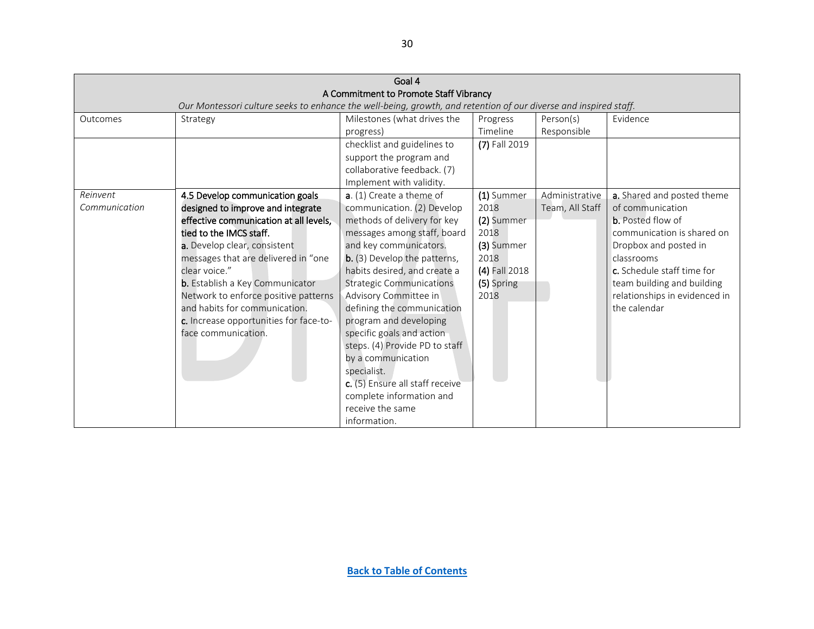<span id="page-29-0"></span>

|               |                                                                                                                  | Goal 4                                 |               |                 |                               |
|---------------|------------------------------------------------------------------------------------------------------------------|----------------------------------------|---------------|-----------------|-------------------------------|
|               |                                                                                                                  | A Commitment to Promote Staff Vibrancy |               |                 |                               |
|               | Our Montessori culture seeks to enhance the well-being, growth, and retention of our diverse and inspired staff. |                                        |               |                 |                               |
| Outcomes      | Strategy                                                                                                         | Milestones (what drives the            | Progress      | Person(s)       | Evidence                      |
|               |                                                                                                                  | progress)                              | Timeline      | Responsible     |                               |
|               |                                                                                                                  | checklist and guidelines to            | (7) Fall 2019 |                 |                               |
|               |                                                                                                                  | support the program and                |               |                 |                               |
|               |                                                                                                                  | collaborative feedback. (7)            |               |                 |                               |
|               |                                                                                                                  | Implement with validity.               |               |                 |                               |
| Reinvent      | 4.5 Develop communication goals                                                                                  | $a. (1)$ Create a theme of             | (1) Summer    | Administrative  | a. Shared and posted theme    |
| Communication | designed to improve and integrate                                                                                | communication. (2) Develop             | 2018          | Team, All Staff | of communication              |
|               | effective communication at all levels,                                                                           | methods of delivery for key            | (2) Summer    |                 | <b>b.</b> Posted flow of      |
|               | tied to the IMCS staff.                                                                                          | messages among staff, board            | 2018          |                 | communication is shared on    |
|               | a. Develop clear, consistent                                                                                     | and key communicators.                 | (3) Summer    |                 | Dropbox and posted in         |
|               | messages that are delivered in "one                                                                              | b. (3) Develop the patterns,           | 2018          |                 | classrooms                    |
|               | clear voice."                                                                                                    | habits desired, and create a           | (4) Fall 2018 |                 | c. Schedule staff time for    |
|               | <b>b.</b> Establish a Key Communicator                                                                           | <b>Strategic Communications</b>        | (5) Spring    |                 | team building and building    |
|               | Network to enforce positive patterns                                                                             | Advisory Committee in                  | 2018          |                 | relationships in evidenced in |
|               | and habits for communication.                                                                                    | defining the communication             |               |                 | the calendar                  |
|               | c. Increase opportunities for face-to-                                                                           | program and developing                 |               |                 |                               |
|               | face communication.                                                                                              | specific goals and action              |               |                 |                               |
|               |                                                                                                                  | steps. (4) Provide PD to staff         |               |                 |                               |
|               |                                                                                                                  | by a communication                     |               |                 |                               |
|               |                                                                                                                  | specialist.                            |               |                 |                               |
|               |                                                                                                                  | c. (5) Ensure all staff receive        |               |                 |                               |
|               |                                                                                                                  | complete information and               |               |                 |                               |
|               |                                                                                                                  | receive the same                       |               |                 |                               |
|               |                                                                                                                  | information.                           |               |                 |                               |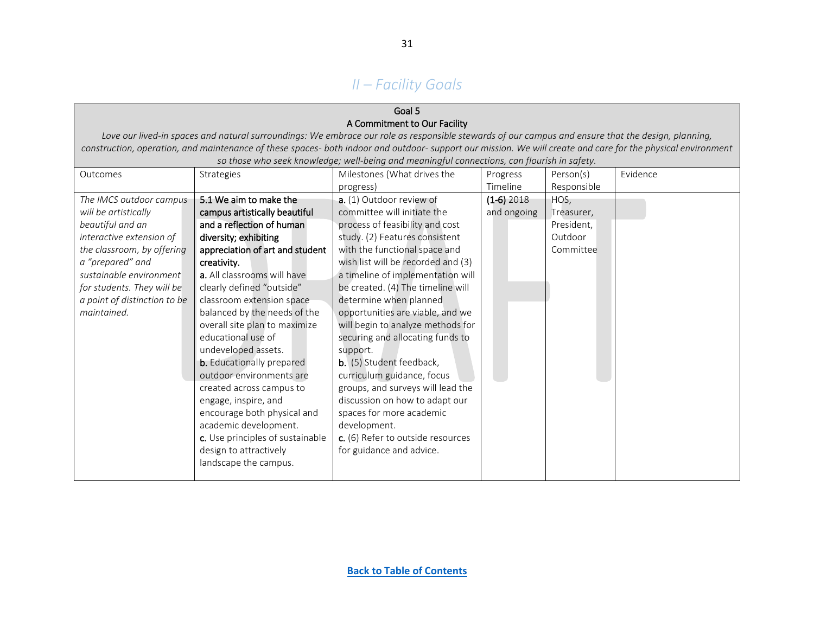# *II – Facility Goals*

### Goal 5 A Commitment to Our Facility

*Love our lived-in spaces and natural surroundings: We embrace our role as responsible stewards of our campus and ensure that the design, planning, construction, operation, and maintenance of these spaces- both indoor and outdoor- support our mission. We will create and care for the physical environment*  so those who seek knowledge; well-being and meaningful connections, can flourish in safety.

<span id="page-30-0"></span>

| Outcomes                     | Strategies                       | Milestones (What drives the        | Progress     | Person(s)   | Evidence |
|------------------------------|----------------------------------|------------------------------------|--------------|-------------|----------|
|                              |                                  | progress)                          | Timeline     | Responsible |          |
| The IMCS outdoor campus      | 5.1 We aim to make the           | a. (1) Outdoor review of           | $(1-6)$ 2018 | HOS,        |          |
| will be artistically         | campus artistically beautiful    | committee will initiate the        | and ongoing  | Treasurer,  |          |
| beautiful and an             | and a reflection of human        | process of feasibility and cost    |              | President,  |          |
| interactive extension of     | diversity; exhibiting            | study. (2) Features consistent     |              | Outdoor     |          |
| the classroom, by offering   | appreciation of art and student  | with the functional space and      |              | Committee   |          |
| a "prepared" and             | creativity.                      | wish list will be recorded and (3) |              |             |          |
| sustainable environment      | a. All classrooms will have      | a timeline of implementation will  |              |             |          |
| for students. They will be   | clearly defined "outside"        | be created. (4) The timeline will  |              |             |          |
| a point of distinction to be | classroom extension space        | determine when planned             |              |             |          |
| maintained.                  | balanced by the needs of the     | opportunities are viable, and we   |              |             |          |
|                              | overall site plan to maximize    | will begin to analyze methods for  |              |             |          |
|                              | educational use of               | securing and allocating funds to   |              |             |          |
|                              | undeveloped assets.              | support.                           |              |             |          |
|                              | <b>b.</b> Educationally prepared | b. (5) Student feedback,           |              |             |          |
|                              | outdoor environments are         | curriculum guidance, focus         |              |             |          |
|                              | created across campus to         | groups, and surveys will lead the  |              |             |          |
|                              | engage, inspire, and             | discussion on how to adapt our     |              |             |          |
|                              | encourage both physical and      | spaces for more academic           |              |             |          |
|                              | academic development.            | development.                       |              |             |          |
|                              | c. Use principles of sustainable | c. (6) Refer to outside resources  |              |             |          |
|                              | design to attractively           | for guidance and advice.           |              |             |          |
|                              | landscape the campus.            |                                    |              |             |          |
|                              |                                  |                                    |              |             |          |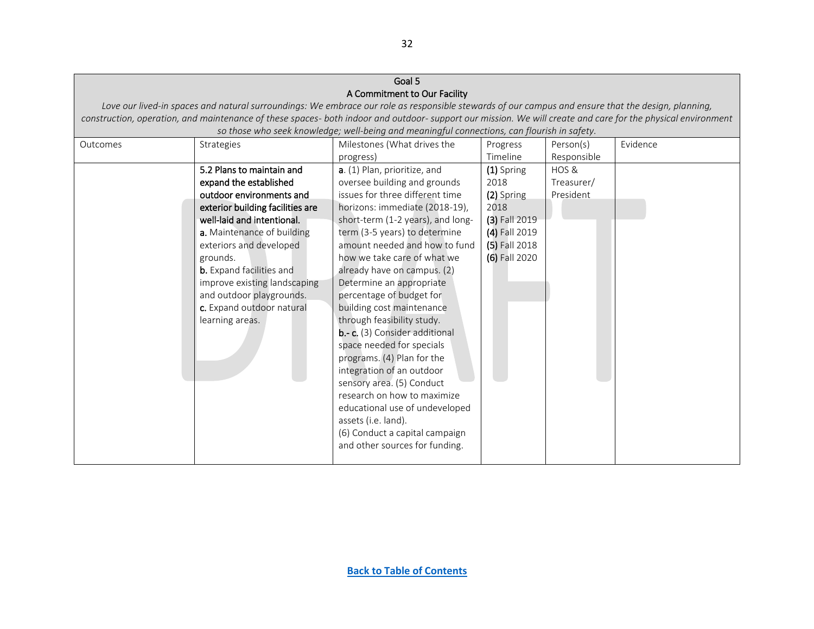| Goal 5   |                                  |                                                                                                                                                             |               |             |          |  |  |
|----------|----------------------------------|-------------------------------------------------------------------------------------------------------------------------------------------------------------|---------------|-------------|----------|--|--|
|          | A Commitment to Our Facility     |                                                                                                                                                             |               |             |          |  |  |
|          |                                  | Love our lived-in spaces and natural surroundings: We embrace our role as responsible stewards of our campus and ensure that the design, planning,          |               |             |          |  |  |
|          |                                  | construction, operation, and maintenance of these spaces- both indoor and outdoor-support our mission. We will create and care for the physical environment |               |             |          |  |  |
|          |                                  | so those who seek knowledge; well-being and meaningful connections, can flourish in safety.                                                                 |               |             |          |  |  |
| Outcomes | Strategies                       | Milestones (What drives the                                                                                                                                 | Progress      | Person(s)   | Evidence |  |  |
|          |                                  | progress)                                                                                                                                                   | Timeline      | Responsible |          |  |  |
|          | 5.2 Plans to maintain and        | a. (1) Plan, prioritize, and                                                                                                                                | (1) Spring    | HOS &       |          |  |  |
|          | expand the established           | oversee building and grounds                                                                                                                                | 2018          | Treasurer/  |          |  |  |
|          | outdoor environments and         | issues for three different time                                                                                                                             | (2) Spring    | President   |          |  |  |
|          | exterior building facilities are | horizons: immediate (2018-19),                                                                                                                              | 2018          |             |          |  |  |
|          | well-laid and intentional.       | short-term (1-2 years), and long-                                                                                                                           | (3) Fall 2019 |             |          |  |  |
|          | a. Maintenance of building       | term (3-5 years) to determine                                                                                                                               | (4) Fall 2019 |             |          |  |  |
|          | exteriors and developed          | amount needed and how to fund                                                                                                                               | (5) Fall 2018 |             |          |  |  |
|          | grounds.                         | how we take care of what we                                                                                                                                 | (6) Fall 2020 |             |          |  |  |
|          | <b>b.</b> Expand facilities and  | already have on campus. (2)                                                                                                                                 |               |             |          |  |  |
|          | improve existing landscaping     | Determine an appropriate                                                                                                                                    |               |             |          |  |  |
|          | and outdoor playgrounds.         | percentage of budget for                                                                                                                                    |               |             |          |  |  |
|          | c. Expand outdoor natural        | building cost maintenance                                                                                                                                   |               |             |          |  |  |
|          | learning areas.                  | through feasibility study.                                                                                                                                  |               |             |          |  |  |
|          |                                  | b.- c. (3) Consider additional                                                                                                                              |               |             |          |  |  |
|          |                                  | space needed for specials                                                                                                                                   |               |             |          |  |  |
|          |                                  | programs. (4) Plan for the                                                                                                                                  |               |             |          |  |  |
|          |                                  | integration of an outdoor                                                                                                                                   |               |             |          |  |  |
|          |                                  | sensory area. (5) Conduct                                                                                                                                   |               |             |          |  |  |
|          |                                  | research on how to maximize                                                                                                                                 |               |             |          |  |  |
|          |                                  | educational use of undeveloped                                                                                                                              |               |             |          |  |  |
|          |                                  | assets (i.e. land).                                                                                                                                         |               |             |          |  |  |
|          |                                  | (6) Conduct a capital campaign                                                                                                                              |               |             |          |  |  |
|          |                                  | and other sources for funding.                                                                                                                              |               |             |          |  |  |
|          |                                  |                                                                                                                                                             |               |             |          |  |  |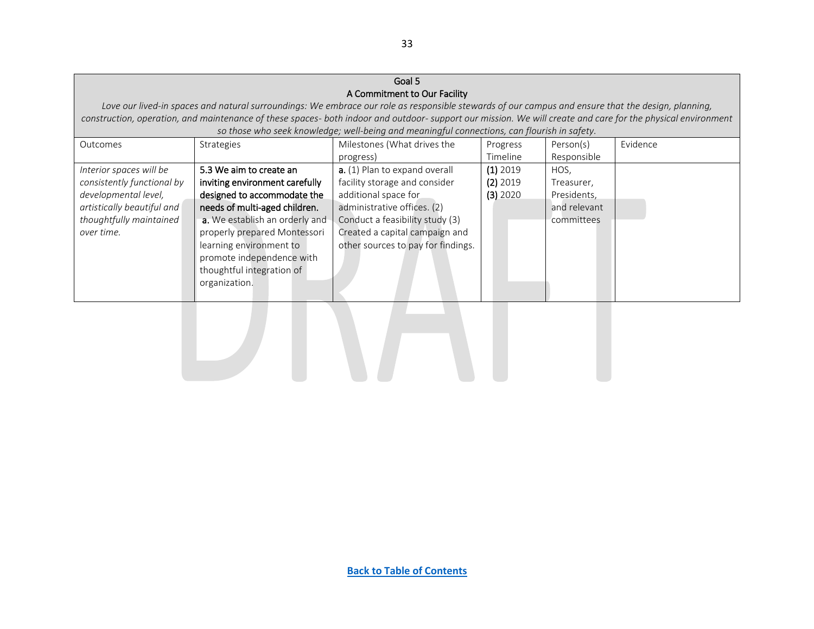### Goal 5 A Commitment to Our Facility

*Love our lived-in spaces and natural surroundings: We embrace our role as responsible stewards of our campus and ensure that the design, planning, construction, operation, and maintenance of these spaces- both indoor and outdoor- support our mission. We will create and care for the physical environment* 

<span id="page-32-0"></span>

| so those who seek knowledge; well-being and meaningful connections, can flourish in safety. |                                |                                    |            |              |          |  |  |
|---------------------------------------------------------------------------------------------|--------------------------------|------------------------------------|------------|--------------|----------|--|--|
| Outcomes                                                                                    | <b>Strategies</b>              | Milestones (What drives the        | Progress   | Person(s)    | Evidence |  |  |
|                                                                                             |                                | progress)                          | Timeline   | Responsible  |          |  |  |
| Interior spaces will be                                                                     | 5.3 We aim to create an        | a. (1) Plan to expand overall      | $(1)$ 2019 | HOS.         |          |  |  |
| consistently functional by                                                                  | inviting environment carefully | facility storage and consider      | $(2)$ 2019 | Treasurer,   |          |  |  |
| developmental level,                                                                        | designed to accommodate the    | additional space for               | $(3)$ 2020 | Presidents,  |          |  |  |
| artistically beautiful and                                                                  | needs of multi-aged children.  | administrative offices. (2)        |            | and relevant |          |  |  |
| thoughtfully maintained                                                                     | a. We establish an orderly and | Conduct a feasibility study (3)    |            | committees   |          |  |  |
| over time.                                                                                  | properly prepared Montessori   | Created a capital campaign and     |            |              |          |  |  |
|                                                                                             | learning environment to        | other sources to pay for findings. |            |              |          |  |  |
|                                                                                             | promote independence with      |                                    |            |              |          |  |  |
|                                                                                             | thoughtful integration of      |                                    |            |              |          |  |  |
|                                                                                             | organization.                  |                                    |            |              |          |  |  |
|                                                                                             |                                |                                    |            |              |          |  |  |

33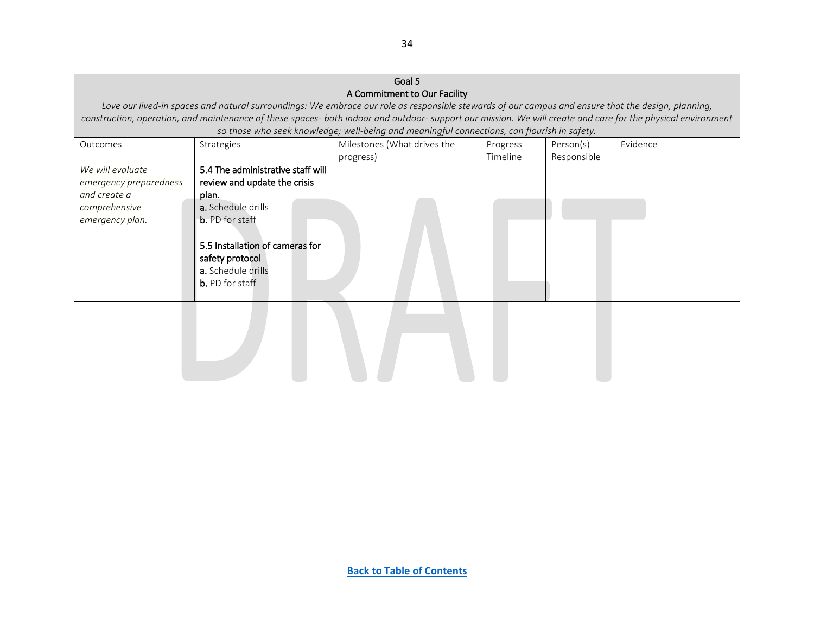### <span id="page-33-0"></span>Goal 5 A Commitment to Our Facility *Love our lived-in spaces and natural surroundings: We embrace our role as responsible stewards of our campus and ensure that the design, planning, construction, operation, and maintenance of these spaces- both indoor and outdoor- support our mission. We will create and care for the physical environment so those who seek knowledge; well-being and meaningful connections, can flourish in safety.* Outcomes Strategies Strategies Milestones (What drives the progress) Progress Timeline Person(s) Responsible Evidence *We will evaluate emergency preparedness and create a comprehensive emergency plan.*  5.4 The administrative staff will review and update the crisis plan. a. Schedule drills b. PD for staff 5.5 Installation of cameras for safety protocol a. Schedule drills b. PD for staff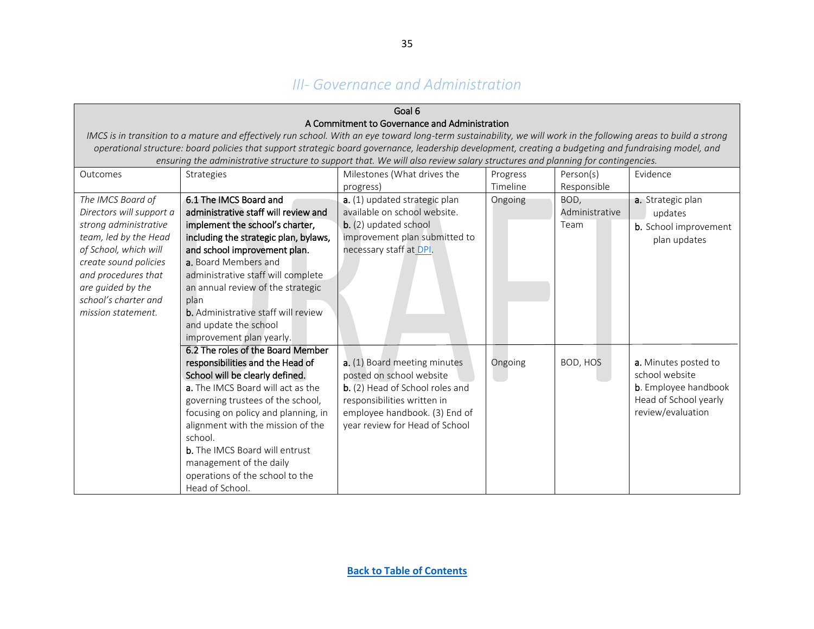# *III- Governance and Administration*

<span id="page-34-0"></span>

|                          | Goal 6                                                                                                                                                           |                                               |          |                |                              |  |  |
|--------------------------|------------------------------------------------------------------------------------------------------------------------------------------------------------------|-----------------------------------------------|----------|----------------|------------------------------|--|--|
|                          |                                                                                                                                                                  | A Commitment to Governance and Administration |          |                |                              |  |  |
|                          | IMCS is in transition to a mature and effectively run school. With an eye toward long-term sustainability, we will work in the following areas to build a strong |                                               |          |                |                              |  |  |
|                          | operational structure: board policies that support strategic board governance, leadership development, creating a budgeting and fundraising model, and           |                                               |          |                |                              |  |  |
|                          | ensuring the administrative structure to support that. We will also review salary structures and planning for contingencies.                                     |                                               |          |                |                              |  |  |
| Outcomes                 | Strategies                                                                                                                                                       | Milestones (What drives the                   | Progress | Person(s)      | Evidence                     |  |  |
|                          |                                                                                                                                                                  | progress)                                     | Timeline | Responsible    |                              |  |  |
| The IMCS Board of        | 6.1 The IMCS Board and                                                                                                                                           | a. (1) updated strategic plan                 | Ongoing  | BOD,           | a. Strategic plan            |  |  |
| Directors will support a | administrative staff will review and                                                                                                                             | available on school website.                  |          | Administrative | updates                      |  |  |
| strong administrative    | implement the school's charter,                                                                                                                                  | $b.$ (2) updated school                       |          | Team           | <b>b.</b> School improvement |  |  |
| team, led by the Head    | including the strategic plan, bylaws,                                                                                                                            | improvement plan submitted to                 |          |                | plan updates                 |  |  |
| of School, which will    | and school improvement plan.                                                                                                                                     | necessary staff at DPI.                       |          |                |                              |  |  |
| create sound policies    | a. Board Members and                                                                                                                                             |                                               |          |                |                              |  |  |
| and procedures that      | administrative staff will complete                                                                                                                               |                                               |          |                |                              |  |  |
| are guided by the        | an annual review of the strategic                                                                                                                                |                                               |          |                |                              |  |  |
| school's charter and     | plan                                                                                                                                                             |                                               |          |                |                              |  |  |
| mission statement.       | <b>b.</b> Administrative staff will review                                                                                                                       |                                               |          |                |                              |  |  |
|                          | and update the school                                                                                                                                            |                                               |          |                |                              |  |  |
|                          | improvement plan yearly.                                                                                                                                         |                                               |          |                |                              |  |  |
|                          | 6.2 The roles of the Board Member                                                                                                                                |                                               |          |                |                              |  |  |
|                          | responsibilities and the Head of                                                                                                                                 | a. (1) Board meeting minutes                  | Ongoing  | BOD, HOS       | a. Minutes posted to         |  |  |
|                          | School will be clearly defined.                                                                                                                                  | posted on school website                      |          |                | school website               |  |  |
|                          | a. The IMCS Board will act as the                                                                                                                                | b. (2) Head of School roles and               |          |                | <b>b</b> . Employee handbook |  |  |
|                          | governing trustees of the school,                                                                                                                                | responsibilities written in                   |          |                | Head of School yearly        |  |  |
|                          | focusing on policy and planning, in                                                                                                                              | employee handbook. (3) End of                 |          |                | review/evaluation            |  |  |
|                          | alignment with the mission of the                                                                                                                                | year review for Head of School                |          |                |                              |  |  |
|                          | school.                                                                                                                                                          |                                               |          |                |                              |  |  |
|                          | <b>b.</b> The IMCS Board will entrust                                                                                                                            |                                               |          |                |                              |  |  |
|                          | management of the daily                                                                                                                                          |                                               |          |                |                              |  |  |
|                          | operations of the school to the                                                                                                                                  |                                               |          |                |                              |  |  |
|                          | Head of School.                                                                                                                                                  |                                               |          |                |                              |  |  |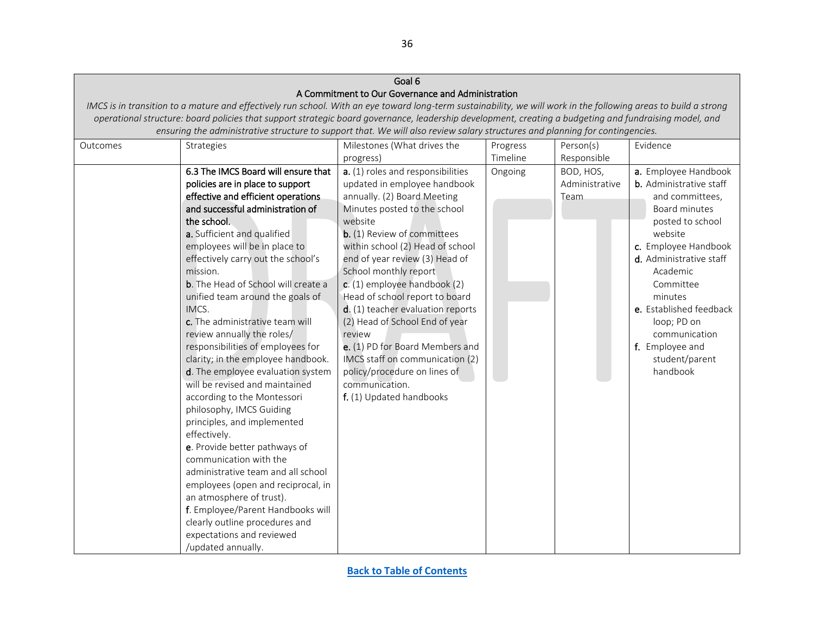|          |                                                                                                                                                                  | Goal 6                                            |          |                |                                |  |  |
|----------|------------------------------------------------------------------------------------------------------------------------------------------------------------------|---------------------------------------------------|----------|----------------|--------------------------------|--|--|
|          |                                                                                                                                                                  | A Commitment to Our Governance and Administration |          |                |                                |  |  |
|          | IMCS is in transition to a mature and effectively run school. With an eye toward long-term sustainability, we will work in the following areas to build a strong |                                                   |          |                |                                |  |  |
|          | operational structure: board policies that support strategic board governance, leadership development, creating a budgeting and fundraising model, and           |                                                   |          |                |                                |  |  |
|          | ensuring the administrative structure to support that. We will also review salary structures and planning for contingencies.                                     |                                                   |          |                |                                |  |  |
| Outcomes | Strategies                                                                                                                                                       | Milestones (What drives the                       | Progress | Person(s)      | Evidence                       |  |  |
|          |                                                                                                                                                                  | progress)                                         | Timeline | Responsible    |                                |  |  |
|          | 6.3 The IMCS Board will ensure that                                                                                                                              | a. (1) roles and responsibilities                 | Ongoing  | BOD, HOS,      | a. Employee Handbook           |  |  |
|          | policies are in place to support                                                                                                                                 | updated in employee handbook                      |          | Administrative | <b>b.</b> Administrative staff |  |  |
|          | effective and efficient operations                                                                                                                               | annually. (2) Board Meeting                       |          | Team           | and committees,                |  |  |
|          | and successful administration of                                                                                                                                 | Minutes posted to the school                      |          |                | Board minutes                  |  |  |
|          | the school.                                                                                                                                                      | website                                           |          |                | posted to school               |  |  |
|          | a. Sufficient and qualified                                                                                                                                      | <b>b.</b> (1) Review of committees                |          |                | website                        |  |  |
|          | employees will be in place to                                                                                                                                    | within school (2) Head of school                  |          |                | c. Employee Handbook           |  |  |
|          | effectively carry out the school's                                                                                                                               | end of year review (3) Head of                    |          |                | d. Administrative staff        |  |  |
|          | mission.                                                                                                                                                         | School monthly report                             |          |                | Academic                       |  |  |
|          | <b>b.</b> The Head of School will create a                                                                                                                       | c. (1) employee handbook (2)                      |          |                | Committee                      |  |  |
|          | unified team around the goals of                                                                                                                                 | Head of school report to board                    |          |                | minutes                        |  |  |
|          | IMCS.                                                                                                                                                            | d. (1) teacher evaluation reports                 |          |                | e. Established feedback        |  |  |
|          | c. The administrative team will                                                                                                                                  | (2) Head of School End of year                    |          |                | loop; PD on                    |  |  |
|          | review annually the roles/                                                                                                                                       | review                                            |          |                | communication                  |  |  |
|          | responsibilities of employees for                                                                                                                                | e. (1) PD for Board Members and                   |          |                | f. Employee and                |  |  |
|          | clarity; in the employee handbook.                                                                                                                               | IMCS staff on communication (2)                   |          |                | student/parent                 |  |  |
|          | d. The employee evaluation system                                                                                                                                | policy/procedure on lines of                      |          |                | handbook                       |  |  |
|          | will be revised and maintained                                                                                                                                   | communication.                                    |          |                |                                |  |  |
|          | according to the Montessori                                                                                                                                      | f. (1) Updated handbooks                          |          |                |                                |  |  |
|          | philosophy, IMCS Guiding                                                                                                                                         |                                                   |          |                |                                |  |  |
|          | principles, and implemented                                                                                                                                      |                                                   |          |                |                                |  |  |
|          | effectively.                                                                                                                                                     |                                                   |          |                |                                |  |  |
|          | e. Provide better pathways of                                                                                                                                    |                                                   |          |                |                                |  |  |
|          | communication with the                                                                                                                                           |                                                   |          |                |                                |  |  |
|          | administrative team and all school                                                                                                                               |                                                   |          |                |                                |  |  |
|          | employees (open and reciprocal, in                                                                                                                               |                                                   |          |                |                                |  |  |
|          | an atmosphere of trust).                                                                                                                                         |                                                   |          |                |                                |  |  |
|          | f. Employee/Parent Handbooks will                                                                                                                                |                                                   |          |                |                                |  |  |
|          | clearly outline procedures and                                                                                                                                   |                                                   |          |                |                                |  |  |
|          | expectations and reviewed                                                                                                                                        |                                                   |          |                |                                |  |  |
|          | /updated annually.                                                                                                                                               |                                                   |          |                |                                |  |  |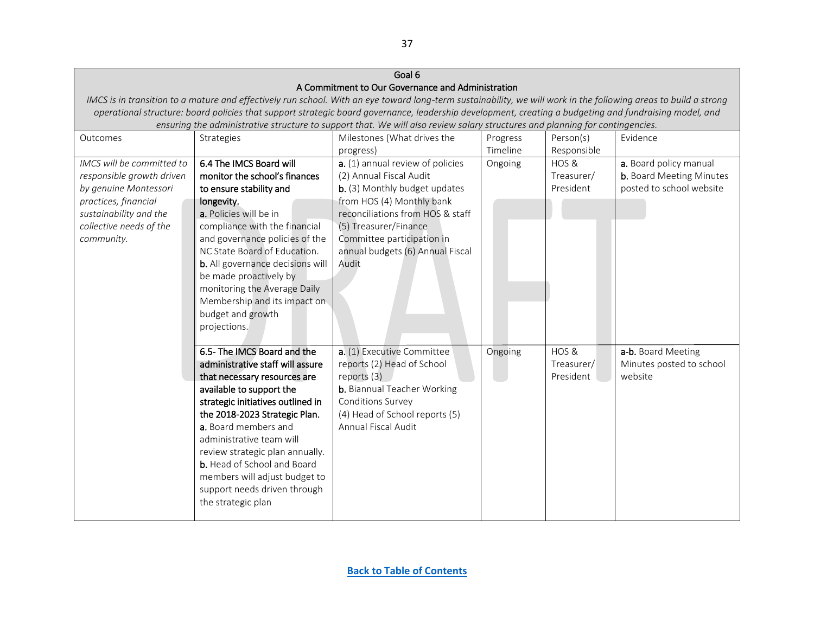<span id="page-36-0"></span>

| Goal 6                                                                                                                                                           |                                    |                                    |          |             |                                 |  |  |
|------------------------------------------------------------------------------------------------------------------------------------------------------------------|------------------------------------|------------------------------------|----------|-------------|---------------------------------|--|--|
| A Commitment to Our Governance and Administration                                                                                                                |                                    |                                    |          |             |                                 |  |  |
| IMCS is in transition to a mature and effectively run school. With an eye toward long-term sustainability, we will work in the following areas to build a strong |                                    |                                    |          |             |                                 |  |  |
| operational structure: board policies that support strategic board governance, leadership development, creating a budgeting and fundraising model, and           |                                    |                                    |          |             |                                 |  |  |
| ensuring the administrative structure to support that. We will also review salary structures and planning for contingencies.                                     |                                    |                                    |          |             |                                 |  |  |
| Outcomes                                                                                                                                                         | Strategies                         | Milestones (What drives the        | Progress | Person(s)   | Evidence                        |  |  |
|                                                                                                                                                                  |                                    | progress)                          | Timeline | Responsible |                                 |  |  |
| IMCS will be committed to                                                                                                                                        | 6.4 The IMCS Board will            | a. (1) annual review of policies   | Ongoing  | HOS &       | a. Board policy manual          |  |  |
| responsible growth driven                                                                                                                                        | monitor the school's finances      | (2) Annual Fiscal Audit            |          | Treasurer/  | <b>b.</b> Board Meeting Minutes |  |  |
| by genuine Montessori                                                                                                                                            | to ensure stability and            | b. (3) Monthly budget updates      |          | President   | posted to school website        |  |  |
| practices, financial                                                                                                                                             | longevity.                         | from HOS (4) Monthly bank          |          |             |                                 |  |  |
| sustainability and the                                                                                                                                           | a. Policies will be in             | reconciliations from HOS & staff   |          |             |                                 |  |  |
| collective needs of the                                                                                                                                          | compliance with the financial      | (5) Treasurer/Finance              |          |             |                                 |  |  |
| community.                                                                                                                                                       | and governance policies of the     | Committee participation in         |          |             |                                 |  |  |
|                                                                                                                                                                  | NC State Board of Education.       | annual budgets (6) Annual Fiscal   |          |             |                                 |  |  |
|                                                                                                                                                                  | b. All governance decisions will   | Audit                              |          |             |                                 |  |  |
|                                                                                                                                                                  | be made proactively by             |                                    |          |             |                                 |  |  |
|                                                                                                                                                                  | monitoring the Average Daily       |                                    |          |             |                                 |  |  |
|                                                                                                                                                                  | Membership and its impact on       |                                    |          |             |                                 |  |  |
|                                                                                                                                                                  | budget and growth                  |                                    |          |             |                                 |  |  |
|                                                                                                                                                                  | projections.                       |                                    |          |             |                                 |  |  |
|                                                                                                                                                                  |                                    |                                    |          |             |                                 |  |  |
|                                                                                                                                                                  | 6.5- The IMCS Board and the        | a. (1) Executive Committee         | Ongoing  | HOS&        | a-b. Board Meeting              |  |  |
|                                                                                                                                                                  | administrative staff will assure   | reports (2) Head of School         |          | Treasurer/  | Minutes posted to school        |  |  |
|                                                                                                                                                                  | that necessary resources are       | reports (3)                        |          | President   | website                         |  |  |
|                                                                                                                                                                  | available to support the           | <b>b.</b> Biannual Teacher Working |          |             |                                 |  |  |
|                                                                                                                                                                  | strategic initiatives outlined in  | Conditions Survey                  |          |             |                                 |  |  |
|                                                                                                                                                                  | the 2018-2023 Strategic Plan.      | (4) Head of School reports (5)     |          |             |                                 |  |  |
|                                                                                                                                                                  | a. Board members and               | Annual Fiscal Audit                |          |             |                                 |  |  |
|                                                                                                                                                                  | administrative team will           |                                    |          |             |                                 |  |  |
|                                                                                                                                                                  | review strategic plan annually.    |                                    |          |             |                                 |  |  |
|                                                                                                                                                                  | <b>b.</b> Head of School and Board |                                    |          |             |                                 |  |  |
|                                                                                                                                                                  | members will adjust budget to      |                                    |          |             |                                 |  |  |
|                                                                                                                                                                  | support needs driven through       |                                    |          |             |                                 |  |  |
|                                                                                                                                                                  | the strategic plan                 |                                    |          |             |                                 |  |  |
|                                                                                                                                                                  |                                    |                                    |          |             |                                 |  |  |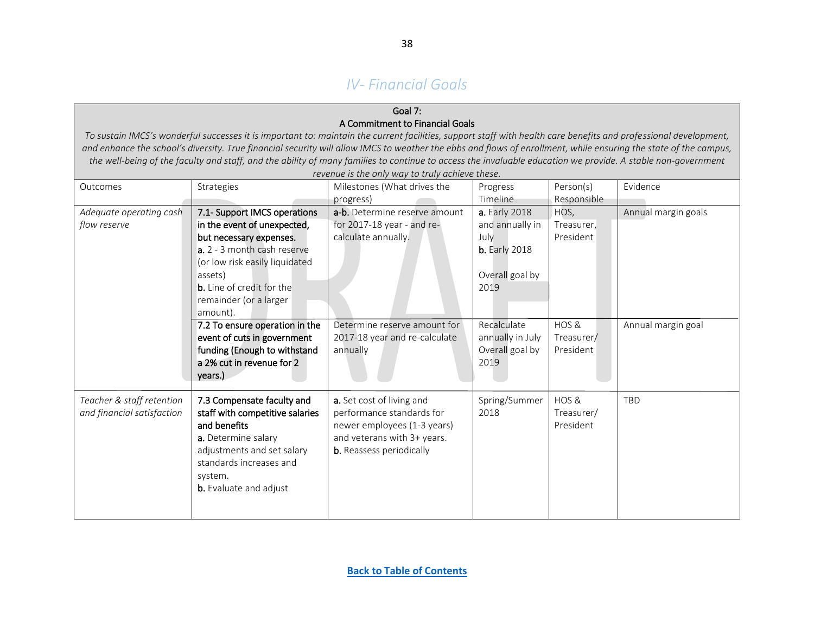# *IV- Financial Goals*

### Goal 7: A Commitment to Financial Goals

To sustain IMCS<sup>'s</sup> wonderful successes it is important to: maintain the current facilities, support staff with health care benefits and professional development, and enhance the school's diversity. True financial security will allow IMCS to weather the ebbs and flows of enrollment, while ensuring the state of the campus, *the well-being of the faculty and staff, and the ability of many families to continue to access the invaluable education we provide. A stable non-government revenue is the only way to truly achieve these.*

<span id="page-37-1"></span><span id="page-37-0"></span>

|                            |                                  | revenue is the biny way to truly achieve these. |                      |             |                     |
|----------------------------|----------------------------------|-------------------------------------------------|----------------------|-------------|---------------------|
| Outcomes                   | Strategies                       | Milestones (What drives the                     | Progress             | Person(s)   | Evidence            |
|                            |                                  | progress)                                       | Timeline             | Responsible |                     |
| Adequate operating cash    | 7.1- Support IMCS operations     | a-b. Determine reserve amount                   | <b>a.</b> Early 2018 | HOS,        | Annual margin goals |
| flow reserve               | in the event of unexpected,      | for 2017-18 year - and re-                      | and annually in      | Treasurer,  |                     |
|                            | but necessary expenses.          | calculate annually.                             | July                 | President   |                     |
|                            | a. 2 - 3 month cash reserve      |                                                 | <b>b.</b> Early 2018 |             |                     |
|                            | (or low risk easily liquidated   |                                                 |                      |             |                     |
|                            | assets)                          |                                                 | Overall goal by      |             |                     |
|                            | <b>b.</b> Line of credit for the |                                                 | 2019                 |             |                     |
|                            | remainder (or a larger           |                                                 |                      |             |                     |
|                            | amount).                         |                                                 |                      |             |                     |
|                            | 7.2 To ensure operation in the   | Determine reserve amount for                    | Recalculate          | HOS &       | Annual margin goal  |
|                            | event of cuts in government      | 2017-18 year and re-calculate                   | annually in July     | Treasurer/  |                     |
|                            | funding (Enough to withstand     | annually                                        | Overall goal by      | President   |                     |
|                            | a 2% cut in revenue for 2        |                                                 | 2019                 |             |                     |
|                            | years.)                          |                                                 |                      |             |                     |
|                            |                                  |                                                 |                      |             |                     |
| Teacher & staff retention  | 7.3 Compensate faculty and       | a. Set cost of living and                       | Spring/Summer        | HOS&        | TBD                 |
| and financial satisfaction | staff with competitive salaries  | performance standards for                       | 2018                 | Treasurer/  |                     |
|                            | and benefits                     | newer employees (1-3 years)                     |                      | President   |                     |
|                            | a. Determine salary              | and veterans with 3+ years.                     |                      |             |                     |
|                            | adjustments and set salary       | <b>b.</b> Reassess periodically                 |                      |             |                     |
|                            | standards increases and          |                                                 |                      |             |                     |
|                            | system.                          |                                                 |                      |             |                     |
|                            |                                  |                                                 |                      |             |                     |
|                            |                                  |                                                 |                      |             |                     |
|                            |                                  |                                                 |                      |             |                     |
|                            | <b>b.</b> Evaluate and adjust    |                                                 |                      |             |                     |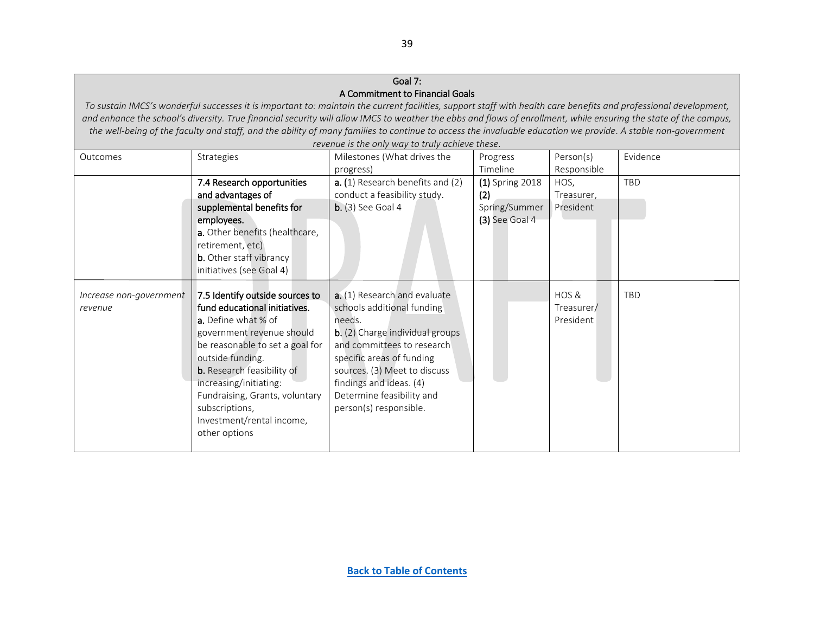### Goal 7: A Commitment to Financial Goals

*To sustain IMCS's wonderful successes it is important to: maintain the current facilities, support staff with health care benefits and professional development, and enhance the school's diversity. True financial security will allow IMCS to weather the ebbs and flows of enrollment, while ensuring the state of the campus, the well-being of the faculty and staff, and the ability of many families to continue to access the invaluable education we provide. A stable non-government revenue is the only way to truly achieve these.*

<span id="page-38-0"></span>

|                         | revenue is the only way to truly achieve these. |                                        |                  |             |            |  |  |
|-------------------------|-------------------------------------------------|----------------------------------------|------------------|-------------|------------|--|--|
| Outcomes                | Strategies                                      | Milestones (What drives the            | Progress         | Person(s)   | Evidence   |  |  |
|                         |                                                 | progress)                              | Timeline         | Responsible |            |  |  |
|                         | 7.4 Research opportunities                      | a. (1) Research benefits and (2)       | (1) Spring 2018  | HOS,        | TBD        |  |  |
|                         | and advantages of                               | conduct a feasibility study.           | (2)              | Treasurer,  |            |  |  |
|                         | supplemental benefits for                       | $b.$ (3) See Goal 4                    | Spring/Summer    | President   |            |  |  |
|                         | employees.                                      |                                        | $(3)$ See Goal 4 |             |            |  |  |
|                         | a. Other benefits (healthcare,                  |                                        |                  |             |            |  |  |
|                         | retirement, etc)                                |                                        |                  |             |            |  |  |
|                         | <b>b.</b> Other staff vibrancy                  |                                        |                  |             |            |  |  |
|                         | initiatives (see Goal 4)                        |                                        |                  |             |            |  |  |
|                         |                                                 |                                        |                  |             |            |  |  |
| Increase non-government | 7.5 Identify outside sources to                 | a. (1) Research and evaluate           |                  | HOS &       | <b>TBD</b> |  |  |
| revenue                 | fund educational initiatives.                   | schools additional funding             |                  | Treasurer/  |            |  |  |
|                         | a. Define what % of                             | needs.                                 |                  | President   |            |  |  |
|                         | government revenue should                       | <b>b.</b> (2) Charge individual groups |                  |             |            |  |  |
|                         | be reasonable to set a goal for                 | and committees to research             |                  |             |            |  |  |
|                         | outside funding.                                | specific areas of funding              |                  |             |            |  |  |
|                         | <b>b.</b> Research feasibility of               | sources. (3) Meet to discuss           |                  |             |            |  |  |
|                         | increasing/initiating:                          | findings and ideas. (4)                |                  |             |            |  |  |
|                         | Fundraising, Grants, voluntary                  | Determine feasibility and              |                  |             |            |  |  |
|                         | subscriptions,                                  | person(s) responsible.                 |                  |             |            |  |  |
|                         | Investment/rental income,                       |                                        |                  |             |            |  |  |
|                         | other options                                   |                                        |                  |             |            |  |  |
|                         |                                                 |                                        |                  |             |            |  |  |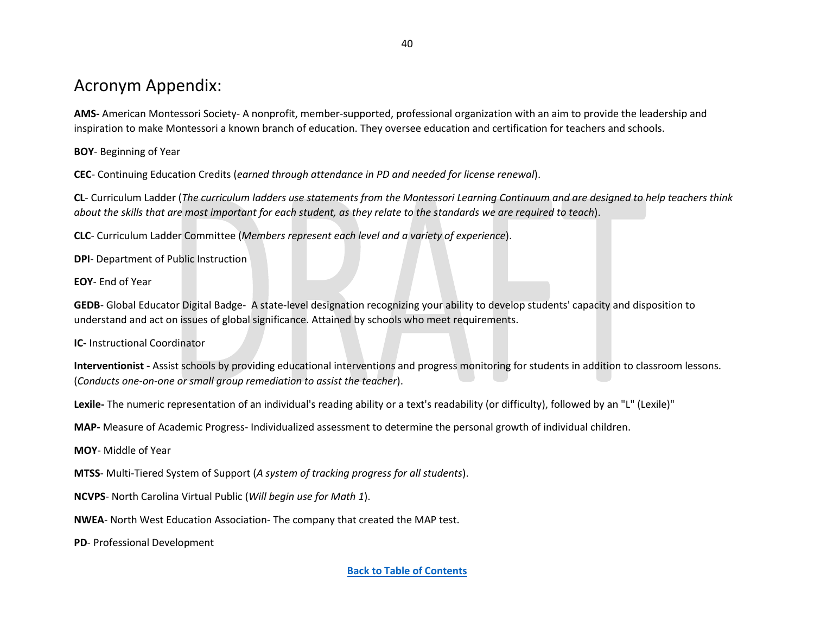# Acronym Appendix:

<span id="page-39-13"></span>**AMS-** American Montessori Society- A nonprofit, member-supported, professional organization with an aim to provide the leadership and inspiration to make Montessori a known branch of education. They oversee education and certification for teachers and schools.

**BOY**- Beginning of Year

<span id="page-39-12"></span>**CEC**- Continuing Education Credits (*earned through attendance in PD and needed for license renewal*).

<span id="page-39-1"></span>**CL**- Curriculum Ladder (*The curriculum ladders use statements from the Montessori Learning Continuum and are designed to help teachers think about the skills that are most important for each student, as they relate to the standards we are required to teach*).

<span id="page-39-11"></span>**CLC**- Curriculum Ladder Committee (*Members represent each level and a variety of experience*).

<span id="page-39-9"></span>**DPI**- Department of Public Instruction

<span id="page-39-10"></span>**EOY**- End of Year

<span id="page-39-14"></span>**GEDB**- Global Educator Digital Badge- A state-level designation recognizing your ability to develop students' capacity and disposition to understand and act on issues of global significance. Attained by schools who meet requirements.

<span id="page-39-3"></span>**IC-** Instructional Coordinator

<span id="page-39-7"></span>**Interventionist -** Assist schools by providing educational interventions and progress monitoring for students in addition to classroom lessons. (*Conducts one-on-one or small group remediation to assist the teacher*).

<span id="page-39-5"></span>**Lexile-** The numeric representation of an individual's reading ability or a text's readability (or difficulty), followed by an "L" (Lexile)"

<span id="page-39-6"></span>**MAP-** Measure of Academic Progress- Individualized assessment to determine the personal growth of individual children.

**MOY**- Middle of Year

<span id="page-39-4"></span>**MTSS**- Multi-Tiered System of Support (*A system of tracking progress for all students*).

<span id="page-39-8"></span>**NCVPS**- North Carolina Virtual Public (*Will begin use for Math 1*).

<span id="page-39-0"></span>**NWEA**- North West Education Association- The company that created the MAP test.

<span id="page-39-2"></span>**PD**- Professional Development